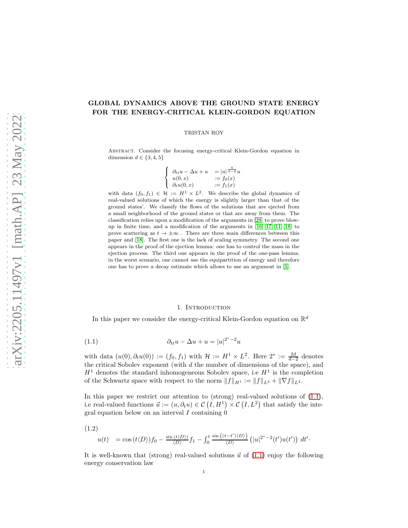# GLOBAL DYNAMICS ABOVE THE GROUND STATE ENERGY FOR THE ENERGY-CRITICAL KLEIN-GORDON EQUATION

TRISTAN ROY

Abstract. Consider the focusing energy-critical Klein-Gordon equation in dimension  $d \in \{3, 4, 5\}$ 

$$
\begin{cases}\n\partial_{tt}u - \Delta u + u &= |u|^{\frac{4}{d-2}}u \\
u(0, x) &= f_0(x) \\
\partial_t u(0, x) &= f_1(x)\n\end{cases}
$$

with data  $(f_0, f_1) \in \mathcal{H} := H^1 \times L^2$ . We describe the global dynamics of real-valued solutions of which the energy is slightly larger than that of the ground states'. We classify the flows of the solutions that are ejected from a small neighborhood of the ground states or that are away from them. The classification relies upon a modification of the arguments in [\[29\]](#page-52-0) to prove blowup in finite time, and a modification of the arguments in [\[16,](#page-51-0) [17,](#page-51-1) [11,](#page-51-2) [18\]](#page-51-3) to prove scattering as  $t \to \pm \infty$ . There are three main differences between this paper and [\[18\]](#page-51-3). The first one is the lack of scaling symmetry. The second one appears in the proof of the ejection lemma: one has to control the mass in the ejection process. The third one appears in the proof of the one-pass lemma: in the worst scenario, one cannot use the equipartition of energy and therefore one has to prove a decay estimate which allows to use an argument in [\[5\]](#page-51-4).

# <span id="page-0-0"></span>1. INTRODUCTION

In this paper we consider the energy-critical Klein-Gordon equation on  $\mathbb{R}^d$ 

$$
(1.1)\qquad \qquad \partial_{tt}u - \Delta u + u = |u|^{2^*-2}u
$$

with data  $(u(0), \partial_t u(0)) := (f_0, f_1)$  with  $\mathcal{H} := H^1 \times L^2$ . Here  $2^* := \frac{2d}{d-2}$  denotes with data  $(a(0), b_t a(0)) = (J0, J1)$  with  $\Lambda := \Lambda \times \Sigma$ . Here  $\Sigma := \frac{d-2}{d-2}$  denotes the critical Sobolev exponent (with d the number of dimensions of the space), and  $H<sup>1</sup>$  denotes the standard inhomogeneous Sobolev space, i.e  $H<sup>1</sup>$  is the completion of the Schwartz space with respect to the norm  $||f||_{H^1} := ||f||_{L^2} + ||\nabla f||_{L^2}$ .

In this paper we restrict our attention to  $(\text{strong})$  real-valued solutions of  $(1.1)$ , i.e real-valued functions  $\vec{u} := (u, \partial_t u) \in \mathcal{C}(I, H^1) \times \mathcal{C}(I, L^2)$  that satisfy the integral equation below on an interval  $I$  containing  $\hat{0}$ 

(1.2)

<span id="page-0-1"></span>
$$
u(t) = \cos(t \langle D \rangle) f_0 - \frac{\sin(t \langle D \rangle)}{\langle D \rangle} f_1 - \int_0^t \frac{\sin((t-t') \langle D \rangle)}{\langle D \rangle} \left( |u|^{2^*-2}(t') u(t') \right) dt'.
$$

It is well-known that (strong) real-valued solutions  $\vec{u}$  of [\(1.1\)](#page-0-0) enjoy the following energy conservation law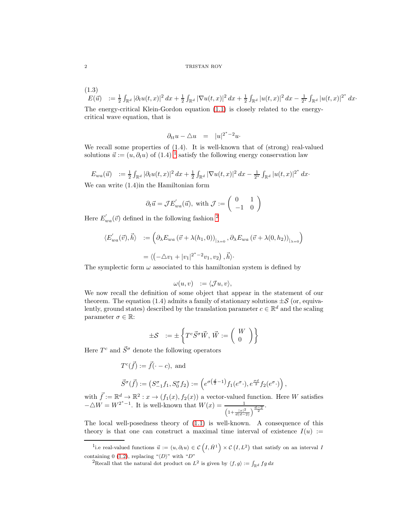(1.3)

 $E(\vec{u}) \quad := \frac{1}{2} \int_{\mathbb{R}^d} |\partial_t u(t,x)|^2 \, dx + \frac{1}{2} \int_{\mathbb{R}^d} |\nabla u(t,x)|^2 \, dx + \frac{1}{2} \int_{\mathbb{R}^d} |u(t,x)|^2 \, dx - \frac{1}{2^*} \int_{\mathbb{R}^d} |u(t,x)|^{2^*} \, dx$ The energy-critical Klein-Gordon equation [\(1.1\)](#page-0-0) is closely related to the energycritical wave equation, that is

$$
\partial_{tt}u - \triangle u = |u|^{2^*-2}u.
$$

We recall some properties of  $(1.4)$ . It is well-known that of (strong) real-valued solutions  $\vec{u} := (u, \partial_t u)$  of  $(1.4)^{-1}$  $(1.4)^{-1}$  $(1.4)^{-1}$  satisfy the following energy conservation law

 $E_{wa}(\vec{u}) \quad := \frac{1}{2} \int_{\mathbb{R}^d} |\partial_t u(t,x)|^2 \, dx + \frac{1}{2} \int_{\mathbb{R}^d} |\nabla u(t,x)|^2 \, dx - \frac{1}{2^*} \int_{\mathbb{R}^d} |u(t,x)|^{2^*} \, dx$ 

We can write (1.4)in the Hamiltonian form

$$
\partial_t \vec{u} = \mathcal{J} E'_{wa}(\vec{u}), \text{ with } \mathcal{J} := \begin{pmatrix} 0 & 1 \\ -1 & 0 \end{pmatrix}
$$

Here  $E'_{wa}(\vec{v})$  defined in the following fashion <sup>[2](#page-1-1)</sup>

$$
\langle E'_{wa}(\vec{v}), \vec{h} \rangle := \left( \partial_{\lambda} E_{wa} (\vec{v} + \lambda(h_1, 0))_{\vert_{\lambda=0}}, \partial_{\lambda} E_{wa} (\vec{v} + \lambda(0, h_2))_{\vert_{\lambda=0}} \right)
$$

$$
= \langle \left( -\triangle v_1 + |v_1|^{2^*-2} v_1, v_2 \right), \vec{h} \rangle.
$$

The symplectic form  $\omega$  associated to this hamiltonian system is defined by

$$
\omega(u,v) \quad := \langle \mathcal{J}u, v \rangle,
$$

We now recall the definition of some object that appear in the statement of our theorem. The equation (1.4) admits a family of stationary solutions  $\pm \mathcal{S}$  (or, equivalently, ground states) described by the translation parameter  $c \in \mathbb{R}^d$  and the scaling parameter  $\sigma \in \mathbb{R}$ :

$$
\pm \mathcal{S}^-:=\pm \left\{T^c\vec{S}^\sigma\vec{W},\,\vec{W}:=\left(\begin{array}{c} W\\ 0\end{array}\right)\right\}
$$

Here  $T^c$  and  $\vec{S}^{\sigma}$  denote the following operators

$$
T^{c}(\vec{f}) := \vec{f}(\cdot - c), \text{ and}
$$
  

$$
\vec{S}^{\sigma}(\vec{f}) := (S^{\sigma}_{-1}f_1, S^{\sigma}_{0}f_2) := \left(e^{\sigma(\frac{d}{2}-1)}f_1(e^{\sigma} \cdot), e^{\frac{\sigma d}{2}}f_2(e^{\sigma} \cdot)\right),
$$

with  $\vec{f} := \mathbb{R}^d \to \mathbb{R}^2 : x \to (f_1(x), f_2(x))$  a vector-valued function. Here W satisfies  $-\triangle W = W^{2^* - 1}$ . It is well-known that  $W(x) = \frac{1}{\left(1 + \frac{|x|^2}{d(d-2)}\right)^{\frac{d-2}{2}}}$ .

The local well-posedness theory of [\(1.1\)](#page-0-0) is well-known. A consequence of this theory is that one can construct a maximal time interval of existence  $I(u) :=$ 

<sup>&</sup>lt;sup>1</sup>i.e real-valued functions  $\vec{u} := (u, \partial_t u) \in \mathcal{C}(I, \dot{H}^1) \times \mathcal{C}(I, L^2)$  that satisfy on an interval I containing 0 [\(1.2\)](#page-0-1), replacing " $\langle D \rangle$ " with "D"

<span id="page-1-1"></span><span id="page-1-0"></span><sup>&</sup>lt;sup>2</sup>Recall that the natural dot product on  $L^2$  is given by  $\langle f, g \rangle := \int_{\mathbb{R}^d} f g dx$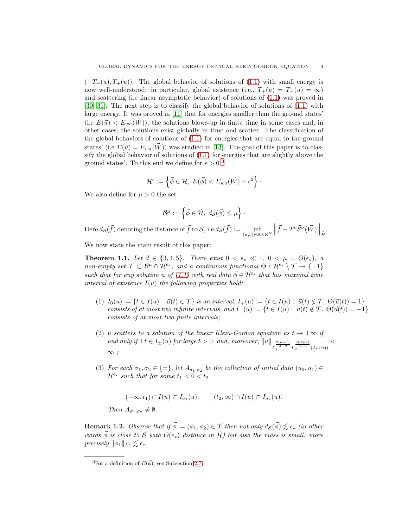$(-T<sub>-</sub>(u), T<sub>+</sub>(u)).$  The global behavior of solutions of [\(1.1\)](#page-0-0) with small energy is now well-understood: in particular, global existence (i.e.,  $T_+(u) = T_-(u) = \infty$ ) and scattering (i.e linear asymptotic behavior) of solutions of [\(1.1\)](#page-0-0) was proved in [\[30,](#page-52-1) [31\]](#page-52-2). The next step is to classify the global behavior of solutions of [\(1.1\)](#page-0-0) with large energy. It was proved in [\[11\]](#page-51-2) that for energies smaller than the ground states' (i.e  $E(\vec{u}) < E_{wa}(\vec{W})$ ), the solutions blows-up in finite time in some cases and, in other cases, the solutions exist globally in time and scatter. The classification of the global behaviors of solutions of [\(1.1\)](#page-0-0) for energies that are equal to the ground states' (i.e  $E(\vec{u}) = E_{wa}(\vec{W})$ ) was studied in [\[13\]](#page-51-5). The goal of this paper is to classify the global behavior of solutions of [\(1.1\)](#page-0-0) for energies that are slightly above the ground states'. To this end we define for  $\epsilon > 0$ <sup>[3](#page-2-0)</sup>

$$
\mathcal{H}^\epsilon:=\left\{\vec{\phi}\in\mathcal{H},\; E(\vec{\phi})
$$

We also define for  $\mu > 0$  the set

$$
\mathcal{B}^{\mu} := \left\{ \vec{\phi} \in \dot{\mathcal{H}}, \ d_{\mathcal{S}}(\vec{\phi}) \leq \mu \right\} \cdot
$$

Here  $d_{\mathcal{S}}(\vec{f})$  denoting the distance of  $\vec{f}$  to  $\mathcal{S}$ , i.e  $d_{\mathcal{S}}(\vec{f}) := \inf_{(\vec{f},\vec{f}) \in \mathbb{R}^n}$  $(\sigma,c)$ ∈R×R<sup>N</sup>  $\left\| \vec{f} - T^c \vec{S}^{\sigma}(\vec{W}) \right\|_{\dot{\mathcal{H}}}$ .

We now state the main result of this paper:

**Theorem 1.1.** Let  $d \in \{3, 4, 5\}$ . There exist  $0 < \epsilon_* \ll 1$ ,  $0 < \mu = O(\epsilon_*)$ , a non-empty set  $\mathcal{T} \subset \mathcal{B}^{\mu} \cap \mathcal{H}^{\epsilon_*}$ , and a continuous functional  $\Theta : \mathcal{H}^{\epsilon_*} \setminus \mathcal{T} \to \{\pm 1\}$ such that for any solution u of [\(1.1\)](#page-0-0) with real data  $\vec{\phi} \in \mathcal{H}^{\epsilon_*}$  that has maximal time interval of existence  $I(u)$  the following properties hold:

- (1)  $I_0(u) := \{ t \in I(u) : \vec{u}(t) \in \mathcal{T} \}$  is an interval,  $I_+(u) := \{ t \in I(u) : \vec{u}(t) \notin \mathcal{T}, \Theta(\vec{u}(t)) = 1 \}$ consists of at most two infinite intervals, and  $I_-(u) := \{t \in I(u) : \vec{u}(t) \notin \mathcal{T}, \Theta(\vec{u}(t)) = -1\}$ consists of at most two finite intervals;
- (2) u scatters to a solution of the linear Klein-Gordon equation as  $t \to \pm \infty$  if and only if  $\pm t \in I_{\pm}(u)$  for large  $t > 0$ , and, moreover,  $||u||_{L_t^{\frac{2(d+1)}{d-2}} L_x^{\frac{2(d+2)}{d-2}}(I_{\pm}(u))}$  $\lt$  $\infty$ ;
- (3) For each  $\sigma_1, \sigma_2 \in {\pm}$ , let  $A_{\sigma_1, \sigma_2}$  be the collection of initial data  $(u_0, u_1) \in$  $\mathcal{H}^{\epsilon_*}$  such that for some  $t_1 < 0 < t_2$

<span id="page-2-1"></span>
$$
(-\infty, t_1) \cap I(u) \subset I_{\sigma_1}(u), \qquad (t_2, \infty) \cap I(u) \subset I_{\sigma_2}(u).
$$
  
Then  $A_{\sigma_1, \sigma_2} \neq \emptyset$ .

**Remark 1.2.** Observe that if  $\vec{\phi} := (\phi_1, \phi_2) \in \mathcal{T}$  then not only  $d_{\mathcal{S}}(\vec{\phi}) \lesssim \epsilon_*$  (in other words  $\vec{\phi}$  is close to S with  $O(\epsilon_*)$  distance in  $\hat{\mathcal{H}}$ ) but also the mass is small: more precisely  $\|\phi_1\|_{L^2} \lesssim \epsilon_*$ .

<span id="page-2-0"></span><sup>&</sup>lt;sup>3</sup>For a definition of  $E(\vec{\phi})$ , see Subsection [2.7](#page-8-0)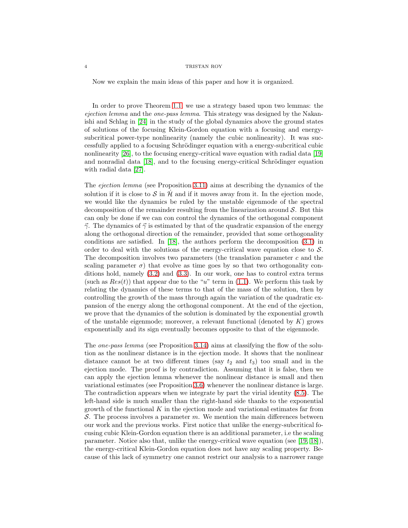Now we explain the main ideas of this paper and how it is organized.

In order to prove Theorem [1.1,](#page-2-1) we use a strategy based upon two lemmas: the ejection lemma and the one-pass lemma. This strategy was designed by the Nakanishi and Schlag in [\[24\]](#page-51-6) in the study of the global dynamics above the ground states of solutions of the focusing Klein-Gordon equation with a focusing and energysubcritical power-type nonlinearity (namely the cubic nonlinearity). It was successfully applied to a focusing Schrödinger equation with a energy-subcritical cubic nonlinearity [\[26\]](#page-52-3), to the focusing energy-critical wave equation with radial data [\[19\]](#page-51-7) and nonradial data  $[18]$ , and to the focusing energy-critical Schrödinger equation with radial data [\[27\]](#page-52-4).

The ejection lemma (see Proposition [3.11\)](#page-13-0) aims at describing the dynamics of the solution if it is close to S in H and if it moves away from it. In the ejection mode, we would like the dynamics be ruled by the unstable eigenmode of the spectral decomposition of the remainder resulting from the linearization around  $\mathcal{S}$ . But this can only be done if we can con control the dynamics of the orthogonal component  $\vec{\gamma}$ . The dynamics of  $\vec{\gamma}$  is estimated by that of the quadratic expansion of the energy along the orthogonal direction of the remainder, provided that some orthogonality conditions are satisfied. In [\[18\]](#page-51-3), the authors perform the decomposition [\(3.1\)](#page-10-0) in order to deal with the solutions of the energy-critical wave equation close to  $S$ . The decomposition involves two parameters (the translation parameter  $c$  and the scaling parameter  $\sigma$ ) that evolve as time goes by so that two orthogonality conditions hold, namely [\(3.2\)](#page-10-1) and [\(3.3\)](#page-10-2). In our work, one has to control extra terms (such as  $Res(t)$ ) that appear due to the "u" term in [\(1.1\)](#page-0-0). We perform this task by relating the dynamics of these terms to that of the mass of the solution, then by controlling the growth of the mass through again the variation of the quadratic expansion of the energy along the orthogonal component. At the end of the ejection, we prove that the dynamics of the solution is dominated by the exponential growth of the unstable eigenmode; moreover, a relevant functional (denoted by  $K$ ) grows exponentially and its sign eventually becomes opposite to that of the eigenmode.

The *one-pass lemma* (see Proposition [3.14\)](#page-14-0) aims at classifying the flow of the solution as the nonlinear distance is in the ejection mode. It shows that the nonlinear distance cannot be at two different times (say  $t_2$  and  $t_3$ ) too small and in the ejection mode. The proof is by contradiction. Assuming that it is false, then we can apply the ejection lemma whenever the nonlinear distance is small and then variational estimates (see Proposition [3.6\)](#page-11-0) whenever the nonlinear distance is large. The contradiction appears when we integrate by part the virial identity [\(8.5\)](#page-22-0). The left-hand side is much smaller than the right-hand side thanks to the exponential growth of the functional  $K$  in the ejection mode and variational estimates far from S. The process involves a parameter  $m$ . We mention the main differences between our work and the previous works. First notice that unlike the energy-subcritical focusing cubic Klein-Gordon equation there is an additional parameter, i.e the scaling parameter. Notice also that, unlike the energy-critical wave equation (see [\[19,](#page-51-7) [18\]](#page-51-3)), the energy-critical Klein-Gordon equation does not have any scaling property. Because of this lack of symmetry one cannot restrict our analysis to a narrower range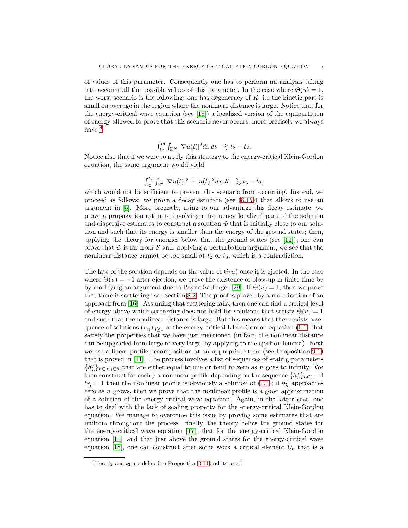of values of this parameter. Consequently one has to perform an analysis taking into account all the possible values of this parameter. In the case where  $\Theta(u) = 1$ , the worst scenario is the following: one has degeneracy of  $K$ , i.e the kinetic part is small on average in the region where the nonlinear distance is large. Notice that for the energy-critical wave equation (see [\[18\]](#page-51-3)) a localized version of the equipartition of energy allowed to prove that this scenario never occurs, more precisely we always have  $4$ 

$$
\int_{t_2}^{t_3} \int_{\mathbb{R}^N} |\nabla u(t)|^2 dx dt \quad \gtrsim t_3 - t_2.
$$

Notice also that if we were to apply this strategy to the energy-critical Klein-Gordon equation, the same argument would yield

$$
\int_{t_2}^{t_3} \int_{\mathbb{R}^d} |\nabla u(t)|^2 + |u(t)|^2 dx dt \geq t_3 - t_3,
$$

which would not be sufficient to prevent this scenario from occurring. Instead, we proceed as follows: we prove a decay estimate (see  $(8.15)$ ) that allows to use an argument in [\[5\]](#page-51-4). More precisely, using to our advantage this decay estimate, we prove a propagation estimate involving a frequency localized part of the solution and dispersive estimates to construct a solution  $\tilde{w}$  that is initially close to our solution and such that its energy is smaller than the energy of the ground states; then, applying the theory for energies below that the ground states (see [\[11\]](#page-51-2)), one can prove that  $\tilde{w}$  is far from S and, applying a perturbation argument, we see that the nonlinear distance cannot be too small at  $t_2$  or  $t_3$ , which is a contradiction.

The fate of the solution depends on the value of  $\Theta(u)$  once it is ejected. In the case where  $\Theta(u) = -1$  after ejection, we prove the existence of blow-up in finite time by by modifying an argument due to Payne-Sattinger [\[29\]](#page-52-0). If  $\Theta(u) = 1$ , then we prove that there is scattering: see Section [8.2.](#page-23-0) The proof is proved by a modification of an approach from [\[16\]](#page-51-0). Assuming that scattering fails, then one can find a critical level of energy above which scattering does not hold for solutions that satisfy  $\Theta(u) = 1$ and such that the nonlinear distance is large. But this means that there exists a sequence of solutions  $(u_n)_{n>1}$  of the energy-critical Klein-Gordon equation [\(1.1\)](#page-0-0) that satisfy the properties that we have just mentioned (in fact, the nonlinear distance can be upgraded from large to very large, by applying to the ejection lemma). Next we use a linear profile decomposition at an appropriate time (see Proposition [9.1\)](#page-34-0) that is proved in [\[11\]](#page-51-2). The process involves a list of sequences of scaling parameters  ${h_n^j}_{n \in \mathbb{N}, j \in \mathbb{N}}$  that are either equal to one or tend to zero as n goes to infinity. We then construct for each j a nonlinear profile depending on the sequence  $\{h_n^j\}_{n\in\mathbb{N}}$ . If  $h_n^j = 1$  then the nonlinear profile is obviously a solution of [\(1.1\)](#page-0-0); if  $h_n^j$  approaches zero as *n* grows, then we prove that the nonlinear profile is a good approximation of a solution of the energy-critical wave equation. Again, in the latter case, one has to deal with the lack of scaling property for the energy-critical Klein-Gordon equation. We manage to overcome this issue by proving some estimates that are uniform throughout the process. finally, the theory below the ground states for the energy-critical wave equation [\[17\]](#page-51-1), that for the energy-critical Klein-Gordon equation [\[11\]](#page-51-2), and that just above the ground states for the energy-critical wave equation [\[18\]](#page-51-3), one can construct after some work a critical element  $U_c$  that is a

<span id="page-4-0"></span><sup>&</sup>lt;sup>4</sup>Here  $t_2$  and  $t_3$  are defined in Proposition [3.14](#page-14-0) and its proof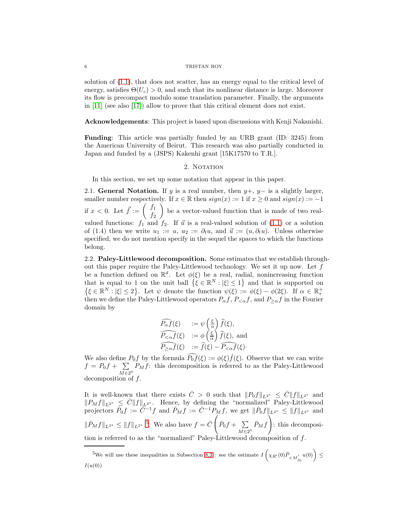solution of [\(1.1\)](#page-0-0), that does not scatter, has an energy equal to the critical level of energy, satisfies  $\Theta(U_c) > 0$ , and such that its nonlinear distance is large. Moreover its flow is precompact modulo some translation parameter. Finally, the arguments in [\[11\]](#page-51-2) (see also [\[17\]](#page-51-1)) allow to prove that this critical element does not exist.

Acknowledgements: This project is based upon discussions with Kenji Nakanishi.

Funding: This article was partially funded by an URB grant (ID: 3245) from the American University of Beirut. This research was also partially conducted in Japan and funded by a (JSPS) Kakenhi grant [15K17570 to T.R.].

# 2. NOTATION

In this section, we set up some notation that appear in this paper.

2.1. General Notation. If y is a real number, then  $y+$ ,  $y-$  is a slightly larger, smaller number respectively. If  $x \in \mathbb{R}$  then  $sign(x) := 1$  if  $x \geq 0$  and  $sign(x) := -1$ if  $x < 0$ . Let  $\vec{f} := \begin{pmatrix} f_1 \\ f_2 \end{pmatrix}$  $f_2$ Ň be a vector-valued function that is made of two realvalued functions:  $f_1$  and  $f_2$ . If  $\vec{u}$  is a real-valued solution of [\(1.1\)](#page-0-0) or a solution of (1.4) then we write  $u_1 := u$ ,  $u_2 := \partial_t u$ , and  $\vec{u} := (u, \partial_t u)$ . Unless otherwise specified, we do not mention specify in the sequel the spaces to which the functions belong.

2.2. Paley-Littlewood decomposition. Some estimates that we establish throughout this paper require the Paley-Littlewood technology. We set it up now. Let  $f$ be a function defined on  $\mathbb{R}^d$ . Let  $\phi(\xi)$  be a real, radial, nonincreasing function that is equal to 1 on the unit ball  $\{\xi \in \mathbb{R}^N : |\xi| \leq 1\}$  and that is supported on  $\{\xi \in \mathbb{R}^N : |\xi| \leq 2\}$ . Let  $\psi$  denote the function  $\psi(\xi) := \phi(\xi) - \phi(2\xi)$ . If  $\alpha \in \mathbb{R}^+_*$ ∗ then we define the Paley-Littlewood operators  $P_{\alpha}f$ ,  $P_{\leq \alpha}f$ , and  $P_{\geq \alpha}f$  in the Fourier domain by

$$
\widehat{P_{\alpha}f}(\xi) := \psi\left(\frac{\xi}{\alpha}\right)\widehat{f}(\xi),
$$
\n
$$
\widehat{P_{\le\alpha}f}(\xi) := \phi\left(\frac{\xi}{\alpha}\right)\widehat{f}(\xi), \text{ and}
$$
\n
$$
\widehat{P_{\ge\alpha}f}(\xi) := \widehat{f}(\xi) - \widehat{P_{\le\alpha}f}(\xi).
$$

We also define  $P_0 f$  by the formula  $\widehat{P_0 f}(\xi) := \phi(\xi) \widehat{f}(\xi)$ . Observe that we can write  $f = P_0 f + \sum$  $\sum_{M\in2^{\mathbb{N}}} P_M f$ : this decomposition is referred to as the Paley-Littlewood decomposition of f.

It is well-known that there exists  $\bar{C} > 0$  such that  $||P_0f||_{L^{2^*}} \leq \bar{C}||f||_{L^{2^*}}$  and  $||P_Mf||_{L^{2^*}} \leq \overline{C}||f||_{L^{2^*}}$ . Hence, by defining the "normalized" Paley-Littlewood projectors  $\bar{P}_0 f := \overline{C}^{-1} f$  and  $\bar{P}_M f := \overline{C}^{-1} P_M f$ , we get  $\|\bar{P}_0 f\|_{L^{2^*}} \leq \|f\|_{L^{2^*}}$  and  $\|\bar{P}_M f\|_{L^{2^*}} \leq \|f\|_{L^{2^*}}$ <sup>[5](#page-5-0)</sup>. We also have  $f = \bar{C}$  $\sqrt{ }$  $\bar{P}_0 f + \sum$  $\sum_{M\in 2^{\mathbb{N}}} \bar{P}_M f$  $\bigwedge^{\hspace{-0.4mm}+0}$ : this decomposition is referred to as the "normalized" Paley-Littlewood decomposition of f.

<span id="page-5-0"></span><sup>&</sup>lt;sup>5</sup>We will use these inequalities in Subsection [8.3](#page-27-0) : see the estimate  $I\left(\chi_{R'}(0)\bar{P}_{\leq M'_{j_0}}u(0)\right) \leq$  $I(u(0))$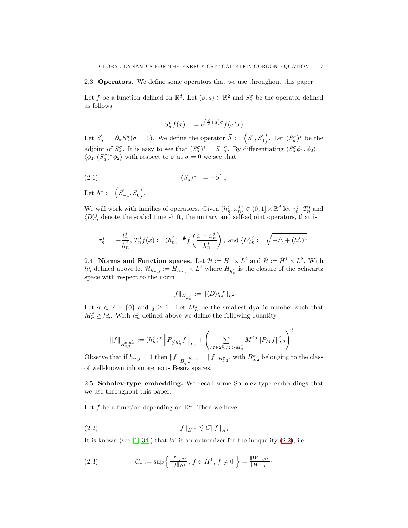2.3. Operators. We define some operators that we use throughout this paper.

Let f be a function defined on  $\mathbb{R}^d$ . Let  $(\sigma, a) \in \mathbb{R}^2$  and  $S_a^{\sigma}$  be the operator defined as follows

<span id="page-6-2"></span>
$$
S_a^{\sigma} f(x) := e^{\left(\frac{d}{2} + a\right)\sigma} f(e^{\sigma} x)
$$

Let  $S'_a := \partial_{\sigma} S_a^{\sigma} (\sigma = 0)$ . We define the operator  $\vec{\Lambda} := (S'_1, S'_0)$ . Let  $(S_a^{\sigma})^*$  be the adjoint of  $S_a^{\sigma}$ . It is easy to see that  $(S_a^{\sigma})^* = S_{-a}^{-\sigma}$ . By differentiating  $\langle S_a^{\sigma} \phi_1, \phi_2 \rangle = \langle \phi_1, \phi_2 \rangle$  $\langle \phi_1, (S_a^{\sigma})^* \phi_2 \rangle$  with respect to  $\sigma$  at  $\sigma=0$  we see that

(2.1) 
$$
(S'_a)^* = -S'_{-a}
$$

Let  $\vec{\Lambda}^* := (S_{-1}^{'}, S_0^{'})$ .

We will work with families of operators. Given  $(h_n^j, x_n^j) \in (0, 1] \times \mathbb{R}^d$  let  $\tau_n^j$ ,  $T_n^j$  and  $\langle D \rangle_n^j$  denote the scaled time shift, the unitary and self-adjoint operators, that is

$$
\tau_n^j := -\frac{t_n^j}{h_n^j}, \ T_n^j f(x) := (h_n^j)^{-\frac{d}{2}} f\left(\frac{x - x_n^j}{h_n^j}\right), \text{ and } \langle D \rangle_n^j := \sqrt{-\triangle + (h_n^j)^2}.
$$

2.4. Norms and Function spaces. Let  $\mathcal{H} := H^1 \times L^2$  and  $\dot{\mathcal{H}} := \dot{H}^1 \times L^2$ . With  $h_n^j$  defined above let  $\mathcal{H}_{h_{n,j}} := H_{h_{n,j}} \times L^2$  where  $H_{h_n^j}$  is the closure of the Schwartz space with respect to the norm

$$
\|f\|_{H_{h_n^j}}:=\|\langle D \rangle_n^j f\|_{L^2}.
$$

Let  $\sigma \in \mathbb{R} - \{0\}$  and  $\check{q} \geq 1$ . Let  $M_n^j$  be the smallest dyadic number such that  $M_n^j \geq h_n^j$ . With  $h_n^j$  defined above we define the following quantity

$$
\|f\|_{\bar{B}^{\sigma,h_n^j}_{\bar{q},2}}:=(h_n^j)^\sigma \left\|P_{\lesssim h_n^j}f\right\|_{L^{\bar{q}}}+\left(\sum_{M\in 2^{\mathbb{Z}}:M>M_n^j}M^{2\sigma}\|P_Mf\|_{L^{\bar{q}}}^2\right)^{\frac{1}{2}}.
$$

Observe that if  $h_{n,j} = 1$  then  $||f||_{\overline{B}_{\tilde{q},2}^{\sigma,h_{n,j}}} = ||f||_{B_{\tilde{q},2}^{\sigma}}$ , with  $B_{\tilde{q},2}^{\sigma}$  belonging to the class of well-known inhomogeneous Besov spaces.

2.5. Sobolev-type embedding. We recall some Sobolev-type embeddings that we use throughout this paper.

Let f be a function depending on  $\mathbb{R}^d$ . Then we have

<span id="page-6-0"></span>
$$
(2.2) \t\t\t\t\t||f||_{L^{2^*}} \lesssim C||f||_{\dot{H}^1}.
$$

It is known (see  $[1, 34]$  $[1, 34]$ ) that W is an extremizer for the inequality  $(2.2)$ , i.e.

<span id="page-6-1"></span>(2.3) 
$$
C_* := \sup \left\{ \frac{\|f\|_{L^{2^*}}}{\|f\|_{\dot{H}^1}}, \ f \in \dot{H}^1, \ f \neq 0 \ \right\} = \frac{\|W\|_{L^{2^*}}}{\|W\|_{\dot{H}^1}}.
$$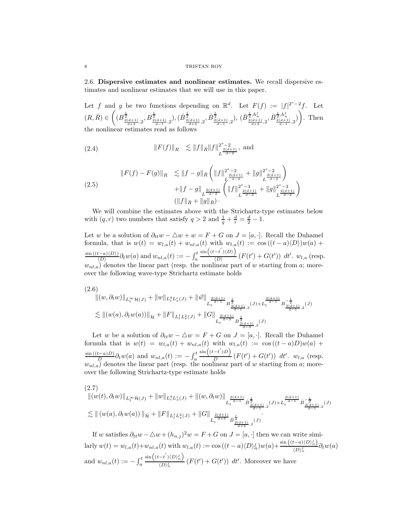2.6. Dispersive estimates and nonlinear estimates. We recall dispersive estimates and nonlinear estimates that we will use in this paper.

Let f and g be two functions depending on  $\mathbb{R}^d$ . Let  $F(f) := |f|^{2^*-2}f$ . Let  $(R,\bar{R}) \in ($  $(B_{\frac{2(d+1)}{d+3},2}^{\frac{1}{2}},B_{\frac{2(d+1)}{d-1},2}^{\frac{1}{2}}),(\dot{B}_{\frac{2(d+1)}{d+3},2}^{\frac{1}{2}},\dot{B}_{\frac{2(d+1)}{d-1},2}^{\frac{1}{2}}),\,(\bar{B}_{\frac{2(d+1)}{d+3},2}^{\frac{1}{2},h_n^j},\bar{B}_{\frac{2(d+1)}{d-1},2}^{\frac{1}{2},h_n^j})$ Ň . Then the nonlinear estimates read as follows

<span id="page-7-0"></span>(2.4) 
$$
||F(f)||_{R} \leq ||f||_{\bar{R}} ||f||_{L^{\frac{2(d+1)}{d-2}}}, \text{ and}
$$

<span id="page-7-1"></span>(2.5) 
$$
||F(f) - F(g)||_{R} \leq ||f - g||_{\bar{R}} \left(||f||_{L^{\frac{2(d+1)}{d-2}}}^{2^{*}-2} + ||g||_{L^{\frac{2(d+1)}{d-2}}}^{2^{*}-2} \right) + ||f - g||_{L^{\frac{2(d+1)}{d-2}}} \left(||f||_{L^{\frac{2(d+1)}{d-2}}}^{2^{*}-3} + ||g||_{L^{\frac{2(d+1)}{d-2}}}^{2^{*}-3} \right)
$$

$$
(||f||_{\bar{R}} + ||g||_{\bar{R}}).
$$

We will combine the estimates above with the Strichartz-type estimates below with  $(q, r)$  two numbers that satisfy  $q > 2$  and  $\frac{1}{q} + \frac{d}{r} = \frac{d}{2} - 1$ .

Let w be a solution of  $\partial_{tt}w - \Delta w + w = F + G$  on  $J = [a, \cdot]$ . Recall the Duhamel formula, that is  $w(t) = w_{l,a}(t) + w_{nl,a}(t)$  with  $w_{l,a}(t) := \cos((t-a) \langle D \rangle) w(a) +$  $\sin((t-a)\langle D\rangle)$  $\frac{\partial(t-a)}{\partial(x)}\frac{\partial(w(a))}{\partial t}$  and  $w_{nl,a}(t) := -\int_a^t$  $\sin\left((t-t^{'})\langle D\rangle\right)$  $\overline{\langle D \rangle}$   $(F(t') + G(t'))$  dt'.  $w_{l,a}$  (resp.  $w_{nl,a}$ ) denotes the linear part (resp. the nonlinear part of w starting from a; moreover the following wave-type Strichartz estimate holds

<span id="page-7-2"></span>
$$
(2.6)
$$
  
\n
$$
||(w, \partial_t w)||_{L_t^{\infty} \mathcal{H}(J)} + ||w||_{L_t^q L_x^r(J)} + ||\vec{w}||_{L_t^{\frac{2(d+1)}{d-1}} B_{\frac{2(d+1)}{d-1},2}^{\frac{1}{d}}(J) \times L_t^{\frac{2(d+1)}{d-1}} B_{\frac{2(d+1)}{d-1},2}^{-\frac{1}{d}}(J)
$$
  
\n
$$
\lesssim ||(w(a), \partial_t w(a))||_{\mathcal{H}} + ||F||_{L_t^1 L_x^2(J)} + ||G||_{L_t^{\frac{2(d+1)}{d-3}} B_{\frac{2(d+1)}{d-3},2}^{\frac{1}{d}}(J)
$$

Let w be a solution of  $\partial_{tt}w - \Delta w = F + G$  on  $J = [a, \cdot]$ . Recall the Duhamel formula that is  $w(t) = w_{l,a}(t) + w_{nl,a}(t)$  with  $w_{l,a}(t) := \cos((t-a)D)w(a) +$  $\frac{\sin((t-a)D)}{D} \partial_t w(a)$  and  $w_{nl,a}(t) := -\int_a^t$  $\sin((t-t')D)$  $\frac{D}{D}$   $(F(t') + G(t'))$  dt'.  $w_{l,a}$  (resp.  $w_{nl,a}$ ) denotes the linear part (resp. the nonlinear part of w starting from a; moreover the following Strichartz-type estimate holds

<span id="page-7-3"></span>
$$
(2.7) \quad \left\| (w(t),\partial_t w)\right\|_{L^\infty_t \dot H(J)} + \|w\|_{L^q_t L^r_x(J)} + \left\| (w,\partial_t w)\right\|_{L^{\frac{2(d+1)}{d-1}}_t \dot B^{\frac{1}{2}}_{\frac{2(d+1)}{d-1},2} (J) \times L^{\frac{2(d+1)}{d-1}}_t \dot B^{\frac{1}{2}}_{\frac{2(d+1)}{d-1},2} (J)} \right\|_{\dot H} + \|F\|_{L^1_t L^2_x(J)} + \|G\|_{L^{\frac{2(d+1)}{d+3}}_t \dot B^{\frac{1}{2}}_{\frac{2(d+1)}{d+3},2} (J)}.
$$

If w satisfies  $\partial_{tt}w - \Delta w + (h_{n,j})^2 w = F + G$  on  $J = [a, \cdot]$  then we can write similarly  $w(t) = w_{l,a}(t) + w_{nl,a}(t)$  with  $w_{l,a}(t) := \cos((t-a) \langle D \rangle_n^j) w(a) + \frac{\sin((t-a) \langle D \rangle_n^j)}{\langle D \rangle_n^j}$  $\frac{\partial}{\partial p}(\Delta x)$ <sub>n</sub> $\partial_t w(a)$ and  $w_{nl,a}(t) := -\int_a^t$  $\sin\left((t-t^{'})\langle D\rangle_{n}^{j}\right)$  $\frac{\partial \langle D \rangle_n^j}{\partial \langle D \rangle_n^j}$   $(F(t') + G(t'))$  dt'. Moreover we have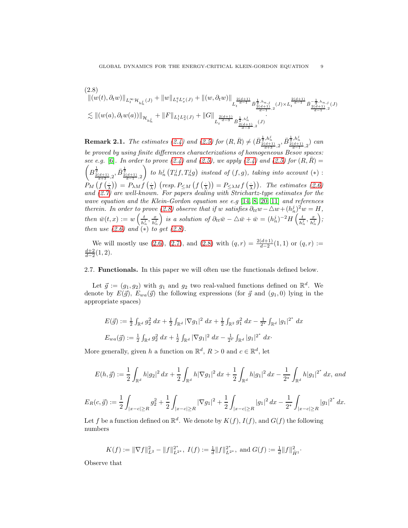<span id="page-8-1"></span>
$$
(2.8)
$$
  
\n
$$
||(w(t),\partial_t w)||_{L_t^{\infty} \mathcal{H}_{h_n^j}(J)} + ||w||_{L_t^q L_x^r(J)} + ||(w,\partial_t w)||_{L_t^{\frac{2(d+1)}{d-1}} \dot{B}_{\frac{2(d+1)}{d-1},2}^{\frac{1}{2},h_{n,j}}(J) \times L_t^{\frac{2(d+1)}{d-1}} \dot{B}_{\frac{2(d+1)}{d-1},2}^{-\frac{1}{2},h_{n,j}}(J)
$$
  
\n
$$
\lesssim ||(w(a),\partial_t w(a))||_{\mathcal{H}_{h_n^j}} + ||F||_{L_t^1 L_x^2(J)} + ||G||_{L_t^{\frac{2(d+1)}{d-3}} \dot{B}_{\frac{2(d+1)}{d-3},2}^{\frac{1}{2},h_{n,j}}(J)}
$$

**Remark 2.1.** The estimates [\(2.4\)](#page-7-0) and [\(2.5\)](#page-7-1) for  $(R, \bar{R}) \neq (\bar{B}_{\frac{2(d+1)}{d+3},2}^{\frac{1}{2},h_n^j}, \bar{B}_{\frac{2(d+1)}{d-1},2}^{\frac{1}{2},h_n^j})$  can be proved by using finite differences characterizations of homogeneous Besov spaces: see e.g. [\[6\]](#page-51-9). In order to prove [\(2.4\)](#page-7-0) and [\(2.5\)](#page-7-1), we apply (2.4) and (2.5) for  $(R,\bar{R}) =$  $\sqrt{ }$  $B^{\frac{1}{2}}_{\frac{2(d+1)}{d+3},2},\bar{B}^{\frac{1}{2}}_{\frac{2(d+1)}{d-1},2}$  $\overline{ }$ to  $h_n^j(T_n^j f, T_n^j g)$  instead of  $(f, g)$ , taking into account  $(*)$ :  $P_M(f(\frac{1}{\lambda})) = P_{\lambda M} f(\frac{1}{\lambda})$  (resp.  $P_{\leq M} (f(\frac{1}{\lambda})) = P_{\leq \lambda M} f(\frac{1}{\lambda})$ ). The estimates [\(2.6\)](#page-7-2) and [\(2.7\)](#page-7-3) are well-known. For papers dealing with Strichartz-type estimates for the wave equation and the Klein-Gordon equation see e.g [\[14,](#page-51-10) [8,](#page-51-11) [20,](#page-51-12) [11\]](#page-51-2) and references therein. In order to prove [\(2.8\)](#page-8-1) observe that if w satisfies  $\partial_{tt}w - \Delta w + (h_n^j)^2 w = H$ , n then  $\bar{w}(t, x) := w\left(\frac{t}{\hbar^3}\right)$  $\frac{t}{h_n^j}, \frac{x}{h_n^j}$  $h_n^j$ is a solution of  $\partial_{tt}\bar{w} - \Delta \bar{w} + \bar{w} = (h_n^j)^{-2}H\left(\frac{t}{h_n^j}\right)$  $\frac{t}{h_n^j}, \frac{x}{h_n^j}$  $h_n^j$  $\bigg),$ then use  $(2.6)$  and  $(*)$  to get  $(2.8)$ .

We will mostly use  $(2.6)$ ,  $(2.7)$ , and  $(2.8)$  with  $(q, r) = \frac{2(d+1)}{d-2}(1, 1)$  or  $(q, r) :=$  $\frac{d+2}{d-2}(1,2).$ 

<span id="page-8-0"></span>2.7. Functionals. In this paper we will often use the functionals defined below.

Let  $\vec{g} := (g_1, g_2)$  with  $g_1$  and  $g_2$  two real-valued functions defined on  $\mathbb{R}^d$ . We denote by  $E(\vec{g})$ ,  $E_{wa}(\vec{g})$  the following expressions (for  $\vec{g}$  and  $(g_1, 0)$  lying in the appropriate spaces)

$$
E(\vec{g}) := \frac{1}{2} \int_{\mathbb{R}^d} g_2^2 dx + \frac{1}{2} \int_{\mathbb{R}^d} |\nabla g_1|^2 dx + \frac{1}{2} \int_{\mathbb{R}^2} g_1^2 dx - \frac{1}{2^*} \int_{\mathbb{R}^d} |g_1|^{2^*} dx
$$
  

$$
E_{wa}(\vec{g}) := \frac{1}{2} \int_{\mathbb{R}^d} g_2^2 dx + \frac{1}{2} \int_{\mathbb{R}^d} |\nabla g_1|^2 dx - \frac{1}{2^*} \int_{\mathbb{R}^d} |g_1|^{2^*} dx.
$$

More generally, given h a function on  $\mathbb{R}^d$ ,  $R > 0$  and  $c \in \mathbb{R}^d$ , let

$$
E(h,\vec{g}) := \frac{1}{2} \int_{\mathbb{R}^d} h|g_2|^2 \, dx + \frac{1}{2} \int_{\mathbb{R}^d} h|\nabla g_1|^2 \, dx + \frac{1}{2} \int_{\mathbb{R}^d} h|g_1|^2 \, dx - \frac{1}{2^*} \int_{\mathbb{R}^d} h|g_1|^{2^*} \, dx, \text{ and}
$$
  

$$
E_R(c,\vec{g}) := \frac{1}{2} \int_{|x-c| \ge R} g_2^2 + \frac{1}{2} \int_{|x-c| \ge R} |\nabla g_1|^2 + \frac{1}{2} \int_{|x-c| \ge R} |g_1|^2 \, dx - \frac{1}{2^*} \int_{|x-c| \ge R} |g_1|^{2^*} \, dx.
$$

Let f be a function defined on  $\mathbb{R}^d$ . We denote by  $K(f)$ ,  $I(f)$ , and  $G(f)$  the following numbers

$$
K(f) := \|\nabla f\|_{L^2}^2 - \|f\|_{L^{2^*}}^2, \ I(f) := \frac{1}{d} \|f\|_{L^{2^*}}^2, \text{ and } G(f) := \frac{1}{d} \|f\|_{H^1}^2.
$$

Observe that

 $(2.8)$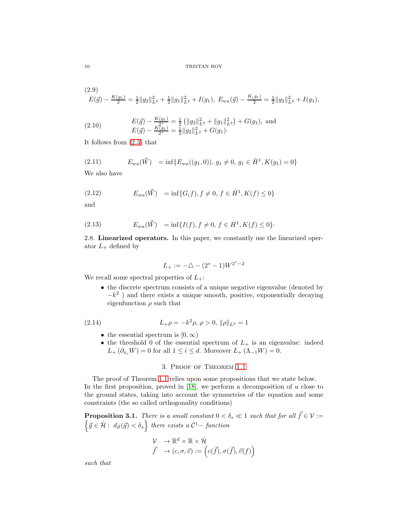<span id="page-9-3"></span>
$$
(2.9) \tE(\vec{g}) - \frac{K(g_1)}{2} = \frac{1}{2} ||g_2||_{L^2}^2 + \frac{1}{2} ||g_1||_{L^2}^2 + I(g_1), \ E_{wa}(\vec{g}) - \frac{K(g_1)}{2} = \frac{1}{2} ||g_2||_{L^2}^2 + I(g_1),
$$

<span id="page-9-1"></span>(2.10) 
$$
E(\vec{g}) - \frac{K(g_1)}{2^*} = \frac{1}{2} (\|g_2\|_{L^2}^2 + \|g_1\|_{L^2}^2) + G(g_1), \text{ and}
$$

$$
E(\vec{g}) - \frac{K(g_1)}{2^*} = \frac{1}{2} \|g_2\|_{L^2}^2 + G(g_1).
$$

It follows from [\(2.3\)](#page-6-1) that

(2.11) 
$$
E_{wa}(\vec{W}) = \inf \{ E_{wa}((g_1, 0)), g_1 \neq 0, g_1 \in \dot{H}^1, K(g_1) = 0 \}
$$

We also have

<span id="page-9-2"></span>(2.12) 
$$
E_{wa}(\vec{W}) = \inf\{G(f), f \neq 0, f \in \dot{H}^1, K(f) \leq 0\}
$$

and

(2.13) 
$$
E_{wa}(\vec{W}) = \inf\{I(f), f \neq 0, f \in \dot{H}^1, K(f) \leq 0\}.
$$

2.8. Linearized operators. In this paper, we constantly use the linearized operator  $L_+$  defined by

$$
L_{+} := -\triangle - (2^{*} - 1)W^{2^{*} - 2}
$$

We recall some spectral properties of  $L_{+}$ :

• the discrete spectrum consists of a unique negative eigenvalue (denoted by  $-k<sup>2</sup>$ ) and there exists a unique smooth, positive, exponentially decaying eigenfunction  $\rho$  such that

<span id="page-9-0"></span>(2.14) 
$$
L_{+}\rho = -k^2 \rho, \ \rho > 0, \ ||\rho||_{L^2} = 1
$$

- the essential spectrum is  $[0, \infty)$
- the threshold 0 of the essential spectrum of  $L_{+}$  is an eigenvalue: indeed  $L_+ (\partial_{x_i} W) = 0$  for all  $1 \leq i \leq d$ . Moreover  $L_+ (\Lambda_{-1} W) = 0$ .

# 3. Proof of Theorem [1.1](#page-2-1)

The proof of Theorem [1.1](#page-2-1) relies upon some propositions that we state below. In the first proposition, proved in  $[18]$ , we perform a decomposition of u close to the ground states, taking into account the symmetries of the equation and some constraints (the so called orthogonality conditions)

**Proposition 3.1.** There is a small constant  $0 < \delta_s \ll 1$  such that for all  $\vec{f} \in \mathcal{V}$  :=  $\left\{\vec{g} \in \mathcal{H}: d_{\mathcal{S}}(\vec{g}) < \delta_s\right\}$  there exists a  $\mathcal{C}^1$  - function

$$
\begin{array}{ll}\n\mathcal{V} & \rightarrow \mathbb{R}^d \times \mathbb{R} \times \dot{\mathcal{H}} \\
\vec{f} & \rightarrow (c, \sigma, \vec{v}) := \left( c(\vec{f}), \sigma(\vec{f}), \vec{v}(f) \right)\n\end{array}
$$

such that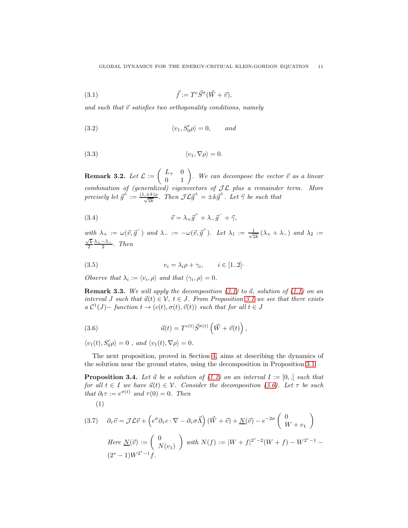<span id="page-10-0"></span>(3.1) 
$$
\vec{f} := T^c \vec{S}^\sigma (\vec{W} + \vec{v}),
$$

and such that  $\vec{v}$  satisfies two orthogonality conditions, namely

<span id="page-10-1"></span>(3.2) 
$$
\langle v_1, S'_0 \rho \rangle = 0, \quad and
$$

<span id="page-10-2"></span>
$$
(3.3) \t\t \langle v_1, \nabla \rho \rangle = 0.
$$

**Remark 3.2.** Let  $\mathcal{L} := \begin{pmatrix} L_+ & 0 \\ 0 & 1 \end{pmatrix}$ . We can decompose the vector  $\vec{v}$  as a linear combination of (generalized) eigenvectors of  $\mathcal{J}\mathcal{L}$  plus a remainder term. More precisely let  $\vec{g}^{\pm} := \frac{(1,\pm k)\rho}{\sqrt{2k}}$ . Then  $\mathcal{J} \mathcal{L} \vec{g}^{\pm} = \pm k \vec{g}^{\pm}$ . Let  $\vec{\gamma}$  be such that

<span id="page-10-4"></span>(3.4) 
$$
\vec{v} = \lambda_{+} \vec{g}^{+} + \lambda_{-} \vec{g}^{-} + \vec{\gamma},
$$

with  $\lambda_+ := \omega(\vec{v}, \vec{g}^-)$  and  $\lambda_- := -\omega(\vec{v}, \vec{g}^+)$ . Let  $\lambda_1 := \frac{1}{\sqrt{2}}$  $\frac{1}{2k}(\lambda_+ + \lambda_-)$  and  $\lambda_2 :=$  $\frac{\sqrt{k}}{2} \frac{\lambda_+ - \lambda_-}{2}$ . Then

<span id="page-10-5"></span>
$$
(3.5) \t v_i = \lambda_i \rho + \gamma_i, \t i \in [1..2]
$$

Observe that  $\lambda_i := \langle v_i, \rho \rangle$  and that  $\langle \gamma_i, \rho \rangle = 0$ .

**Remark 3.3.** We will apply the decomposition  $(3.1)$  to  $\vec{u}$ , solution of  $(1.1)$  on an interval J such that  $\vec{u}(t) \in \mathcal{V}$ ,  $t \in J$ . From Proposition [3.1](#page-10-2) we see that there exists  $a C^1(J)$  – function  $t \to (c(t), \sigma(t), \vec{v}(t))$  such that for all  $t \in J$ 

<span id="page-10-3"></span>(3.6) 
$$
\vec{u}(t) = T^{c(t)} \vec{S}^{\sigma(t)} \left( \vec{W} + \vec{v}(t) \right),
$$

 $\langle v_1(t), S'_0 \rho \rangle = 0$ , and  $\langle v_1(t), \nabla \rho \rangle = 0$ .

<span id="page-10-6"></span>(1)

The next proposition, proved in Section [4,](#page-15-0) aims at describing the dynamics of the solution near the ground states, using the decomposition in Proposition [3.1:](#page-10-2)

**Proposition 3.4.** Let  $\vec{u}$  be a solution of [\(1.1\)](#page-0-0) on an interval  $I := [0, .]$  such that for all  $t \in I$  we have  $\vec{u}(t) \in V$ . Consider the decomposition [\(3.6\)](#page-10-3). Let  $\tau$  be such that  $\partial_t \tau := e^{\sigma(t)}$  and  $\tau(0) = 0$ . Then

(3.7) 
$$
\partial_{\tau}\vec{v} = \mathcal{J}\mathcal{L}\vec{v} + \left(e^{\sigma}\partial_{\tau}c\cdot\nabla - \partial_{\tau}\sigma\vec{\Lambda}\right)(\vec{W} + \vec{v}) + \underline{N}(\vec{v}) - e^{-2\sigma}\begin{pmatrix} 0\\ W + v_1 \end{pmatrix}
$$
  
Here  $\underline{N}(\vec{v}) := \begin{pmatrix} 0\\ N(v_1) \end{pmatrix}$  with  $N(f) := |W + f|^{2^* - 2}(W + f) - W^{2^* - 1} - (2^* - 1)W^{2^* - 1}f$ .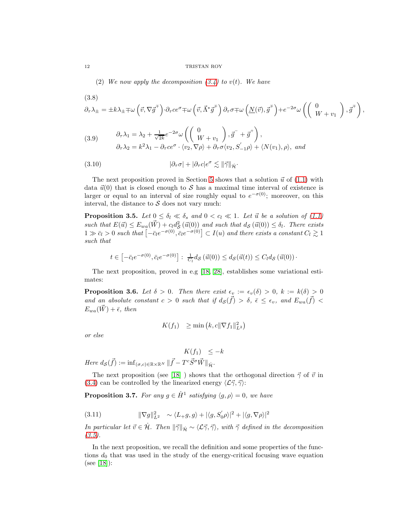(2) We now apply the decomposition  $(3.4)$  to  $v(t)$ . We have

$$
(3.8)
$$

<span id="page-11-2"></span>
$$
\partial_{\tau}\lambda_{\pm} = \pm k\lambda_{\pm} \mp \omega \left(\vec{v}, \nabla \vec{g}^{\mp}\right) \cdot \partial_{\tau} ce^{\sigma} \mp \omega \left(\vec{v}, \vec{\Lambda}^* \vec{g}^{\mp}\right) \partial_{\tau}\sigma \mp \omega \left(\underline{N}(\vec{v}), \vec{g}^{\mp}\right) + e^{-2\sigma} \omega \left(\begin{pmatrix} 0\\ W+v_1 \end{pmatrix}, \vec{g}^{\mp}\right),
$$

<span id="page-11-3"></span>(3.9) 
$$
\begin{aligned}\n\partial_{\tau} \lambda_1 &= \lambda_2 + \frac{1}{\sqrt{2k}} e^{-2\sigma} \omega \left( \begin{pmatrix} 0 \\ W + v_1 \end{pmatrix}, \vec{g}^- + \vec{g}^+ \right), \\
\partial_{\tau} \lambda_2 &= k^2 \lambda_1 - \partial_{\tau} c e^{\sigma} \cdot \langle v_2, \nabla \rho \rangle + \partial_{\tau} \sigma \langle v_2, S_{-1}' \rho \rangle + \langle N(v_1), \rho \rangle, \text{ and} \\
\end{aligned}
$$

<span id="page-11-1"></span>(3.10) 
$$
|\partial_{\tau}\sigma| + |\partial_{\tau}c|e^{\sigma} \lesssim ||\vec{\gamma}||_{\dot{\mathcal{H}}}.
$$

The next proposition proved in Section [5](#page-15-1) shows that a solution  $\vec{u}$  of [\(1.1\)](#page-0-0) with data  $\vec{u}(0)$  that is closed enough to S has a maximal time interval of existence is larger or equal to an interval of size roughly equal to  $e^{-\sigma(0)}$ ; moreover, on this interval, the distance to  $S$  does not vary much:

**Proposition 3.5.** Let  $0 \leq \delta_l \ll \delta_s$  and  $0 < c_l \ll 1$ . Let  $\vec{u}$  be a solution of [\(1.1\)](#page-0-0) such that  $E(\vec{u}) \le E_{wa}(\vec{W}) + c_l d_{\mathcal{S}}^2$  $\mathcal{L}^2_{\mathcal{S}}(\vec{u}(0))$  and such that  $d_{\mathcal{S}}(\vec{u}(0)) \leq \delta_l$ . There exists  $1 \gg \bar{c}_l > 0$  such that  $\left[-\bar{c}_l e^{-\sigma(0)}, \bar{c}_l e^{-\sigma(0)}\right] \subset I(u)$  and there exists a constant  $C_l \gtrsim 1$ such that

$$
t \in \left[ -\bar{c}_l e^{-\sigma(0)}, \bar{c}_l e^{-\sigma(0)} \right] : \frac{1}{C_l} d_{\mathcal{S}}\left(\vec{u}(0)\right) \leq d_{\mathcal{S}}(\vec{u}(t)) \leq C_l d_{\mathcal{S}}\left(\vec{u}(0)\right).
$$

The next proposition, proved in e.g [\[18,](#page-51-3) [28\]](#page-52-6), establishes some variational estimates:

**Proposition 3.6.** Let  $\delta > 0$ . Then there exist  $\epsilon_v := \epsilon_v(\delta) > 0$ ,  $k := k(\delta) > 0$ and an absolute constant  $c > 0$  such that if  $d_S(\vec{f}) > \delta$ ,  $\bar{\epsilon} \leq \epsilon_v$ , and  $E_{wa}(\vec{f}) <$  $E_{wa}(\vec{W}) + \bar{\epsilon}$ , then

$$
K(f_1) \geq \min(k, c \|\nabla f_1\|_{L^2}^2)
$$

or else

$$
K(f_1) \leq -k
$$

Here  $d_{\mathcal{S}}(\vec{f}) := \inf_{(\sigma,c) \in \mathbb{R} \times \mathbb{R}^N} \|\vec{f} - T^c \vec{S}^{\sigma} \vec{W} \|_{\dot{\mathcal{H}}}$ .

The next proposition (see [\[18\]](#page-51-3)) shows that the orthogonal direction  $\vec{\gamma}$  of  $\vec{v}$  in [\(3.4\)](#page-10-4) can be controlled by the linearized energy  $\langle \mathcal{L} \vec{\gamma}, \vec{\gamma} \rangle$ :

**Proposition 3.7.** For any  $g \in \dot{H}^1$  satisfying  $\langle g, \rho \rangle = 0$ , we have

<span id="page-11-0"></span>(3.11) 
$$
\|\nabla g\|_{L^2}^2 \sim \langle L+g, g\rangle + |\langle g, S_0' \rho\rangle|^2 + |\langle g, \nabla \rho\rangle|^2
$$

In particular let  $\vec{v} \in \dot{\mathcal{H}}$ . Then  $\|\vec{\gamma}\|_{\dot{\mathcal{H}}} \sim \langle \mathcal{L} \vec{\gamma}, \vec{\gamma} \rangle$ , with  $\vec{\gamma}$  defined in the decomposition  $(3.5).$  $(3.5).$ 

In the next proposition, we recall the definition and some properties of the functions  $d_0$  that was used in the study of the energy-critical focusing wave equation (see [\[18\]](#page-51-3)):

$$
12\quad
$$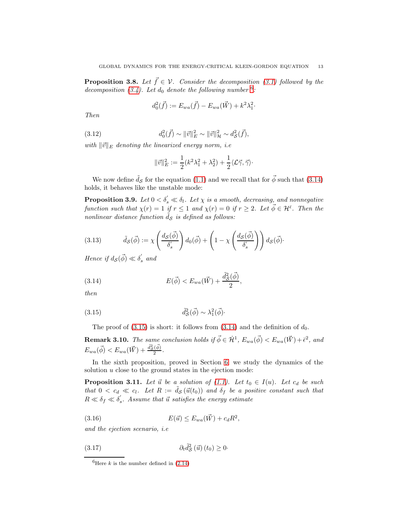**Proposition 3.8.** Let  $\vec{f} \in V$ . Consider the decomposition [\(3.1\)](#page-10-0) followed by the decomposition [\(3.4\)](#page-10-4). Let  $d_0$  denote the following number  $6$ .

$$
d_0^2(\vec{f}) := E_{wa}(\vec{f}) - E_{wa}(\vec{W}) + k^2 \lambda_1^2.
$$

Then

<span id="page-12-5"></span>(3.12) 
$$
d_0^2(\vec{f}) \sim ||\vec{v}||_E^2 \sim ||\vec{v}||_{\mathcal{H}}^2 \sim d_{\mathcal{S}}^2(\vec{f}),
$$

with  $\|\vec{v}\|_E$  denoting the linearized energy norm, i.e.

$$
\|\vec{v}\|_E^2 := \frac{1}{2}(k^2\lambda_1^2 + \lambda_2^2) + \frac{1}{2}\langle \mathcal{L}\vec{\gamma}, \vec{\gamma} \rangle
$$

We now define  $\tilde{d}_{\mathcal{S}}$  for the equation [\(1.1\)](#page-0-0) and we recall that for  $\vec{\phi}$  such that [\(3.14\)](#page-12-1) holds, it behaves like the unstable mode:

**Proposition 3.9.** Let  $0 < \delta_s' \ll \delta_l$ . Let  $\chi$  is a smooth, decreasing, and nonnegative function such that  $\chi(r) = 1$  if  $r \leq 1$  and  $\chi(r) = 0$  if  $r \geq 2$ . Let  $\vec{\phi} \in \mathcal{H}^{\bar{\epsilon}}$ . Then the nonlinear distance function  $\tilde{d}_{\mathcal{S}}$  is defined as follows:

<span id="page-12-3"></span>(3.13) 
$$
\tilde{d}_{\mathcal{S}}(\vec{\phi}) := \chi \left( \frac{d_{\mathcal{S}}(\vec{\phi})}{\delta'_{s}} \right) d_{0}(\vec{\phi}) + \left( 1 - \chi \left( \frac{d_{\mathcal{S}}(\vec{\phi})}{\delta'_{s}} \right) \right) d_{\mathcal{S}}(\vec{\phi})
$$

Hence if  $d_{\mathcal{S}}(\vec{\phi}) \ll \delta'_{s}$  and

<span id="page-12-1"></span>(3.14) 
$$
E(\vec{\phi}) < E_{wa}(\vec{W}) + \frac{\tilde{d}_{\mathcal{S}}^2(\vec{\phi})}{2},
$$

then

(3.15) 
$$
\tilde{d}_{\mathcal{S}}^2(\vec{\phi}) \sim \lambda_1^2(\vec{\phi})
$$

<span id="page-12-2"></span>The proof of [\(3.15\)](#page-12-2) is short: it follows from [\(3.14\)](#page-12-1) and the definition of  $d_0$ .

**Remark 3.10.** The same conclusion holds if  $\vec{\phi} \in \dot{\mathcal{H}}^1$ ,  $E_{wa}(\vec{\phi}) < E_{wa}(\vec{W}) + \bar{\epsilon}^2$ , and  $E_{wa}(\vec{\phi}) < E_{wa}(\vec{W}) + \frac{\tilde{d}_{\mathcal{S}}^2(\vec{\phi})}{2}.$ 

In the sixth proposition, proved in Section [6,](#page-17-0) we study the dynamics of the solution  $u$  close to the ground states in the ejection mode:

**Proposition 3.11.** Let  $\vec{u}$  be a solution of [\(1.1\)](#page-0-0). Let  $t_0 \in I(u)$ . Let  $c_d$  be such that  $0 < c_d \ll c_l$ . Let  $R := \tilde{d}_{\mathcal{S}}(\vec{u}(t_0))$  and  $\delta_f$  be a positive constant such that  $R \ll \delta_f \ll \delta_s'$ . Assume that  $\vec{u}$  satisfies the energy estimate

$$
(3.16) \t\t\t E(\vec{u}) \le E_{wa}(\vec{W}) + c_d R^2,
$$

and the ejection scenario, i.e

<span id="page-12-4"></span>
$$
(3.17) \t\t \partial_t \tilde{d}_{\mathcal{S}}^2(\vec{u}) (t_0) \ge 0
$$

<span id="page-12-0"></span><sup>&</sup>lt;sup>6</sup>Here k is the number defined in  $(2.14)$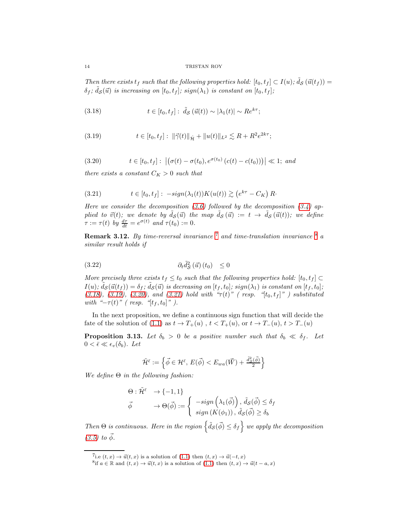Then there exists  $t_f$  such that the following properties hold:  $[t_0, t_f] \subset I(u)$ ;  $\tilde{d}_{\mathcal{S}}(\vec{u}(t_f)) =$  $\delta_f$ ;  $\tilde{d}_{\mathcal{S}}(\vec{u})$  is increasing on  $[t_0, t_f]$ ; sign( $\lambda_1$ ) is constant on  $[t_0, t_f]$ ;

<span id="page-13-3"></span>(3.18) 
$$
t \in [t_0, t_f]: \tilde{d}_{\mathcal{S}}(\vec{u}(t)) \sim |\lambda_1(t)| \sim Re^{k\tau};
$$

<span id="page-13-4"></span>(3.19) 
$$
t \in [t_0, t_f]: \ \|\vec{\gamma}(t)\|_{\dot{\mathcal{H}}} + \|u(t)\|_{L^2} \lesssim R + R^2 e^{2k\tau};
$$

<span id="page-13-5"></span>(3.20) 
$$
t \in [t_0, t_f]: |(\sigma(t) - \sigma(t_0), e^{\sigma(t_0)} (c(t) - c(t_0)))| \ll 1;
$$
 and

there exists a constant  $C_K > 0$  such that

<span id="page-13-0"></span>(3.21) 
$$
t \in [t_0, t_f]: -sign(\lambda_1(t))K(u(t)) \gtrsim (e^{k\tau} - C_K)R.
$$

Here we consider the decomposition [\(3.6\)](#page-10-3) followed by the decomposition [\(3.4\)](#page-10-4) applied to  $\vec{v}(t)$ ; we denote by  $\tilde{d}_{\mathcal{S}}(\vec{u})$  the map  $\tilde{d}_{\mathcal{S}}(\vec{u}) := t \to \tilde{d}_{\mathcal{S}}(\vec{u}(t))$ ; we define  $\tau := \tau(t)$  by  $\frac{d\tau}{dt} = e^{\sigma(t)}$  and  $\tau(t_0) := 0$ .

**Remark 3.12.** By time-reversal invariance  $7$  and time-translation invariance  $8$  a similar result holds if

$$
(3.22) \t\t \t\t \partial_t \tilde{d}_{\mathcal{S}}^2(\vec{u}) (t_0) \leq 0
$$

More precisely three exists  $t_f \le t_0$  such that the following properties hold:  $[t_0, t_f] \subset$  $I(u)$ ;  $\tilde{d}_{\mathcal{S}}(\vec{u}(t_f)) = \delta_f$ ;  $\tilde{d}_{\mathcal{S}}(\vec{u})$  is decreasing on  $[t_f, t_0]$ ; sign( $\lambda_1$ ) is constant on  $[t_f, t_0]$ ; [\(3.18\)](#page-13-3), [\(3.19\)](#page-13-4), [\(3.20\)](#page-13-5), and [\(3.21\)](#page-13-0) hold with " $\tau(t)$ " (resp. "[ $t_0, t_f$ ]") substituted with " $-\tau(t)$ " (resp. "[ $t_f, t_0$ ]").

In the next proposition, we define a continuous sign function that will decide the fate of the solution of [\(1.1\)](#page-0-0) as  $t \to T_+(u)$ ,  $t < T_+(u)$ , or  $t \to T_-(u)$ ,  $t > T_-(u)$ 

**Proposition 3.13.** Let  $\delta_b > 0$  be a positive number such that  $\delta_b \ll \delta_f$ . Let  $0 < \bar{\epsilon} \ll \epsilon_v(\delta_b)$ . Let

$$
\tilde{\mathcal{H}}^{\bar{\epsilon}}:=\left\{ \vec{\phi}\in\mathcal{H}^{\bar{\epsilon}},\, E(\vec{\phi})
$$

We define  $\Theta$  in the following fashion:

$$
\Theta : \tilde{\mathcal{H}}^{\bar{\epsilon}} \to \{-1, 1\}
$$
  

$$
\vec{\phi} \to \Theta(\vec{\phi}) := \begin{cases} -sign\left(\lambda_1(\vec{\phi})\right), \tilde{d}_{\mathcal{S}}(\vec{\phi}) \le \delta_f \\ sign\left(K(\phi_1)\right), \tilde{d}_{\mathcal{S}}(\vec{\phi}) \ge \delta_b \end{cases}
$$

Then  $\Theta$  is continuous. Here in the region  $\left\{ \tilde{d}_{\mathcal{S}}(\vec{\phi}) \leq \delta_f \right\}$  we apply the decomposition  $(3.5)$  to  $\vec{\phi}$ .

<sup>&</sup>lt;sup>7</sup>i.e  $(t, x) \rightarrow \vec{u}(t, x)$  is a solution of [\(1.1\)](#page-0-0) then  $(t, x) \rightarrow \vec{u}(-t, x)$ 

<span id="page-13-2"></span><span id="page-13-1"></span><sup>&</sup>lt;sup>8</sup>if  $a \in \mathbb{R}$  and  $(t, x) \to \vec{u}(t, x)$  is a solution of  $(1.1)$  then  $(t, x) \to \vec{u}(t - a, x)$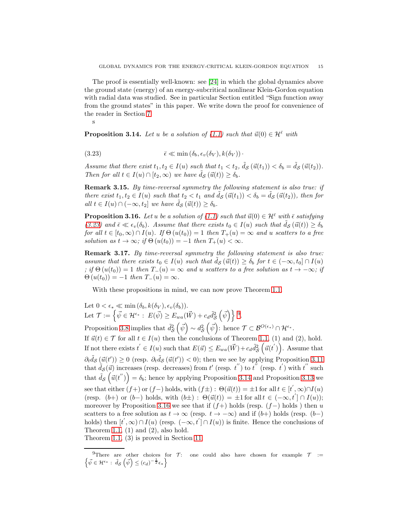The proof is essentially well-known: see [\[24\]](#page-51-6) in which the global dynamics above the ground state (energy) of an energy-subcritical nonlinear Klein-Gordon equation with radial data was studied. See in particular Section entitled "Sign function away from the ground states" in this paper. We write down the proof for convenience of the reader in Section [7.](#page-19-0)

<span id="page-14-0"></span>s

**Proposition 3.14.** Let u be a solution of [\(1.1\)](#page-0-0) such that  $\vec{u}(0) \in \mathcal{H}^{\bar{\epsilon}}$  with

(3.23) 
$$
\bar{\epsilon} \ll \min(\delta_b, \epsilon_v(\delta_V), k(\delta_V))
$$

Assume that there exist  $t_1, t_2 \in I(u)$  such that  $t_1 < t_2$ ,  $\tilde{d}_{\mathcal{S}}(\vec{u}(t_1)) < \delta_b = \tilde{d}_{\mathcal{S}}(\vec{u}(t_2))$ . Then for all  $t \in I(u) \cap [t_2,\infty)$  we have  $\tilde{d}_{\mathcal{S}}(\vec{u}(t)) \geq \delta_b$ .

Remark 3.15. By time-reversal symmetry the following statement is also true: if there exist  $t_1, t_2 \in I(u)$  such that  $t_2 < t_1$  and  $d_{\mathcal{S}}(\vec{u}(t_1)) < \delta_b = d_{\mathcal{S}}(\vec{u}(t_2))$ , then for all  $t \in I(u) \cap (-\infty, t_2]$  we have  $\tilde{d}_{\mathcal{S}}(\vec{u}(t)) \geq \delta_b$ .

<span id="page-14-2"></span>**Proposition 3.16.** Let u be a solution of [\(1.1\)](#page-0-0) such that  $\vec{u}(0) \in \mathcal{H}^{\bar{\epsilon}}$  with  $\bar{\epsilon}$  satisfying [\(3.23\)](#page-14-0) and  $\bar{\epsilon} \ll \epsilon_v(\delta_b)$ . Assume that there exists  $t_0 \in I(u)$  such that  $\tilde{d}_{\mathcal{S}}(\vec{u}(t)) \geq \delta_b$ for all  $t \in [t_0, \infty) \cap I(u)$ . If  $\Theta(u(t_0)) = 1$  then  $T_+(u) = \infty$  and u scatters to a free solution as  $t \to \infty$ ; if  $\Theta(u(t_0)) = -1$  then  $T_+(u) < \infty$ .

Remark 3.17. By time-reversal symmetry the following statement is also true: assume that there exists  $t_0 \in I(u)$  such that  $d_S(\vec{u}(t)) \geq \delta_b$  for  $t \in (-\infty, t_0] \cap I(u)$ ; if  $\Theta(u(t_0)) = 1$  then  $T_-(u) = \infty$  and u scatters to a free solution as  $t \to -\infty$ ; if  $\Theta(u(t_0)) = -1$  then  $T_-(u) = \infty$ .

With these propositions in mind, we can now prove Theorem [1.1.](#page-2-1)

Let  $0 < \epsilon_* \ll \min(\delta_b, k(\delta_V), \epsilon_v(\delta_b)).$ Let  $\mathcal{T} := \left\{ \vec{\psi} \in \mathcal{H}^{\epsilon_*} : E(\vec{\psi}) \ge E_{wa}(\vec{W}) + c_d \tilde{d}_{\mathcal{S}}^2 \right\}$  $\circ$  $(\vec{\psi})\}$  [9](#page-14-1). Proposition [3.8](#page-12-3) implies that  $\tilde{d}_{\mathcal{S}}^2$  $(\vec{\psi}) \sim d_{\mathcal{S}}^2$  $(\vec{\psi})$ : hence  $\mathcal{T} \subset \mathcal{B}^{O(\epsilon_*)} \cap \mathcal{H}^{\epsilon_*}.$ 

 $\circ$  $\circ$ If  $\vec{u}(t) \in \mathcal{T}$  for all  $t \in I(u)$  then the conclusions of Theorem [1.1,](#page-2-1) (1) and (2), hold. If not there exists  $t' \in I(u)$  such that  $E(\vec{u}) \le E_{wa}(\vec{W}) + c_d \tilde{d}_{\mathcal{S}}^2$  $\circ$  $(\vec{u}(t'))$ . Assume that  $\partial_t \tilde{d}_{\mathcal{S}}(\vec{u}(t')) \geq 0$  (resp.  $\partial_t \tilde{d}_{\mathcal{S}}(\vec{u}(t')) < 0$ ); then we see by applying Proposition [3.11](#page-13-0) that  $\tilde{d}_{\mathcal{S}}(\vec{u})$  increases (resp. decreases) from  $t'$  (resp.  $t'$ ) to  $t''$  (resp.  $t'$ ) with  $t''$  such that  $\tilde{d}_{\mathcal{S}}\left(\vec{u}(t'')\right) = \delta_b$ ; hence by applying Proposition [3.14](#page-14-0) and Proposition [3.13](#page-14-0) we see that either  $(f+)$  or  $(f-)$  holds, with  $(f\pm)$ :  $\Theta(\vec{u}(t)) = \pm 1$  for all  $t \in [t',\infty) \cap I(u)$ (resp.  $(b+)$  or  $(b-)$  holds, with  $(b\pm)$ :  $\Theta(\vec{u}(t)) = \pm 1$  for all  $t \in (-\infty, t'] \cap I(u)$ ); moreover by Proposition [3.16](#page-14-2) we see that if  $(f+)$  holds (resp.  $(f-)$  holds) then u scatters to a free solution as  $t \to \infty$  (resp.  $t \to -\infty$ ) and if  $(b+)$  holds (resp.  $(b-)$ holds) then  $[t', \infty) \cap I(u)$  (resp.  $(-\infty, t'] \cap I(u)$ ) is finite. Hence the conclusions of Theorem [1.1,](#page-2-1)  $(1)$  and  $(2)$ , also hold.

Theorem [1.1,](#page-2-1) (3) is proved in Section [11.](#page-50-0)

<span id="page-14-1"></span><sup>&</sup>lt;sup>9</sup>There are other choices for  $\mathcal{T}$ : one could also have chosen for example  $\mathcal{T}$  :=  $\left\{ \vec{\psi} \in \mathcal{H}^{\epsilon_*} : \tilde{d}_{\mathcal{S}}\left( \vec{\psi} \right) \leq (c_d)^{-\frac{1}{2}} \epsilon_* \right\}$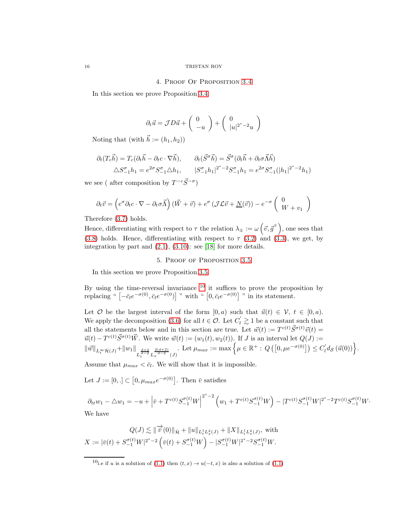#### 4. Proof Of Proposition [3.4](#page-11-1)

<span id="page-15-0"></span>In this section we prove Proposition [3.4.](#page-11-1)

$$
\partial_t \vec{u} = \mathcal{J}D\vec{u} + \begin{pmatrix} 0 \\ -u \end{pmatrix} + \begin{pmatrix} 0 \\ |u|^{2^*-2}u \end{pmatrix}
$$

Noting that (with  $h := (h_1, h_2)$ )

$$
\partial_t (T_c \vec{h}) = T_c (\partial_t \vec{h} - \partial_t c \cdot \nabla \vec{h}), \qquad \partial_t (\vec{S}^\sigma \vec{h}) = \vec{S}^\sigma (\partial_t \vec{h} + \partial_t \sigma \vec{\Lambda} \vec{h})
$$
  

$$
\triangle S_{-1}^\sigma h_1 = e^{2\sigma} S_{-1}^\sigma \triangle h_1, \qquad |S_{-1}^\sigma h_1|^{2^*-2} S_{-1}^\sigma h_1 = e^{2\sigma} S_{-1}^\sigma (|h_1|^{2^*-2} h_1)
$$

we see ( after composition by  $T^{-c}\vec{S}^{-\sigma}$ )

$$
\partial_t \vec{v} = \left( e^{\sigma} \partial_t c \cdot \nabla - \partial_t \sigma \vec{\Lambda} \right) (\vec{W} + \vec{v}) + e^{\sigma} \left( \mathcal{J} \mathcal{L} \vec{v} + \underline{N}(\vec{v}) \right) - e^{-\sigma} \begin{pmatrix} 0 \\ W + v_1 \end{pmatrix}
$$

Therefore [\(3.7\)](#page-10-6) holds.

Hence, differentiating with respect to  $\tau$  the relation  $\lambda_{\pm} := \omega \left( \vec{v}, \vec{g}^{\pm} \right)$ , one sees that [\(3.8\)](#page-11-2) holds. Hence, differentiating with respect to  $\tau$  [\(3.2\)](#page-10-1) and [\(3.3\)](#page-10-2), we get, by integration by part and [\(2.1\)](#page-6-2), [\(3.10\)](#page-11-1): see [\[18\]](#page-51-3) for more details.

# 5. Proof of Proposition [3.5](#page-11-0)

<span id="page-15-1"></span>In this section we prove Proposition [3.5.](#page-11-0)

By using the time-reversal invariance  $10$  it suffices to prove the proposition by replacing "  $\left[-\bar{c}_l e^{-\sigma(0)}, \bar{c}_l e^{-\sigma(0)}\right]$ " with "  $\left[0, \bar{c}_l e^{-\sigma(0)}\right]$ " in its statement.

Let  $O$  be the largest interval of the form  $[0, a)$  such that  $\vec{u}(t) \in \mathcal{V}$ ,  $t \in [0, a)$ . We apply the decomposition [\(3.6\)](#page-10-3) for all  $t \in \mathcal{O}$ . Let  $C'_l \gtrsim 1$  be a constant such that all the statements below and in this section are true. Let  $\vec{w}(t) := T^{c(t)} \vec{S}^{\sigma(t)} \vec{v}(t) =$  $\vec{u}(t) - T^{c(t)} \vec{S}^{\sigma(t)} \vec{W}$ . We write  $\vec{w}(t) := (w_1(t), w_2(t))$ . If J is an interval let  $Q(J) :=$  $\|\vec{w}\|_{L^{\infty}_{t}\dot{\mathcal{H}}(J)}+\|w_{1}\|_{L^{\frac{d+2}{d-2}}_{t}L^{\frac{2(d+2)}{d-2}}_{x}(J)}$ Let  $\mu_{max} := \max \Big\{ \mu \in \mathbb{R}^+ : Q\left( \left[ 0, \mu e^{-\sigma(0)} \right] \right) \leq C'_l d_{\mathcal{S}}\left( \vec{u}(0) \right) \Big\}.$ 

Assume that  $\mu_{max} < \bar{c}_l$ . We will show that it is impossible.

Let  $J := [0, .] \subset [0, \mu_{max} e^{-\sigma(0)}].$  Then  $\bar{v}$  satisfies

 $\partial_{tt} w_1 - \triangle w_1 = -u + \left| \bar{v} + T^{c(t)} S_{-1}^{\sigma(t)} W \right|$  $\int_{2^{*}-2}^{2^{*}-2} \left( w_{1}+ T^{c(t)} S_{-1}^{\sigma(t)} W\right) - |T^{c(t)} S_{-1}^{\sigma(t)} W|^{2^{*}-2} T^{c(t)} S_{-1}^{\sigma(t)} W.$ We have

$$
Q(J) \lesssim \|\overrightarrow{v}(0)\|_{\dot{\mathcal{H}}} + \|u\|_{L^1_t L^2_x(J)} + \|X\|_{L^1_t L^2_x(J)}, \text{ with}
$$
  

$$
X := |\overline{v}(t) + S^{\sigma(t)}_{-1} W|^{2^*-2} \left(\overline{v}(t) + S^{\sigma(t)}_{-1} W\right) - |S^{\sigma(t)}_{-1} W|^{2^*-2} S^{\sigma(t)}_{-1} W.
$$

<span id="page-15-2"></span><sup>&</sup>lt;sup>10</sup>i.e if u is a solution of [\(1.1\)](#page-0-0) then  $(t, x)$  →  $u(-t, x)$  is also a solution of (1.1)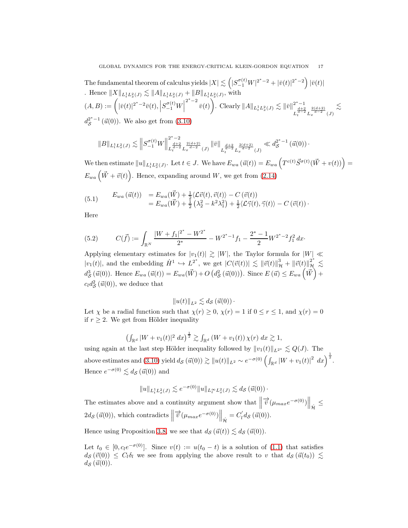The fundamental theorem of calculus yields  $|X| \lesssim \left(|S_{-1}^{\sigma(t)}W|^{2^*-2}+|\bar v(t)|^{2^*-2}\right) |\bar v(t)|$ . Hence  $||X||_{L_t^1 L_x^2(J)} \lesssim ||A||_{L_t^1 L_x^2(J)} + ||B||_{L_t^1 L_x^2(J)}$ , with  $(A, B) := \left( |\bar{v}(t)|^{2^*-2} \bar{v}(t), |S_{-1}^{\sigma(t)}W\right)$  $^{2^{*}-2}$   $\bar{v}(t)$  $\sqrt{ }$ . Clearly  $||A||_{L_t^1 L_x^2(J)} \lesssim ||\bar{v}||^{2^* - 1}$  $L_t^{\frac{d+2}{d-2}} L_x^{\frac{2(d+2)}{d-2}}(J)$  $\lesssim$  $d_{\mathcal{S}}^{2^{*}-1}(\vec{u}(0)).$  We also get from  $(3.10)$ 

$$
\|B\|_{L^1_t L^2_x(J)} \lesssim \left\|S_{-1}^{\sigma(t)} W\right\|_{L^{\frac{d+2}{d-2}}_t L^{\frac{2(d+2)}{d-2}}_x(J)}^{2^*-2} \left\|\bar v\right\|_{L^{\frac{d+2}{d-2}}_t L^{\frac{2(d+2)}{d-2}}_x(J)} \ll d_{\mathcal{S}}^{2^*-1}\left(\vec u(0)\right) \cdot
$$

We then estimate  $||u||_{L_t^1 L_x^2(J)}$ . Let  $t \in J$ . We have  $E_{wa}(\vec{u}(t)) = E_{wa} (T^{c(t)} \vec{S}^{\sigma(t)}(\vec{W} + v(t))) =$  $E_{wa}(\vec{W} + \vec{v}(t))$ . Hence, expanding around W, we get from [\(2.14\)](#page-9-0)

<span id="page-16-1"></span>(5.1) 
$$
E_{wa}(\vec{u}(t)) = E_{wa}(\vec{W}) + \frac{1}{2}\langle \mathcal{L}\vec{v}(t), \vec{v}(t) \rangle - C(\vec{v}(t))
$$
  

$$
= E_{wa}(\vec{W}) + \frac{1}{2}(\lambda_2^2 - k^2\lambda_1^2) + \frac{1}{2}\langle \mathcal{L}\vec{\gamma}(t), \vec{\gamma}(t) \rangle - C(\vec{v}(t))
$$

Here

<span id="page-16-0"></span>(5.2) 
$$
C(\vec{f}) := \int_{\mathbb{R}^N} \frac{|W + f_1|^{2^*} - W^{2^*}}{2^*} - W^{2^*-1} f_1 - \frac{2^*-1}{2} W^{2^*-2} f_1^2 dx.
$$

Applying elementary estimates for  $|v_1(t)| \geq |W|$ , the Taylor formula for  $|W| \ll$  $|v_1(t)|$ , and the embedding  $H^1 \hookrightarrow L^{2^*}$ , we get  $|C(\vec{v}(t))| \lesssim ||\vec{v}(t)||_{\mathcal{H}}^3 + ||\vec{v}(t)||_{\mathcal{H}}^{2^*} \lesssim$  $d_{\mathcal{S}}^3$  $S_{\mathcal{S}}(\vec{u}(0))$ . Hence  $E_{wa}(\vec{u}(t)) = E_{wa}(\vec{W}) + O(d_{\mathcal{S}}^2)$  $\mathcal{L}_{\mathcal{S}}^{2}(\vec{u}(0)))$ . Since  $E(\vec{u}) \leq E_{wa}(\vec{W}) +$  $c_l d_S^2$  $\mathcal{E}(\vec{u}(0)),$  we deduce that

$$
||u(t)||_{L^2} \lesssim d_{\mathcal{S}}(\vec{u}(0))\cdot
$$

Let  $\chi$  be a radial function such that  $\chi(r) \geq 0$ ,  $\chi(r) = 1$  if  $0 \leq r \leq 1$ , and  $\chi(r) = 0$ if  $r \geq 2$ . We get from Hölder inequality

$$
\left(\int_{\mathbb{R}^d} |W + v_1(t)|^2 \ dx\right)^{\frac{1}{2}} \gtrsim \int_{\mathbb{R}^d} \left(W + v_1(t)\right) \chi(r) \ dx \gtrsim 1,
$$

using again at the last step Hölder inequality followed by  $||v_1(t)||_{L^{2^*}} \leq Q(J)$ . The above estimates and [\(3.10\)](#page-11-1) yield  $d_{\mathcal{S}}(\vec{u}(0)) \gtrsim ||u(t)||_{L^2} \sim e^{-\sigma(0)} \left( \int_{\mathbb{R}^d} |W + v_1(t)|^2 \, dx \right)^{\frac{1}{2}}$ . Hence  $e^{-\sigma(0)} \lesssim d_{\mathcal{S}}(\vec{u}(0))$  and

$$
||u||_{L_t^1 L_x^2(J)} \lesssim e^{-\sigma(0)}||u||_{L_t^\infty L_x^2(J)} \lesssim d_{\mathcal{S}}(\vec{u}(0))\,\cdot
$$

The estimates above and a continuity argument show that  $\parallel$  $\overrightarrow{\tilde{v}}(\mu_{max}e^{-\sigma(0)})\Big\Vert_{\dot{\mathcal{H}}}\leq$  $2d_{\mathcal{S}}(\vec{u}(0)),$  which contradicts  $\parallel$  $\overrightarrow{v}(\mu_{max}e^{-\sigma(0)})\Big\|_{\mathcal{H}}=C'_l d_{\mathcal{S}}(\vec{u}(0)).$ 

Hence using Proposition [3.8,](#page-12-3) we see that  $d_{\mathcal{S}}(\vec{u}(t)) \lesssim d_{\mathcal{S}}(\vec{u}(0)).$ 

Let  $t_0 \in [0, c_1e^{-\sigma(0)}]$ . Since  $v(t) := u(t_0 - t)$  is a solution of [\(1.1\)](#page-0-0) that satisfies  $d_{\mathcal{S}}(\vec{v}(0)) \leq C_l \delta_l$  we see from applying the above result to v that  $d_{\mathcal{S}}(\vec{u}(t_0)) \lesssim$  $d_{\mathcal{S}}(\vec{u}(0)).$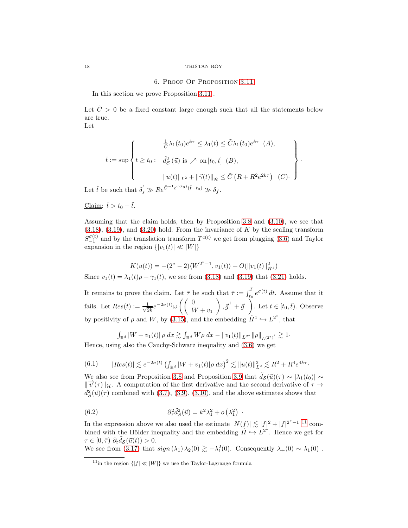## 6. Proof Of Proposition [3.11](#page-13-0)

In this section we prove Proposition [3.11](#page-13-0) .

Let  $\tilde{C} > 0$  be a fixed constant large enough such that all the statements below are true.

Let

$$
\bar{t} := \sup \left\{ t \ge t_0 : \begin{array}{l} \frac{1}{C} \lambda_1(t_0) e^{k\tau} \le \lambda_1(t) \le \tilde{C} \lambda_1(t_0) e^{k\tau} & (A), \\ \ell \ge t_0 : \tilde{d}_{\mathcal{S}}^2(\vec{u}) \text{ is } \nearrow \text{ on } [t_0, t] & (B), \\ & \|u(t)\|_{L^2} + \|\vec{\gamma}(t)\|_{\dot{\mathcal{H}}} \le \tilde{C} \left( R + R^2 e^{2k\tau} \right) & (C). \end{array} \right\}.
$$

Let  $\tilde{t}$  be such that  $\delta'_s \gg Re^{\tilde{C}^{-1}e^{\sigma(t_0)}(\tilde{t}-t_0)} \gg \delta_f$ .

Claim:  $\bar{t} > t_0 + \tilde{t}$ .

Assuming that the claim holds, then by Proposition [3.8](#page-12-3) and [\(3.10\)](#page-11-1), we see that  $(3.18)$ ,  $(3.19)$ , and  $(3.20)$  hold. From the invariance of K by the scaling transform  $S_{-1}^{\sigma(t)}$  and by the translation transform  $T^{c(t)}$  we get from plugging [\(3.6\)](#page-10-3) and Taylor expansion in the region  $\{|v_1(t)| \ll |W|\}$ 

$$
K(u(t)) = -(2^*-2)\langle W^{2^*-1}, v_1(t) \rangle + O(||v_1(t)||_{\dot{H}^1}^2)
$$

Since  $v_1(t) = \lambda_1(t)\rho + \gamma_1(t)$ , we see from [\(3.18\)](#page-13-3) and [\(3.19\)](#page-13-4) that [\(3.21\)](#page-13-0) holds.

It remains to prove the claim. Let  $\bar{\tau}$  be such that  $\bar{\tau} := \int_{t_0}^{\bar{t}} e^{\sigma(t)} dt$ . Assume that it fails. Let  $Res(t) := \frac{1}{\sqrt{2}}$  $\frac{1}{2k}e^{-2\sigma(t)}\omega\left(\left(\begin{array}{c} 0\\ V\end{array}\right)\right)$  $W + v_1$  $\Big), \vec{g}^+ + \vec{g}^-\Big).$  Let  $t \in [t_0, \bar{t}).$  Observe by positivity of  $\rho$  and W, by [\(3.15\)](#page-12-2), and the embedding  $\dot{H}^1 \hookrightarrow L^{2^*}$ , that

$$
\int_{\mathbb{R}^d} |W + v_1(t)| \, \rho \, dx \gtrsim \int_{\mathbb{R}^d} W \rho \, dx - \|v_1(t)\|_{L^{2^*}} \|\rho\|_{L^{(2^*)'}} \gtrsim 1.
$$

Hence, using also the Cauchy-Schwarz inequality and [\(3.6\)](#page-10-3) we get

<span id="page-17-3"></span>
$$
(6.1) \qquad |Res(t)| \lesssim e^{-2\sigma(t)} \left( \int_{\mathbb{R}^d} |W + v_1(t)| \rho \, dx \right)^2 \lesssim \|u(t)\|_{L^2}^2 \lesssim R^2 + R^4 e^{4k\tau}.
$$

We also see from Proposition [3.8](#page-12-3) and Proposition [3.9](#page-12-2) that  $\hat{d}_{\mathcal{S}}(\vec{u})(\tau) \sim |\lambda_1(t_0)| \sim$  $\|\vec{v}(\tau)\|_{\mathcal{H}}$ . A computation of the first derivative and the second derivative of  $\tau \to$  $\tilde{d}_{\mathcal{S}}^2$  $\mathcal{L}^2_{\mathcal{S}}(\vec{u})(\tau)$  combined with [\(3.7\)](#page-10-6), [\(3.9\)](#page-11-3), [\(3.10\)](#page-11-1), and the above estimates shows that

(6.2) 
$$
\partial_{\tau}^{2} \tilde{d}_{\mathcal{S}}^{2}(\vec{u}) = k^{2} \lambda_{1}^{2} + o\left(\lambda_{1}^{2}\right)
$$

In the expression above we also used the estimate  $|N(f)| \lesssim |f|^2 + |f|^{2^* - 1}$  [11](#page-17-1) combined with the Hölder inequality and the embedding  $H \hookrightarrow L^{2^*}$ . Hence we get for  $\tau \in [0, \bar{\tau}) \; \partial_t \tilde{d}_{\mathcal{S}}(\vec{u}(t)) > 0.$ 

<span id="page-17-2"></span>·

We see from [\(3.17\)](#page-12-4) that  $sign(\lambda_1) \lambda_2(0) \gtrsim -\lambda_1^2(0)$ . Consequently  $\lambda_+(0) \sim \lambda_1(0)$ .

<span id="page-17-0"></span>

<span id="page-17-1"></span><sup>&</sup>lt;sup>11</sup>in the region  $\{|f| \ll |W|\}$  we use the Taylor-Lagrange formula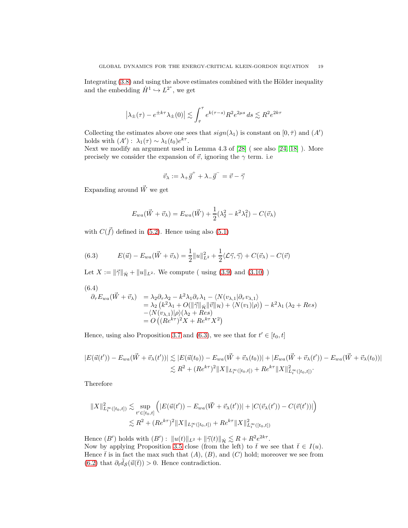Integrating  $(3.8)$  and using the above estimates combined with the Hölder inequality and the embedding  $\dot{H}^1 \hookrightarrow L^{2^*}$ , we get

$$
\left|\lambda_{\pm}(\tau)-e^{\pm k\tau}\lambda_{\pm}(0)\right|\lesssim \int_{\bar{\tau}}^{\tau}e^{k(\tau-s)}R^2e^{2\mu s}\,ds\lesssim R^2e^{2k\tau}
$$

Collecting the estimates above one sees that  $sign(\lambda_1)$  is constant on  $[0, \overline{\tau})$  and  $(A')$ holds with  $(A')$ :  $\lambda_1(\tau) \sim \lambda_1(t_0) e^{k\tau}$ .

Next we modify an argument used in Lemma 4.3 of [\[28\]](#page-52-6) ( see also [\[24,](#page-51-6) [18\]](#page-51-3) ). More precisely we consider the expansion of  $\vec{v}$ , ignoring the  $\gamma$  term. i.e

$$
\vec{v}_{\lambda} := \lambda_{+} \vec{g}^{+} + \lambda_{-} \vec{g}^{-} = \vec{v} - \vec{\gamma}
$$

Expanding around  $\vec{W}$  we get

$$
E_{wa}(\vec{W} + \vec{v}_{\lambda}) = E_{wa}(\vec{W}) + \frac{1}{2}(\lambda_2^2 - k^2\lambda_1^2) - C(\vec{v}_{\lambda})
$$

with  $C(\vec{f})$  defined in [\(5.2\)](#page-16-0). Hence using also [\(5.1\)](#page-16-1)

<span id="page-18-0"></span>(6.3) 
$$
E(\vec{u}) - E_{wa}(\vec{W} + \vec{v}_{\lambda}) = \frac{1}{2} ||u||_{L^2}^2 + \frac{1}{2} \langle \mathcal{L}\vec{\gamma}, \vec{\gamma} \rangle + C(\vec{v}_{\lambda}) - C(\vec{v})
$$

Let  $X := ||\vec{\gamma}||_{\dot{\mathcal{H}}} + ||u||_{L^2}$ . We compute ( using [\(3.9\)](#page-11-3) and [\(3.10\)](#page-11-1) )

$$
(6.4)
$$

<span id="page-18-1"></span>
$$
\partial_{\tau} E_{wa}(\vec{W} + \vec{v}_{\lambda}) = \lambda_2 \partial_{\tau} \lambda_2 - k^2 \lambda_1 \partial_{\tau} \lambda_1 - \langle N(v_{\lambda,1} | \partial_{\tau} v_{\lambda,1}) \rangle \n= \lambda_2 (k^2 \lambda_1 + O(\|\vec{\gamma}\|_{\dot{\mathcal{H}}} \|\vec{v}\|_{\mathcal{H}}) + \langle N(v_1) | \rho \rangle) - k^2 \lambda_1 (\lambda_2 + Res) \n- \langle N(v_{\lambda,1}) | \rho \rangle (\lambda_2 + Res) \n= O((Re^{k\tau})^2 X + Re^{k\tau} X^2)
$$

Hence, using also Proposition [3.7](#page-11-0) and [\(6.3\)](#page-18-0), we see that for  $t' \in [t_0, t]$ 

$$
|E(\vec{u}(t')) - E_{wa}(\vec{W} + \vec{v}_{\lambda}(t'))| \lesssim |E(\vec{u}(t_0)) - E_{wa}(\vec{W} + \vec{v}_{\lambda}(t_0))| + |E_{wa}(\vec{W} + \vec{v}_{\lambda}(t')) - E_{wa}(\vec{W} + \vec{v}_{\lambda}(t_0))|
$$
  

$$
\lesssim R^2 + (Re^{k\tau})^2 \|X\|_{L_t^{\infty}([t_0, t])} + Re^{k\tau} \|X\|_{L_t^{\infty}([t_0, t])}^2.
$$

Therefore

$$
||X||_{L_t^{\infty}([t_0,t])}^2 \lesssim \sup_{t' \in [t_0,t]} \left( |E(\vec{u}(t')) - E_{wa}(\vec{W} + \vec{v}_\lambda(t'))| + |C(\vec{v}_\lambda(t')) - C(\vec{v}(t'))| \right)
$$
  

$$
\lesssim R^2 + (Re^{k\tau})^2 ||X||_{L_t^{\infty}([t_0,t])} + Re^{k\tau} ||X||_{L_t^{\infty}([t_0,t])}^2
$$

Hence  $(B')$  holds with  $(B')$ :  $||u(t)||_{L^2} + ||\vec{\gamma}(t)||_{\dot{\mathcal{H}}} \lesssim R + R^2 e^{2k\tau}$ . Now by applying Proposition [3.5](#page-11-0) close (from the left) to  $\bar{t}$  we see that  $\bar{t} \in I(u)$ . Hence  $\bar{t}$  is in fact the max such that  $(A)$ ,  $(B)$ , and  $(C)$  hold; moreover we see from [\(6.2\)](#page-17-2) that  $\partial_t \tilde{d}_{\mathcal{S}}(\vec{u}(\bar{t})) > 0$ . Hence contradiction.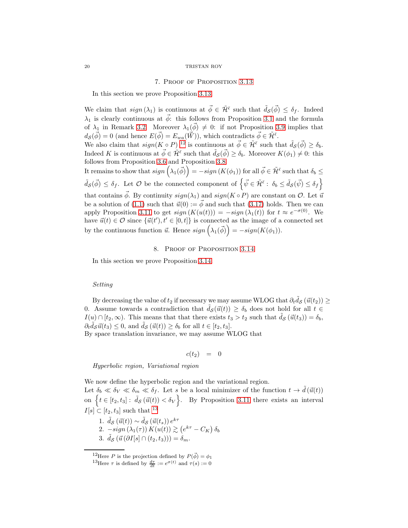#### 7. Proof of Proposition [3.13](#page-14-0)

<span id="page-19-0"></span>In this section we prove Proposition [3.13.](#page-14-0)

We claim that  $sign(\lambda_1)$  is continuous at  $\vec{\phi} \in \tilde{\mathcal{H}}^{\bar{\epsilon}}$  such that  $\tilde{d}_{\mathcal{S}}(\vec{\phi}) \leq \delta_f$ . Indeed  $\lambda_1$  is clearly continuous at  $\vec{\phi}$ : this follows from Proposition [3.1](#page-10-2) and the formula of  $\lambda_1$  in Remark [3.2.](#page-10-5) Moreover  $\lambda_1(\vec{\phi}) \neq 0$ : if not Proposition [3.9](#page-12-2) implies that  $d_{\mathcal{S}}(\vec{\phi}) = 0$  (and hence  $E(\vec{\phi}) = E_{wa}(\vec{W})$ ), which contradicts  $\vec{\phi} \in \tilde{\mathcal{H}}^{\bar{\epsilon}}$ . We also claim that  $sign(K \circ P)^{12}$  $sign(K \circ P)^{12}$  $sign(K \circ P)^{12}$  is continuous at  $\vec{\phi} \in \tilde{\mathcal{H}}^{\bar{\epsilon}}$  such that  $\tilde{d}_{\mathcal{S}}(\vec{\phi}) \geq \delta_b$ . Indeed K is continuous at  $\vec{\phi} \in \tilde{\mathcal{H}}^{\bar{\epsilon}}$  such that  $\tilde{d}_{\mathcal{S}}(\vec{\phi}) \geq \delta_b$ . Moreover  $K(\phi_1) \neq 0$ : this follows from Proposition [3.6](#page-11-0) and Proposition [3.8.](#page-12-3) It remains to show that  $sign\left(\lambda_1(\vec{\phi})\right) = -sign\left(K(\phi_1)\right)$  for all  $\vec{\phi} \in \tilde{\mathcal{H}}^{\bar{\epsilon}}$  such that  $\delta_b \leq$  $\tilde{d}_{\mathcal{S}}(\vec{\phi}) \leq \delta_f$ . Let  $\mathcal{O}$  be the connected component of  $\left\{\vec{\psi} \in \tilde{\mathcal{H}}^{\bar{\epsilon}}: \ \delta_b \leq \tilde{d}_{\mathcal{S}}(\vec{\psi}) \leq \delta_f\right\}$ that contains  $\vec{\phi}$ . By continuity  $sign(\lambda_1)$  and  $sign(K \circ P)$  are constant on  $\mathcal{O}$ . Let  $\vec{u}$ be a solution of [\(1.1\)](#page-0-0) such that  $\vec{u}(0) := \vec{\phi}$  and such that [\(3.17\)](#page-12-4) holds. Then we can apply Proposition [3.11](#page-13-0) to get  $sign(K(u(t))) = -sign(\lambda_1(t))$  for  $t \approx e^{-\sigma(0)}$ . We have  $\vec{u}(t) \in \mathcal{O}$  since  $\{\vec{u}(t'), t' \in [0, t]\}$  is connected as the image of a connected set by the continuous function  $\vec{u}$ . Hence  $sign(\lambda_1(\vec{\phi})) = -sign(K(\phi_1)).$ 

8. Proof of Proposition [3.14](#page-14-0)

In this section we prove Proposition [3.14.](#page-14-0)

#### Setting

By decreasing the value of  $t_2$  if necessary we may assume WLOG that  $\partial_t \tilde{d}_{\mathcal{S}}(\vec{u}(t_2)) \geq$ 0. Assume towards a contradiction that  $\tilde{d}_{\mathcal{S}}(\vec{u}(t)) \geq \delta_b$  does not hold for all  $t \in$  $I(u) \cap [t_2, \infty)$ . This means that that there exists  $t_3 > t_2$  such that  $\tilde{d}_{\mathcal{S}}(\vec{u}(t_3)) = \delta_b$ ,  $\partial_t \tilde{d}_{\mathcal{S}} \vec{u}(t_3) \leq 0$ , and  $\tilde{d}_{\mathcal{S}} (\vec{u}(t)) \geq \delta_b$  for all  $t \in [t_2, t_3]$ . By space translation invariance, we may assume WLOG that

$$
c(t_2) = 0
$$

Hyperbolic region, Variational region

We now define the hyperbolic region and the variational region. Let  $\delta_b \ll \delta_V \ll \delta_m \ll \delta_f$ . Let s be a local minimizer of the function  $t \to \tilde{d}(\vec{u}(t))$ on  $\{t \in [t_2, t_3]: \tilde{d}_{\mathcal{S}}(\vec{u}(t)) < \delta_V\}$ . By Proposition [3.11](#page-13-0) there exists an interval  $I[s] \subset [t_2, t_3]$  such that <sup>[13](#page-19-2)</sup>

1. 
$$
\tilde{d}_{\mathcal{S}}(\vec{u}(t)) \sim \tilde{d}_{\mathcal{S}}(\vec{u}(t_s)) e^{k\tau}
$$
  
\n2.  $-sign(\lambda_1(\tau)) K(u(t)) \gtrsim (e^{k\tau} - C_K) \delta_b$   
\n3.  $\tilde{d}_{\mathcal{S}}(\vec{u}(\partial I[s] \cap (t_2, t_3))) = \delta_m$ .

<sup>&</sup>lt;sup>12</sup>Here P is the projection defined by  $P(\vec{\phi}) = \phi_1$ 

<span id="page-19-2"></span><span id="page-19-1"></span><sup>&</sup>lt;sup>13</sup>Here  $\tau$  is defined by  $\frac{d\tau}{dt} := e^{\sigma(t)}$  and  $\tau(s) := 0$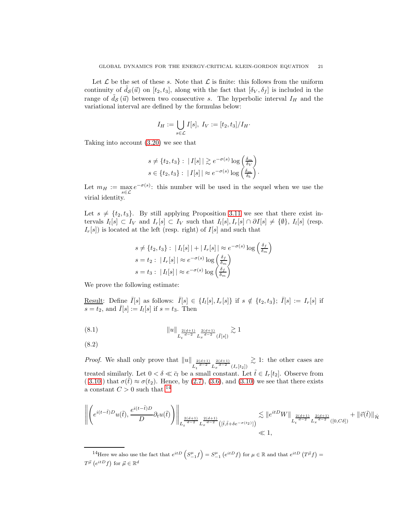Let  $\mathcal L$  be the set of these s. Note that  $\mathcal L$  is finite: this follows from the uniform continuity of  $d_{\mathcal{S}}(\vec{u})$  on  $[t_2, t_3]$ , along with the fact that  $[\delta_V, \delta_f]$  is included in the range of  $\tilde{d}_{\mathcal{S}}(\vec{u})$  between two consecutive s. The hyperbolic interval  $I_H$  and the variational interval are defined by the formulas below:

$$
I_H:=\bigcup_{s\in\mathcal{L}}I[s],\ I_V:=[t_2,t_3]/I_H\cdot
$$

Taking into account [\(3.20\)](#page-13-5) we see that

$$
s \neq \{t_2, t_3\} : |I[s]| \gtrsim e^{-\sigma(s)} \log \left(\frac{\delta_m}{\delta_V}\right)
$$
  

$$
s \in \{t_2, t_3\} : |I[s]| \approx e^{-\sigma(s)} \log \left(\frac{\delta_m}{\delta_b}\right).
$$

Let  $m_H := \max_{s \in \mathcal{L}} e^{-\sigma(s)}$ : this number will be used in the sequel when we use the virial identity.

Let  $s \neq \{t_2, t_3\}$ . By still applying Proposition [3.11](#page-13-0) we see that there exist intervals  $I_l[s] \subset I_V$  and  $I_r[s] \subset I_V$  such that  $I_l[s], I_r[s] \cap \partial I[s] \neq {\emptyset}$ ,  $I_l[s]$  (resp.  $I_r[s]$ ) is located at the left (resp. right) of  $I[s]$  and such that

$$
s \neq \{t_2, t_3\} : |I_l[s]| + |I_r[s]| \approx e^{-\sigma(s)} \log\left(\frac{\delta_f}{\delta_m}\right)
$$
  
\n
$$
s = t_2 : |I_r[s]| \approx e^{-\sigma(s)} \log\left(\frac{\delta_f}{\delta_m}\right)
$$
  
\n
$$
s = t_3 : |I_l[s]| \approx e^{-\sigma(s)} \log\left(\frac{\delta_f}{\delta_m}\right)
$$

We prove the following estimate:

Result: Define  $\overline{I}[s]$  as follows:  $\overline{I}[s] \in \{I_l[s], I_r[s]\}$  if  $s \notin \{t_2, t_3\}$ ;  $\overline{I}[s] := I_r[s]$  if  $\overline{s = t_2}$ , and  $\overline{I}[s] := I_l[s]$  if  $s = t_3$ . Then

$$
(8.1) \t\t ||u||_{L_t^{\frac{2(d+1)}{d-2}} L_x^{\frac{2(d+1)}{d-2}} (\bar{I}[s])} \gtrsim 1
$$

<span id="page-20-1"></span>
$$
(8.2)
$$

*Proof.* We shall only prove that  $||u||$  $L_t^{\frac{2(d+1)}{d-2}} L_x^{\frac{2(d+1)}{d-2}} (I_r[t_2])$  $\gtrsim$  1: the other cases are treated similarly. Let  $0 < \delta \ll \bar{c}_l$  be a small constant. Let  $\tilde{t} \in I_r[t_2]$ . Observe from ( [3.10](#page-11-1) ) that  $\sigma(\tilde{t}) \approx \sigma(t_2)$ . Hence, by [\(2.7\)](#page-7-3), [\(3.6\)](#page-10-3), and [\(3.10\)](#page-11-1) we see that there exists a constant  $C > 0$  such that <sup>[14](#page-20-0)</sup>

$$
\left\| \left( e^{i(t-\tilde{t})D} u(\tilde{t}), \frac{e^{i(t-\tilde{t})D}}{D} \partial_t u(\tilde{t}) \right) \right\|_{L_t^{\frac{2(d+1)}{d-2}} L_x^{\frac{2(d+1)}{d-2}} \left( [\tilde{t}, \tilde{t} + \delta e^{-\sigma(t_2)}] \right)} \lesssim \| e^{itD} W \|_{L_t^{\frac{2(d+1)}{d-2}} L_x^{\frac{2(d+1)}{d-2}}([0, C\delta])} + \| \vec{v}(\tilde{t}) \|_{\dot{\mathcal{H}}}
$$

<span id="page-20-0"></span><sup>&</sup>lt;sup>14</sup>Here we also use the fact that  $e^{itD}\left(S_{-1}^{\mu}f\right) = S_{-1}^{\mu}\left(e^{itD}f\right)$  for  $\mu \in \mathbb{R}$  and that  $e^{itD}\left(T^{\vec{\mu}}f\right) =$  $T^{\vec{\mu}}\left(e^{itD}f\right)$  for  $\vec{\mu} \in \mathbb{R}^d$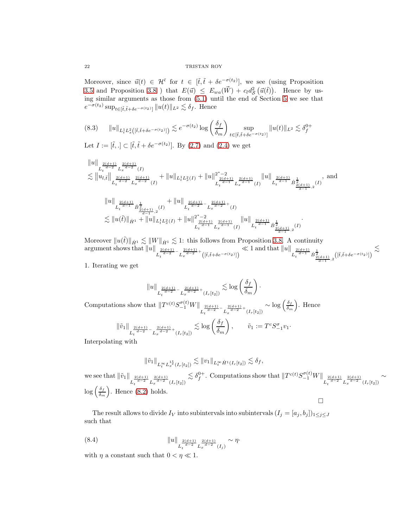Moreover, since  $\vec{u}(t) \in \mathcal{H}^{\bar{\epsilon}}$  for  $t \in [\tilde{t}, \tilde{t} + \delta e^{-\sigma(t_2)}]$ , we see (using Proposition [3.5](#page-11-0) and Proposition [3.8](#page-12-3) ) that  $E(\vec{u}) \leq E_{wa}(\vec{W}) + c_l d_{\mathcal{S}}^2(\vec{u}(\tilde{t}))$ . Hence by using similar arguments as those from  $(5.1)$  until the end of Section [5](#page-15-1) we see that  $e^{-\sigma(t_2)} \sup_{t \in [\tilde{t}, \tilde{t} + \delta e^{-\sigma(t_2)}]} \|u(t)\|_{L^2} \lesssim \delta_f$ . Hence

$$
(8.3) \qquad ||u||_{L_t^1 L_x^2([{\tilde{t}}, {\tilde{t}} + \delta e^{-\sigma(t_2)}])} \lesssim e^{-\sigma(t_2)} \log \left(\frac{\delta_f}{\delta_m}\right) \sup_{t \in [{\tilde{t}}, {\tilde{t}} + \delta e^{-\sigma(t_2)}]} ||u(t)||_{L^2} \lesssim \delta_f^{0+}
$$

Let  $I := [\tilde{t}, .] \subset [\tilde{t}, \tilde{t} + \delta e^{-\sigma(t_2)}]$ . By [\(2.7\)](#page-7-3) and [\(2.4\)](#page-7-0) we get

$$
\|u\|_{L_t^{\frac{2(d+1)}{d-2}}L_x^{\frac{2(d+1)}{d-2}}(I)} \lesssim \|u_{l,\tilde{t}}\|_{L_t^{\frac{2(d+1)}{d-2}}L_x^{\frac{2(d+1)}{d-2}}(I)} + \|u\|_{L_t^1L_x^2(I)} + \|u\|_{L_t^{\frac{2(d+1)}{d-1}}L_x^{\frac{2(d+1)}{d-1}}} \|u\|_{L_t^{\frac{2(d+1)}{d-1}}(I)} \lesssim \|u\|_{L_t^{\frac{2(d+1)}{d-1}}\dot{B}_{\frac{2(d+1)}{d-1},2}^{\frac{1}{d-2}}(I)} + \|u\|_{L_t^{\frac{2(d+1)}{d-2}}L_x^{\frac{2(d+1)}{d-2}}(I)} + \|u\|_{L_t^{\frac{2(d+1)}{d-2}}L_x^{\frac{2(d+1)}{d-2}}} + (I) \lesssim \|u(\tilde{t})\|_{\dot{H}^1} + \|u\|_{L_t^1L_x^2(I)} + \|u\|_{L_t^{\frac{2(d+1)}{d-1}}L_x^{\frac{2(d+1)}{d-1}}(I)} \|u\|_{L_t^{\frac{2(d+1)}{d-1}}\dot{B}_{\frac{2(d+1)}{d-1},2}^{\frac{1}{d-1}}(I)}.
$$

Moreover  $||u(\tilde{t})||_{\dot{H}^1} \lesssim ||W||_{\dot{H}^1} \lesssim 1$ : this follows from Proposition [3.8.](#page-12-3) A continuity argument shows that  $||u||$  $L_t^{\frac{2(d+1)}{d-2} - L_x^{\frac{2(d+1)}{d-2} + } ([\tilde{t}, \tilde{t} + \delta e^{-\sigma(t_2)}])$  $\ll 1$  and that  $||u||$  $L_t^{\frac{2(d+1)}{d-1}} \dot{B}^{\frac{1}{2}}_{\frac{2(d+1)}{d-1},2} \big( [\tilde{t}, \tilde{t} + \delta e^{-\sigma(t_2)}] \big)$  $\lesssim$ 

1. Iterating we get

$$
\|u\|_{L_t^{\frac{2(d+1)}{d-2}-}L_x^{\frac{2(d+1)}{d-2}+}(I_r[t_2])}\lesssim \log\left(\frac{\delta_f}{\delta_m}\right).
$$

Computations show that  $||T^{c(t)}S_{-1}^{\sigma(t)}W||_{L_t^{\frac{2(d+1)}{d-2}-}L_x^{\frac{2(d+1)}{d-2}+}(I_r[t_2])}$  $\sim$  log  $\left(\frac{\delta_f}{\delta}\right)$  $\delta_m$ . Hence

$$
\|\tilde v_1\|_{L_t^{\frac{2(d+1)}{d-2}-}L_x^{\frac{2(d+1)}{d-2}+}(I_r[t_2])}\lesssim \log\left(\frac{\delta_f}{\delta_m}\right),\qquad \tilde v_1:=T^cS_{-1}^\sigma v_1.
$$

Interpolating with

$$
\|\tilde{v}_1\|_{L^\infty_t L^{1^*_2}_x(I_r[t_2])} \lesssim \|v_1\|_{L^\infty_t \dot H^1(I_r[t_2])} \lesssim \delta_f,
$$

we see that  $\|\tilde{v}_1\|_{L_t^{\frac{2(d+1)}{d-2}} L_x^{\frac{2(d+1)}{d-2}}(I_r[t_2])}$  $\lesssim \delta_f^{0+}$ . Computations show that  $||T^{c(t)}S_{-1}^{\sigma(t)}W||_{L_t^{\frac{2(d+1)}{d-2}}L_x^{\frac{2(d+1)}{d-2}}(I_r[t_2])}$ ∼  $\log\left(\frac{\delta_f}{\delta}\right)$  $\delta_m$ ). Hence  $(8.2)$  holds.  $\Box$ 

The result allows to divide  $I_V$  into subintervals into subintervals  $(I_j = [a_j, b_j])_{1 \leq j \leq J}$ such that

<span id="page-21-0"></span>(8.4) 
$$
||u||_{L_t^{\frac{2(d+1)}{d-2}} L_x^{\frac{2(d+1)}{d-2}}(I_j)} \sim \eta.
$$

with  $\eta$  a constant such that  $0 < \eta \ll 1$ .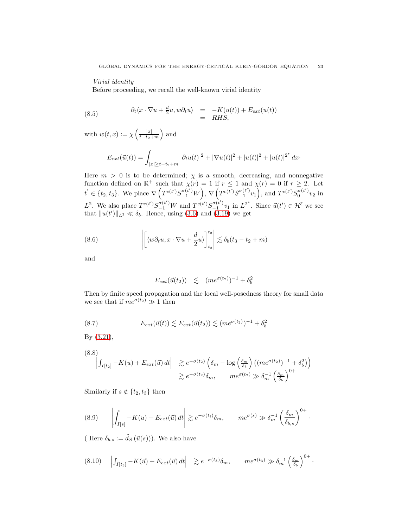# Virial identity

<span id="page-22-0"></span>Before proceeding, we recall the well-known virial identity

(8.5) 
$$
\begin{array}{rcl}\n\partial_t \langle x \cdot \nabla u + \frac{d}{2} u, w \partial_t u \rangle & = & -K(u(t)) + E_{ext}(u(t)) \\
& = & RHS,\n\end{array}
$$

with  $w(t, x) := \chi \left( \frac{|x|}{t-t_0} \right)$  $t-t_2+m$ ) and

$$
E_{ext}(\vec{u}(t)) = \int_{|x| \ge t - t_2 + m} |\partial_t u(t)|^2 + |\nabla u(t)|^2 + |u(t)|^2 + |u(t)|^{2^*} dx
$$

Here  $m > 0$  is to be determined;  $\chi$  is a smooth, decreasing, and nonnegative function defined on  $\mathbb{R}^+$  such that  $\chi(r) = 1$  if  $r \leq 1$  and  $\chi(r) = 0$  if  $r \geq 2$ . Let  $t' \in \{t_2, t_3\}$ . We place  $\nabla \left( T^{c(t')} S_{-1}^{\sigma(t')} W \right)$ ,  $\nabla \left( T^{c(t')} S_{-1}^{\sigma(t')} v_1 \right)$ , and  $T^{c(t')} S_0^{\sigma(t')} v_2$  in  $L^2$ . We also place  $T^{c(t')}S_{-1}^{\sigma(t')}W$  and  $T^{c(t')}S_{-1}^{\sigma(t')}v_1$  in  $L^{2^*}$ . Since  $\vec{u}(t') \in \mathcal{H}^{\bar{\epsilon}}$  we see that  $||u(t')||_{L^2} \ll \delta_b$ . Hence, using [\(3.6\)](#page-10-3) and [\(3.19\)](#page-13-4) we get

(8.6) 
$$
\left| \left[ \langle w \partial_t u, x \cdot \nabla u + \frac{d}{2} u \rangle \right]_{t_2}^{t_3} \right| \lesssim \delta_b (t_3 - t_2 + m)
$$

and

<span id="page-22-1"></span>
$$
E_{ext}(\vec{u}(t_2)) \leq (me^{\sigma(t_2)})^{-1} + \delta_b^2
$$

Then by finite speed propagation and the local well-posedness theory for small data we see that if  $me^{\sigma(t_2)} \gg 1$  then

(8.7) 
$$
E_{ext}(\vec{u}(t)) \lesssim E_{ext}(\vec{u}(t_2)) \lesssim (me^{\sigma(t_2)})^{-1} + \delta_b^2
$$

By [\(3.21\)](#page-13-0),

$$
(8.8)
$$

$$
\begin{vmatrix} \int_{I[t_2]} -K(u) + E_{ext}(\vec{u}) dt & \geq e^{-\sigma(t_2)} \left( \delta_m - \log\left(\frac{\delta_m}{\delta_b}\right) \left( (me^{\sigma(t_2)})^{-1} + \delta_b^2 \right) \right) \\ \geq e^{-\sigma(t_2)} \delta_m, \qquad me^{\sigma(t_2)} \gg \delta_m^{-1} \left( \frac{\delta_m}{\delta_b} \right)^{0+}
$$

Similarly if  $s \notin \{t_2, t_3\}$  then

(8.9) 
$$
\left| \int_{I[s]} -K(u) + E_{ext}(\vec{u}) dt \right| \gtrsim e^{-\sigma(t_i)} \delta_m, \qquad me^{\sigma(s)} \gg \delta_m^{-1} \left( \frac{\delta_m}{\delta_{b,s}} \right)^{0+}.
$$

( Here  $\delta_{b,s} := \tilde{d}_{\mathcal{S}}(\vec{u}(s)))$ . We also have

$$
(8.10) \quad \left| \int_{I[t_3]} -K(\vec{u}) + E_{ext}(\vec{u}) dt \right| \geq e^{-\sigma(t_3)} \delta_m, \qquad me^{\sigma(t_3)} \gg \delta_m^{-1} \left( \frac{\delta_m}{\delta_b} \right)^{0+}.
$$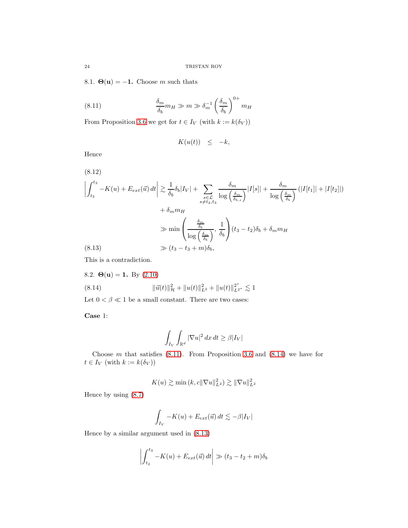8.1.  $\Theta(\mathbf{u}) = -1$ . Choose m such thats

(8.11) 
$$
\frac{\delta_m}{\delta_b} m_H \gg m \gg \delta_m^{-1} \left(\frac{\delta_m}{\delta_b}\right)^{0+} m_H
$$

From Proposition [3.6](#page-11-0) we get for  $t \in I_V$  (with  $k := k(\delta_V)$ )

<span id="page-23-1"></span>
$$
K(u(t)) \leq -k,
$$

Hence

(8.12)  
\n
$$
\left| \int_{t_2}^{t_3} -K(u) + E_{ext}(\vec{u}) dt \right| \gtrsim \frac{1}{\delta_b} \delta_b |I_V| + \sum_{\substack{s \in \mathcal{L} \\ s \neq t_2, t_3}} \frac{\delta_m}{\log \left( \frac{\delta_m}{\delta_{b,s}} \right)} |I[s]| + \frac{\delta_m}{\log \left( \frac{\delta_m}{\delta_b} \right)} (|I[t_1]| + |I[t_2]|)
$$
\n
$$
+ \delta_m m_H
$$
\n
$$
\gg \min \left( \frac{\frac{\delta_m}{\delta_b}}{\log \left( \frac{\delta_m}{\delta_b} \right)}, \frac{1}{\delta_b} \right) (t_3 - t_2) \delta_b + \delta_m m_H
$$
\n(8.13)  
\n
$$
\gg (t_3 - t_3 + m) \delta_b,
$$

<span id="page-23-3"></span><span id="page-23-0"></span>This is a contradiction.

8.2. 
$$
\Theta(\mathbf{u}) = 1
$$
. By (2.10)  
\n
$$
||\vec{u}(t)||_{\mathcal{H}}^2 + ||u(t)||_{L^2}^2 + ||u(t)||_{L^{2^*}}^2 \lesssim 1
$$

Let  $0<\beta\ll 1$  be a small constant. There are two cases:

Case 1:

<span id="page-23-2"></span>
$$
\int_{I_V}\int_{\mathbb{R}^d}|\nabla u|^2\,dx\,dt\geq \beta |I_V|
$$

Choose  $m$  that satisfies [\(8.11\)](#page-23-1). From Proposition [3.6](#page-11-0) and [\(8.14\)](#page-23-2) we have for  $t \in I_V$  (with  $k := k(\delta_V)$ )

$$
K(u) \gtrsim \min(k, c \|\nabla u\|_{L^2}^2) \gtrsim \|\nabla u\|_{L^2}^2
$$

Hence by using [\(8.7\)](#page-22-1)

$$
\int_{I_V} -K(u) + E_{ext}(\vec{u}) dt \lesssim -\beta |I_V|
$$

Hence by a similar argument used in [\(8.13\)](#page-23-3)

$$
\left| \int_{t_2}^{t_3} -K(u) + E_{ext}(\vec{u}) dt \right| \gg (t_3 - t_2 + m)\delta_b
$$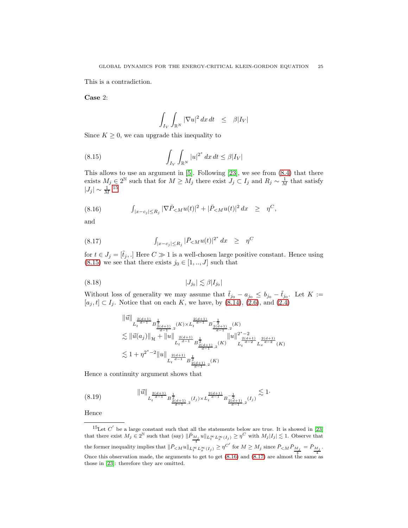This is a contradiction.

Case 2:

<span id="page-24-0"></span>
$$
\int_{I_V} \int_{\mathbb{R}^N} |\nabla u|^2 \, dx \, dt \leq \beta |I_V|
$$

Since  $K \geq 0$ , we can upgrade this inequality to

(8.15) 
$$
\int_{I_V} \int_{\mathbb{R}^N} |u|^{2^*} dx dt \le \beta |I_V|
$$

This allows to use an argument in [\[5\]](#page-51-4). Following [\[23\]](#page-51-13), we see from [\(8.4\)](#page-21-0) that there exists  $M_j \in 2^{\mathbb{N}}$  such that for  $M \geq M_j$  there exist  $J_j \subset I_j$  and  $R_j \sim \frac{1}{M}$  that satisfy  $|J_j| \sim \frac{1}{M}^{-15}$  $|J_j| \sim \frac{1}{M}^{-15}$  $|J_j| \sim \frac{1}{M}^{-15}$ 

<span id="page-24-2"></span>(8.16) 
$$
\int_{|x-c_j| \le R_j} |\nabla \bar{P}_{\le M} u(t)|^2 + |\bar{P}_{\le M} u(t)|^2 dx \ge \eta^C,
$$

and

<span id="page-24-3"></span>(8.17) 
$$
\int_{|x-c_j| \le R_j} |\bar{P}_{\le M} u(t)|^{2^*} dx \ge \eta^C
$$

for  $t \in J_j = [\tilde{t}_j, .]$  Here  $C \gg 1$  is a well-chosen large positive constant. Hence using [\(8.15\)](#page-24-0) we see that there exists  $j_0 \in [1, ..., J]$  such that

$$
(8.18)\t\t |J_{j_0}| \lesssim \beta |I_{j_0}|
$$

Without loss of generality we may assume that  $\tilde{t}_{j_0} - a_{j_0} \le b_{j_0} - \tilde{t}_{j_0}$ . Let  $K :=$  $[a_j, t] \subset I_j$ . Notice that on each K, we have, by  $(8.14)$ ,  $(2.6)$ , and  $(2.4)$ 

<span id="page-24-5"></span>
$$
\| \vec{u} \|_{L_t^{\frac{2(d+1)}{d-1}} B^{\frac{1}{2}}_{\frac{2(d+1)}{d-1},2}(K) \times L_t^{\frac{2(d+1)}{d-1}} B^{-\frac{1}{2}}_{\frac{2(d+1)}{d-1},2}(K)
$$
  
\n
$$
\lesssim \| \vec{u}(a_j) \|_{\mathcal{H}} + \| u \|_{L_t^{\frac{2(d+1)}{d-1}} B^{\frac{1}{2}}_{\frac{2(d+1)}{d-1},2}(K)} \| u \|_{L_t^{\frac{2(d+1)}{d-2}} L_x^{\frac{2(d+1)}{d-2}}(K)}
$$
  
\n
$$
\lesssim 1 + \eta^{2^*-2} \| u \|_{L_t^{\frac{2(d+1)}{d-1}} B^{\frac{1}{2}}_{\frac{2(d+1)}{d-1},2}(K)}
$$

Hence a continuity argument shows that

<span id="page-24-4"></span>
$$
(8.19) \t\t ||\vec{u}||_{L_t^{\frac{2(d+1)}{d-1}}B_{\frac{2(d+1)}{d-1},2}^{\frac{1}{2}}(I_j)\times L_t^{\frac{2(d+1)}{d-1}}B_{\frac{2(d+1)}{d-1},2}^{-\frac{1}{2}}(I_j)} \lesssim 1.
$$

Hence

<span id="page-24-1"></span><sup>&</sup>lt;sup>15</sup>Let  $C'$  be a large constant such that all the statements below are true. It is showed in [\[23\]](#page-51-13) that there exist  $M_j \in 2^{\mathbb{N}}$  such that (say)  $\|\bar{P}_{\frac{M_j}{4}}u\|_{L_t^{\infty}L_x^{\infty}(I_j)} \geq \eta^C$  with  $M_j|I_j| \lesssim 1$ . Observe that the former inequality implies that  $\|\bar P_{\le M} u\|_{L^\infty_t L^\infty_x(I_j)} \ge \eta^{C'}$  for  $M \ge M_j$  since  $\bar P_{\le M} \bar P_{\frac{M_j}{4}} = \bar P_{\frac{M_j}{4}}$ . Once this observation made, the arguments to get to get  $(8.16)$  and  $(8.17)$  are almost the same as those in [\[23\]](#page-51-13): therefore they are omitted.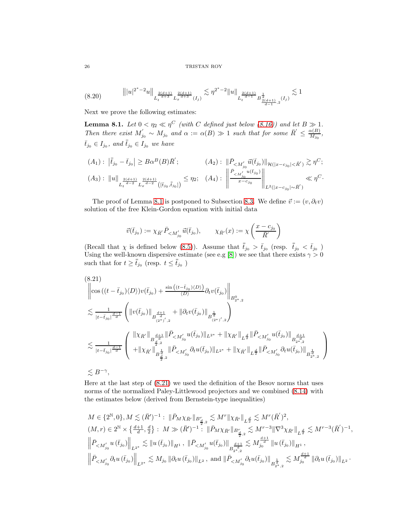$26$   $\,$  TRISTAN ROY  $\,$ 

<span id="page-25-1"></span>
$$
(8.20) \t\t\t\t\t\t||u|^{2^{*}-2}u||_{L_{t}^{\frac{2(d+1)}{d+3}}L_{x}^{\frac{2(d+1)}{d+3}}(I_{j})} \lesssim \eta^{2^{*}-2}||u||_{L_{t}^{\frac{2(d+1)}{d-1}}B^{\frac{1}{2}}_{\frac{2(d+1)}{d-1},2}(I_{j})} \lesssim 1
$$

Next we prove the following estimates:

**Lemma 8.1.** Let  $0 < \eta_2 \ll \eta^C$  (with C defined just below [\(8.16\)](#page-24-2)) and let  $B \gg 1$ . Then there exist  $M'_{j_0} \sim M_{j_0}$  and  $\alpha := \alpha(B) \gg 1$  such that for some  $\bar{R}' \leq \frac{\alpha(B)}{M_{j_0}}$  $\frac{x(B)}{M_{j_0}},$  $\bar{t}_{j_0}\in I_{j_0}, \ and \ \bar{\bar{t}}_{j_0}\in I_{j_0} \ we \ have$ 

$$
(A_1): |\bar{t}_{j_0} - \bar{t}_{j_0}| \geq B\alpha^B(B)\bar{R}'; \qquad (A_2): ||\bar{P}_{\langle M'_{j_0}\atop \bar{H}^{(1)}(x-c_{j_0}|<\bar{R}')\rangle} \gtrsim \eta^C;
$$
  

$$
(A_3): ||u||_{L_t^{\frac{2(d+1)}{d-2}}L_x^{\frac{2(d+1)}{d-2}}([\bar{t}_{j_0},\bar{t}_{j_0}])} \leq \eta_2; \quad (A_4): ||\frac{\bar{P}_{\langle M'_{j_0}\atop \bar{H}^{(1)}(x-c_{j_0})\rangle}||_{L^2(|x-c_{j_0}|\sim\bar{R}')}\ll \eta^C;
$$

The proof of Lemma [8.1](#page-25-0) is postponed to Subsection [8.3.](#page-27-0) We define  $\vec{v} := (v, \partial_t v)$ solution of the free Klein-Gordon equation with initial data

$$
\vec{v}(\bar{t}_{j_0}):=\chi_{\bar{R}'}\bar{P}_{
$$

(Recall that  $\chi$  is defined below [\(8.5\)](#page-22-0)). Assume that  $\bar{t}_{j_0} > \bar{t}_{j_0}$  (resp.  $\bar{t}_{j_0} < \bar{t}_{j_0}$ ) Using the well-known dispersive estimate (see e.g [\[8\]](#page-51-11)) we see that there exists  $\gamma > 0$ such that for  $t \geq \overline{t}_{j_0}$  (resp.  $t \leq \overline{t}_{j_0}$ )

<span id="page-25-0"></span>
$$
(8.21)
$$
\n
$$
\left\|\cos((t-\bar{t}_{j_0})\langle D\rangle)v(\bar{t}_{j_0})+\frac{\sin((t-\bar{t}_{j_0})\langle D\rangle)}{\langle D\rangle} \partial_t v(\bar{t}_{j_0})\right\|_{B_{2^*,2}^0}
$$
\n
$$
\lesssim \frac{1}{|t-\bar{t}_{j_0}|^{\frac{d-1}{d}}}\left(\left\|v(\bar{t}_{j_0})\right\|_{B_{(2^*)',2}^{\frac{d+1}{d}} }+\left\|\partial_t v(\bar{t}_{j_0})\right\|_{B_{(2^*)',2}^{\frac{1}{d}} }\right)
$$
\n
$$
\lesssim \frac{1}{|t-\bar{t}_{j_0}|^{\frac{d-1}{d}}}\left(\frac{\left\|\chi_{\bar{R}'}\right\|_{B_{\frac{d}{2},2}^{\frac{d+1}{d}} }+\left\|\bar{P}_{< M_{j_0}'}u(\bar{t}_{j_0})\right\|_{L^{2^*}}+\left\|\chi_{\bar{R}'}\right\|_{L^{\frac{d}{2}} }\left\|\bar{P}_{< M_{j_0}'}u(\bar{t}_{j_0})\right\|_{B_{2^*,\frac{d+1}{2}}^{\frac{d+1}{d}} }\right| }{\left\|\|\chi_{\bar{R}'}\right\|_{B_{\frac{d}{2},2}^{\frac{d}{d}} }\left\|\bar{P}_{< M_{j_0}'}\partial_t u(\bar{t}_{j_0})\right\|_{L^{2^*}}+\left\|\chi_{\bar{R}'}\right\|_{L^{\frac{d}{2}} }\left\|\bar{P}_{< M_{j_0}'}\partial_t u(\bar{t}_{j_0})\right\|_{B_{2^*,\frac{1}{2}}^{\frac{d}{d}} }\right)}
$$
\n
$$
\lesssim B^{-\gamma},
$$

Here at the last step of [\(8.21\)](#page-25-0) we used the definition of the Besov norms that uses norms of the normalized Paley-Littlewood projectors and we combined [\(8.14\)](#page-23-2) with the estimates below (derived from Bernstein-type inequalities)

$$
\begin{aligned} &M \in \{2^{\mathbb{N}},0\}, M \lesssim (\bar{R}')^{-1}: \ \|\bar{P}_{M} \chi_{\bar{R}'} \|_{B^r_{\frac{d}{2},2}} \lesssim M^r \| \chi_{\bar{R}'} \|_{L^{\frac{d}{2}}} \lesssim M^r (\bar{R}')^2,\\ &(M,r) \in 2^{\mathbb{N}} \times \left\{ \tfrac{d+1}{d},\tfrac{d}{2} \right\}: \ M \gg (\bar{R}')^{-1}: \ \|\bar{P}_{M} \chi_{\bar{R}'} \|_{B^r_{\frac{d}{2},2}} \lesssim M^{r-3} \| \nabla^3 \chi_{\bar{R}'} \|_{L^{\frac{d}{2}}} \lesssim M^{r-3} (\bar{R}')^{-1},\\ &\left\| \bar{P}_{< M_{j_0}'} u\left(\bar{t}_{j_0}\right) \right\|_{L^{2^*}} \lesssim \| u\left(\bar{t}_{j_0}\right) \|_{H^1}, \ \|\bar{P}_{< M_{j_0}'} u(\bar{t}_{j_0}) \|_{B^{\frac{d+1}{d}}_{\frac{1}{2},\frac{d}{2}}} \lesssim M_{j_0}^{\frac{d+1}{d}} \| u\left(\bar{t}_{j_0}\right) \|_{H^1},\\ &\left\| \bar{P}_{< M_{j_0}'} \partial_t u\left(\bar{t}_{j_0}\right) \right\|_{L^{2^*}} \lesssim M_{j_0} \ \|\partial_t u\left(\bar{t}_{j_0}\right) \|_{L^2}, \ \text{and} \ \|\bar{P}_{< M_{j_0}'} \partial_t u(\bar{t}_{j_0}) \|_{B^{\frac{1}{d}}_{\frac{1}{2},\frac{d}{2}}} \lesssim M_{j_0}^{\frac{d+1}{d}} \ \|\partial_t u\left(\bar{t}_{j_0}\right) \|_{L^2}. \end{aligned}
$$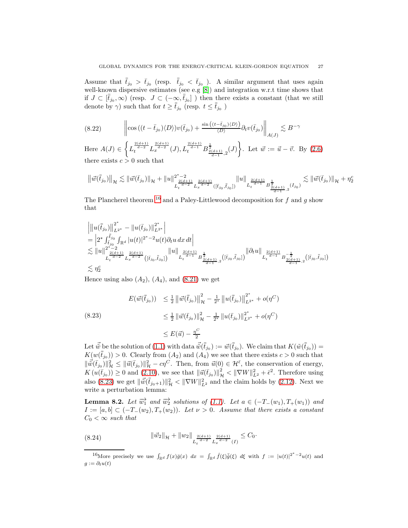Assume that  $\bar{t}_{j_0} > \bar{t}_{j_0}$  (resp.  $\bar{t}_{j_0} < \bar{t}_{j_0}$ ). A similar argument that uses again well-known dispersive estimates (see e.g [\[8\]](#page-51-11)) and integration w.r.t time shows that if  $J \subset [\bar{\bar{t}}_{j_0}, \infty)$  (resp.  $J \subset (-\infty, \bar{\bar{t}}_{j_0}]$ ) then there exists a constant (that we still denote by  $\gamma$ ) such that for  $t \geq \overline{t}_{j_0}$  (resp.  $t \leq \overline{t}_{j_0}$ )

<span id="page-26-2"></span>
$$
(8.22) \qquad \qquad \left\| \cos\left( (t - \bar{t}_{j_0}) \langle D \rangle \right) v(\bar{t}_{j_0}) + \frac{\sin\left( (t - \bar{t}_{j_0}) \langle D \rangle \right)}{\langle D \rangle} \partial_t v(\bar{t}_{j_0}) \right\|_{A(J)} \lesssim B^{-\gamma}
$$

Here  $A(J) \in$  $\sqrt{ }$  $L_t^{\frac{2(d+1)}{d-2}} L_x^{\frac{2(d+1)}{d-2}}(J), L_t^{\frac{2(d+1)}{d-1}} B^{\frac{1}{2}}_{\frac{2(d+1)}{d-1},2}(J)$  $\mathcal{L}$ . Let  $\vec{w} := \vec{u} - \vec{v}$ . By  $(2.6)$ there exists  $c > 0$  such that

$$
\big\| \vec{w}(\bar{\bar{t}}_{j_0}) \big\|_{\mathcal{H}} \lesssim \| \vec{w}(\bar{t}_{j_0}) \|_{\mathcal{H}} + \| u \|_{L_t^{\frac{2(d+1)}{d-2}} L_x^{\frac{2(d+1)}{d-2}}([\bar{t}_{j_0}, \bar{t}_{j_0}])}^{\frac{d}{d-1}} \| u \|_{L_t^{\frac{2(d+1)}{d-1}} B^{\frac{1}{2}}_{\frac{2(d+1)}{d-1},2}(I_{j_0})} \lesssim \| \vec{w}(\bar{t}_{j_0}) \|_{\mathcal{H}} + \eta_2^c
$$

The Plancherel theorem <sup>[16](#page-26-0)</sup> and a Paley-Littlewood decomposition for f and q show that

$$
\|u(\bar{t}_{j_0})\|_{L^{2^*}}^{2^*} - \|u(\bar{t}_{j_0})\|_{L^{2^*}}^{2^*} \n= \left|2^* \int_{\bar{t}_{j_0}}^{\bar{t}_{j_0}} \int_{\mathbb{R}^d} |u(t)|^{2^*-2} u(t) \partial_t u \, dx \, dt \right| \n\lesssim \|u\|_{L_t^{\frac{2(d+1)}{d-2}} L_x^{\frac{2(d+1)}{d-2}} ( [\bar{t}_{j_0}, \bar{t}_{j_0}])}^{2^*} \|u\|_{L_t^{\frac{2(d+1)}{d-1}} B_{\frac{2(d+1)}{d-1},2}^{1}} ( [\bar{t}_{j_0}, \bar{t}_{j_0}])} \| \partial_t u \|_{L_t^{\frac{2(d+1)}{d-1}} B_{\frac{2(d+1)}{d-1},2}^{1}} (( \bar{t}_{j_0}, \bar{t}_{j_0}])
$$
\n
$$
\lesssim \eta_2^c
$$

Hence using also  $(A_2)$ ,  $(A_4)$ , and  $(8.21)$  we get

<span id="page-26-1"></span>
$$
E(\vec{w}(\bar{t}_{j_0})) \leq \frac{1}{2} \left\| \vec{w}(\bar{t}_{j_0}) \right\|_{\mathcal{H}}^2 - \frac{1}{2^*} \left\| u(\bar{t}_{j_0}) \right\|_{L^{2^*}}^2 + o(\eta^C)
$$
  
(8.23)  

$$
\leq \frac{1}{2} \left\| \vec{w}(\bar{t}_{j_0}) \right\|_{\mathcal{H}}^2 - \frac{1}{2^*} \left\| u(\bar{t}_{j_0}) \right\|_{L^{2^*}}^2 + o(\eta^C)
$$

$$
\leq E(\vec{u}) - \frac{\eta^C}{2}
$$

Let  $\vec{\tilde{w}}$  be the solution of [\(1.1\)](#page-0-0) with data  $\vec{\tilde{w}}(\bar{\bar{t}}_{j_0}) := \vec{w}(\bar{\bar{t}}_{j_0})$ . We claim that  $K(\tilde{w}(\bar{\bar{t}}_{j_0})) =$  $K(w(\bar{t}_{j_0})) > 0$ . Clearly from  $(A_2)$  and  $(A_4)$  we see that there exists  $c > 0$  such that  $\|\vec{w}(\bar{t}_{j_0})\|_{\mathcal{H}}^2 \leq \|\vec{u}(\bar{t}_{j_0})\|_{\mathcal{H}}^2 - c\eta^C$ . Then, from  $\vec{u}(0) \in \mathcal{H}^{\bar{\epsilon}}$ , the conservation of energy,  $K(u(\bar{t}_{j_0})) \geq 0$  and  $(2.10)$ , we see that  $||\vec{u}(\bar{t}_{j_0})||^2_{\mathcal{H}} < ||\nabla W||^2_{L^2} + \bar{\epsilon}^2$ . Therefore using also [\(8.23\)](#page-26-1) we get  $\|\vec{w}(\bar{t}_{j_0+1})\|^2_{\mathcal{H}} < \|\nabla W\|^2_{L^2}$  and the claim holds by [\(2.12\)](#page-9-2). Next we write a perturbation lemma:

**Lemma 8.2.** Let  $\overrightarrow{w_1}$  and  $\overrightarrow{w_2}$  solutions of [\(1.1\)](#page-0-0). Let  $a \in (-T_-(w_1), T_+(w_1))$  and  $I := [a, b] \subset (-T_{-}(w_2), T_{+}(w_2)).$  Let  $\nu > 0$ . Assume that there exists a constant  $C_0 < \infty$  such that

<span id="page-26-3"></span>
$$
(8.24) \t\t ||\vec{w}_2||_{\mathcal{H}} + ||w_2||_{L_t^{\frac{2(d+1)}{d-2}} L_x^{\frac{2(d+1)}{d-2}}(I)} \leq C_0.
$$

<span id="page-26-0"></span><sup>&</sup>lt;sup>16</sup>More precisely we use  $\int_{\mathbb{R}^d} f(x)\overline{g}(x) dx = \int_{\mathbb{R}^d} \hat{f}(\xi)\overline{\hat{g}}(\xi) d\xi$  with  $f := |u(t)|^{2^*-2}u(t)$  and  $g := \partial_t u(t)$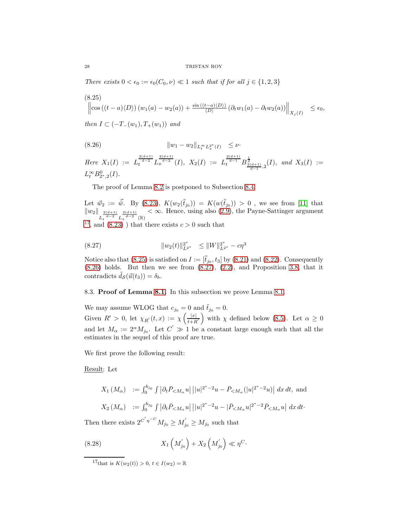There exists  $0 < \epsilon_0 := \epsilon_0(C_0, \nu) \ll 1$  such that if for all  $j \in \{1, 2, 3\}$ 

<span id="page-27-3"></span>
$$
(8.25)
$$
  

$$
\left\|\cos((t-a)\langle D\rangle)(w_1(a)-w_2(a))+\frac{\sin((t-a)\langle D\rangle)}{\langle D\rangle}(\partial_t w_1(a)-\partial_t w_2(a))\right\|_{X_j(I)} \leq \epsilon_0,
$$

then  $I \subset (-T_-(w_1), T_+(w_1))$  and

<span id="page-27-1"></span>(8.26) 
$$
||w_1 - w_2||_{L_t^{\infty} L_x^{2^*}(I)} \leq \nu.
$$

 $Here X_1(I) := L_t^{\frac{2(d+1)}{d-2}} L_x^{\frac{2(d+1)}{d-2}}(I), X_2(I) := L_t^{\frac{2(d+1)}{d-1}} B_{\frac{2(d+1)}{d-1},2}^{\frac{1}{2}}(I), and X_3(I) :=$  $L_t^{\infty} B_{2^*,2}^0(I)$ .

The proof of Lemma [8.2](#page-27-1) is postponed to Subsection [8.4.](#page-30-0)

Let  $\vec{w}_2 := \vec{\tilde{w}}$ . By [\(8.23\)](#page-26-1),  $K(w_2(\bar{t}_{j_0})) = K(w(\bar{t}_{j_0})) > 0$ , we see from [\[11\]](#page-51-2) that  $\|w_2\|_{L_t^{\frac{2(d+1)}{d-2}} L_x^{\frac{2(d+1)}{d-2}}(\mathbb{R})}$  $< \infty$ . Hence, using also [\(2.9\)](#page-9-3), the Payne-Sattinger argument <sup>[17](#page-27-2)</sup>, and  $(8.23)$  ) that there exists  $c > 0$  such that

<span id="page-27-4"></span>(8.27) 
$$
||w_2(t)||_{L^{2^*}}^{2^*} \le ||W||_{L^{2^*}}^{2^*} - c\eta^3
$$

Notice also that [\(8.25\)](#page-27-3) is satisfied on  $I := [\bar{t}_{j_0}, t_3]$  by [\(8.21\)](#page-25-0) and [\(8.22\)](#page-26-2). Consequently  $(8.26)$  holds. But then we see from  $(8.27)$ ,  $(2.2)$ , and Proposition [3.8,](#page-12-3) that it contradicts  $\tilde{d}_{\mathcal{S}}(\vec{u}(t_3)) = \delta_b$ .

<span id="page-27-0"></span>8.3. Proof of Lemma [8.1.](#page-25-0) In this subsection we prove Lemma [8.1.](#page-25-0)

We may assume WLOG that  $c_{j_0} = 0$  and  $\tilde{t}_{j_0} = 0$ . Given  $R' > 0$ , let  $\chi_{R'}(t,x) := \chi\left(\frac{|x|}{t+R'}\right)$  with  $\chi$  defined below [\(8.5\)](#page-22-0). Let  $\alpha \geq 0$ and let  $M_{\alpha} := 2^{\alpha} M_{j_0}$ . Let  $C' \gg 1$  be a constant large enough such that all the estimates in the sequel of this proof are true.

We first prove the following result:

Result: Let

$$
X_1(M_\alpha) := \int_0^{b_{j_0}} \int |\partial_t \bar{P}_{\leq M_\alpha} u| \, ||u|^{2^*-2} u - \bar{P}_{\leq M_\alpha} (|u|^{2^*-2} u) | \, dx \, dt
$$
, and  

$$
X_2(M_\alpha) := \int_0^{b_{j_0}} \int |\partial_t \bar{P}_{\leq M_\alpha} u| \, ||u|^{2^*-2} u - |\bar{P}_{\leq M_\alpha} u|^{2^*-2} \bar{P}_{\leq M_\alpha} u| \, dx \, dt
$$
.

Then there exists  $2^{C'\eta^{-C}} M_{j_0} \ge M'_{j_0} \ge M_{j_0}$  such that

(8.28) 
$$
X_1\left(M'_{j_0}\right) + X_2\left(M'_{j_0}\right) \ll \eta^C.
$$

<span id="page-27-5"></span><span id="page-27-2"></span><sup>&</sup>lt;sup>17</sup>that is  $K(w_2(t)) > 0, t \in I(w_2) = \mathbb{R}$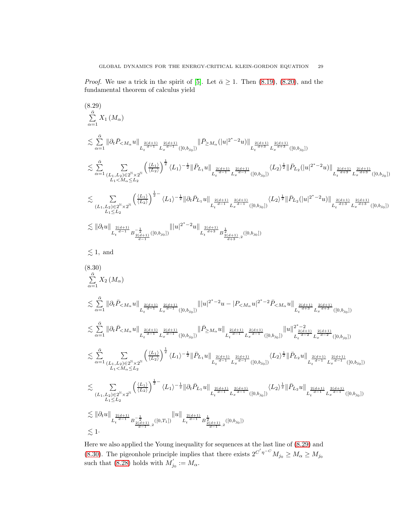*Proof.* We use a trick in the spirit of [\[5\]](#page-51-4). Let  $\bar{\alpha} \geq 1$ . Then [\(8.19\)](#page-24-4), [\(8.20\)](#page-25-1), and the fundamental theorem of calculus yield

<span id="page-28-0"></span>
$$
(8.29)
$$
\n
$$
\sum_{\alpha=1}^{6} X_{1}(M_{\alpha})
$$
\n
$$
\sum_{\alpha=1}^{5} \|\partial_{t}\bar{P}_{
$$

<span id="page-28-1"></span>
$$
\lesssim \sum_{\alpha=1}^{\infty} \sum_{\substack{(L_1, L_2) \in 2^{\mathbb{N}} \times 2^{\mathbb{N}} \\ L_1 < M_{\alpha} \le L_2}} \left( \frac{\langle L_1 \rangle}{\langle L_2 \rangle} \right)^2 \langle L_1 \rangle^{-\frac{1}{2}} \|\bar{P}_{L_1} u\|_{L_t^{\frac{2(d+1)}{d-1}} L_x^{\frac{2(d+1)}{d-1}} ([0, b_{j_0}])} \langle L_2 \rangle^{\frac{1}{2}} \|\bar{P}_{L_2} u\|_{L_t^{\frac{2(d+1)}{d-1}} L_x^{\frac{2(d+1)}{d-1}} ([0, b_{j_0}])}
$$

$$
\begin{split} &\lesssim \sum_{\substack{(L_1,L_2) \in 2^{\mathbb{N}} \times 2^{\mathbb{N}} \\ L_1 \le L_2}} \left( \frac{\langle L_1 \rangle}{\langle L_2 \rangle} \right)^{\frac{1}{2}-} \langle L_1 \rangle^{-\frac{1}{2}} \|\partial_t \bar{P}_{L_1} u\|_{L_t^{\frac{2(d+1)}{d-1}} L_x^{\frac{2(d+1)}{d-1}}([0,b_{j_0}])} \langle L_2 \rangle^{\frac{1}{2}} \|\bar{P}_{L_2} u\|_{L_t^{\frac{2(d+1)}{d-1}} L_x^{\frac{2(d+1)}{d-1}}([0,b_{j_0}])} \\ &\lesssim \|\partial_t u\|_{L_t^{\frac{2(d+1)}{d-1}} B_{\frac{2(d+1)}{d-1},2}^{-\frac{1}{2}}([0,T_1])} \|u\|_{L_t^{\frac{2(d+1)}{d-1}} B_{\frac{2(d+1)}{d-1},2}^{\frac{1}{2}}([0,b_{j_0}])} \\ &\lesssim 1. \end{split}
$$

Here we also applied the Young inequality for sequences at the last line of [\(8.29\)](#page-28-0) and [\(8.30\)](#page-28-1). The pigeonhole principle implies that there exists  $2^{C'\eta^{-C}}M_{j_0} \ge M_\alpha \ge M_{j_0}$ such that [\(8.28\)](#page-27-5) holds with  $M'_{j_0} := M_{\alpha}$ .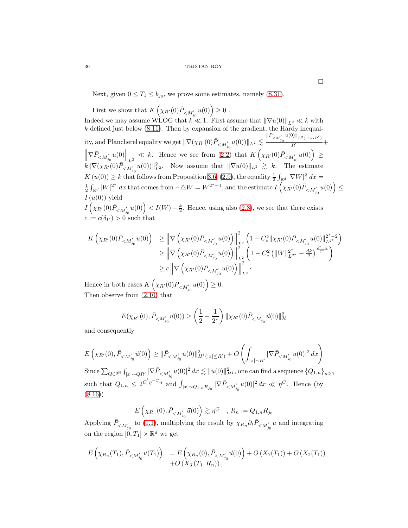Next, given  $0 \le T_1 \le b_{j_0}$ , we prove some estimates, namely [\(8.31\)](#page-30-1).

First we show that  $K\left(\chi_{R'}(0)\bar{P}_{< M_{j_0}'}u(0)\right)\geq 0$  . Indeed we may assume WLOG that  $k \ll 1$ . First assume that  $\|\nabla u(0)\|_{L^2} \ll k$  with  $k$  defined just below [\(8.11\)](#page-23-1). Then by expansion of the gradient, the Hardy inequality, and Plancherel equality we get  $\|\nabla(\chi_{R'}(0)\bar{P}_{< M_{j_0}'}u(0))\|_{L^2}\lesssim$  $\|\bar{P}_{\lt M_{j_0}'}u(0)\|_{L^2(|x|\sim R')}$  $\frac{R'}{R'}$  +  $\left\|\nabla \bar{P}_{\leq M'_{j_0}} u(0)\right\|_{L^2} \ll k$ . Hence we see from [\(2.2\)](#page-6-0) that  $K\left(\chi_{R'}(0)\bar{P}_{\leq M'_{j_0}} u(0)\right) \geq$  $\|K\|\nabla(\chi_{R'}(0)\overline{P}_{\leq M'_{j_0}}u(0))\|^2_{L^2}$ . Now assume that  $\|\nabla u(0)\|_{L^2}\gtrsim k$ . The estimate  $K(u(0)) \geq k$  that follows from Proposition [3.6,](#page-11-0) [\(2.9\)](#page-9-3), the equality  $\frac{1}{2} \int_{\mathbb{R}^d} |\nabla W|^2 dx =$  $\frac{1}{2} \int_{\mathbb{R}^d} |W|^{2^*} dx$  that comes from  $-\triangle W = W^{2^*-1}$ , and the estimate  $I(\chi_{R'}(0) \bar{P}_{\langle M_{j_0}'} u(0)) \leq$  $I(u(0))$  yield

 $I\left(\chi_{R'}(0)\bar{P}_{. Hence, using also [\(2.3\)](#page-6-1), we see that there exists$  $c := c(\delta_V) > 0$  such that

$$
K\left(\chi_{R'}(0)\bar{P}_{< M'_{j_0}}u(0)\right) \geq \left\|\nabla\left(\chi_{R'}(0)\bar{P}_{< M'_{j_0}}u(0)\right)\right\|_{L^2}^2 \left(1 - C^2_* \|\chi_{R'}(0)\bar{P}_{< M'_{j_0}}u(0)\|_{L^{2^*}}^{2^*-2}\right)
$$
  
\n
$$
\geq \left\|\nabla\left(\chi_{R'}(0)\bar{P}_{< M'_{j_0}}u(0)\right)\right\|_{L^2}^2 \left(1 - C^2_* \left(\|W\|_{L^{2^*}}^{2^*} - \frac{dk}{2}\right)^{\frac{2^*-2}{2^*}}\right)
$$
  
\n
$$
\geq c\left\|\nabla\left(\chi_{R'}(0)\bar{P}_{< M'_{j_0}}u(0)\right)\right\|_{L^2}^2.
$$

Hence in both cases  $K\left(\chi_{R'}(0)\bar{P}_{\langle M'_{j_0}u(0)\rangle\geq 0.$ Then observe from [\(2.10\)](#page-9-1) that

$$
E(\chi_{R'}(0), \bar{P}_{< M'_{j_0}} \vec{u}(0)) \ge \left(\frac{1}{2} - \frac{1}{2^*}\right) \|\chi_{R'}(0)\bar{P}_{< M'_{j_0}} \vec{u}(0)\|_{\mathcal{H}}^2
$$

and consequently

$$
E\left(\chi_{R'}(0), \bar{P}_{< M_{j_0}'} \vec{u}(0)\right) \geq \|\bar{P}_{< M_{j_0}'} u(0)\|_{H^1(|x| \leq R')}^2 + O\left(\int_{|x| \sim R'} |\nabla \bar{P}_{< M_{j_0}'} u(0)|^2\,dx\right)
$$

 $\text{Since }\sum_{Q\in 2^{\mathbb{N}}}\int_{|x|\sim QR'}|\nabla \bar{P}_{$ such that  $Q_{1,n} \leq 2^{C'\eta^{-C}n}$  and  $\int_{|x| \sim Q_{1,n} R_{j_0}} |\nabla \bar{P}_{\leq M'_{j_0}} u(0)|^2 dx \ll \eta^{C}$ . Hence (by [\(8.16\)](#page-24-2))

$$
E\left(\chi_{R_n}(0), \bar{P}_{\leq M'_{j_0}} \vec{u}(0)\right) \gtrsim \eta^C \quad , R_n := Q_{1,n} R_{j_0}
$$

Applying  $\bar{P}_{\leq M'_{j_0}}$  to [\(1.1\)](#page-0-0), multiplying the result by  $\chi_{R_n} \partial_t \bar{P}_{\leq M'_{j_0}} u$  and integrating on the region  $[0, T_1] \times \mathbb{R}^d$  we get

$$
E\left(\chi_{R_n}(T_1), \bar{P}_{
$$

 $\Box$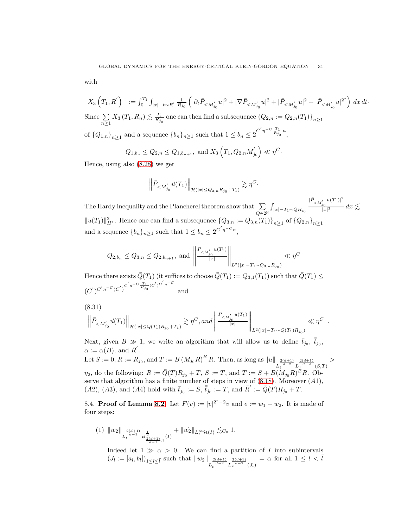with

 $X_3(T_1, R') = \int_0^{T_1} \int_{|x| - t \sim R'} \frac{1}{R_{j_0}}$  $\left(|\partial_t\bar{P}_{< M_{j_0}'}u|^2+|\nabla\bar{P}_{< M_{j_0}'}u|^2+|\bar{P}_{< M_{j_0}'}u|^2+|\bar{P}_{< M_{j_0}'}u|^{2^*}\right)\,dx\,dt\cdot$ Since  $\sum$  $n\geq 1$  $X_3(T_1, R_n) \lesssim \frac{T_1}{R_{j_0}}$  one can then find a subsequence  $\{Q_{2,n} := Q_{2,n}(T_1)\}_{n \geq 1}$ of  ${Q_{1,n}}_{n\geq 1}$  and a sequence  ${b_n}_{n\geq 1}$  such that  $1 \leq b_n \leq 2^{C'\eta^{-C}\frac{T_1}{R_{j_0}}n}$ ,

> $Q_{1,b_n} \leq Q_{2,n} \leq Q_{1,b_{n+1}}, \text{ and } X_3 \left( T_1, Q_{2,n} M_j' \right)$  $\left(\begin{matrix} \gamma'\\j_0\end{matrix}\right)\ll \eta^C.$

Hence, using also [\(8.28\)](#page-27-5) we get

$$
\left\|\bar{P}_{
$$

The Hardy inequality and the Plancherel theorem show that  $\sum$  $Q\in 2^\mathbb{N}$  $\int_{\left|x\right|-T_1 \sim QR_{j_0}}$  $|\bar{P}_{\lt M_{j_0}'} u(T_1)|^2$  $\frac{d\theta}{|x|^2}$  dx  $\lesssim$  $||u(T_1)||_{H^1}^2$ . Hence one can find a subsequence  ${Q_{3,n} := Q_{3,n}(T_1)}_{n \ge 1}$  of  ${Q_{2,n}}_{n \ge 1}$ and a sequence  $\{b_n\}_{n\geq 1}$  such that  $1 \leq b_n \leq 2^{C'\eta^{-C}n}$ ,

$$
Q_{2,b_n} \leq Q_{3,n} \leq Q_{2,b_{n+1}},
$$
 and  $\left\| \frac{P_{\lt M_{j_0}'}(u(T_1))}{|x|} \right\|_{L^2(|x|-T_1 \sim Q_{3,n}R_{j_0})} \ll \eta^C$ 

Hence there exists  $\bar{Q}(T_1)$  (it suffices to choose  $\bar{Q}(T_1) := Q_{3,1}(T_1)$ ) such that  $\bar{Q}(T_1) \leq$  $(C^{'})^{C^{'} \eta^{-C}} (C^{'})^{C^{'} \eta^{-C} \frac{T_1}{R_{j_0}} (C^{'})^{C^{'} \eta^{-C}}}$ and

(8.31)

<span id="page-30-1"></span>
$$
\left\|\left|\bar{P}_{\leq M'_{j_0}} \vec{u}(T_1)\right|\right\|_{\mathcal{H}(|x|\leq \bar{Q}(T_1)R_{j_0}+T_1)} \gtrsim \eta^C, and \left\|\frac{\left|\bar{P}_{\leq M'_{j_0}} u(T_1)\right|}{|x|}\right\|_{L^2(|x|-T_1\sim \bar{Q}(T_1)R_{j_0})} \ll \eta^C.
$$

Next, given  $B \gg 1$ , we write an algorithm that will allow us to define  $\bar{t}_{j_0}$ ,  $\bar{t}_{j_0}$ ,  $\alpha := \alpha(B)$ , and  $\overline{R}'$ .

Let  $S := 0, R := R_{j_0}$ , and  $T := B (M_{j_0} R)^B R$ . Then, as long as  $||u||$  $L_t^{\frac{2(d+1)}{d-2}} L_x^{\frac{2(d+1)}{d-2}} (S,T)$  $>$  $\eta_2$ , do the following:  $R := \overline{Q}(T)R_{j_0} + T$ ,  $S := T$ , and  $T := S + B(M_{j_0}R)^B R$ . Observe that algorithm has a finite number of steps in view of  $(8.18)$ . Moreover  $(A1)$ ,  $(A2)$ ,  $(A3)$ , and  $(A4)$  hold with  $\bar{t}_{j_0} := S$ ,  $\bar{t}_{j_0} := T$ , and  $\bar{R}' := \bar{Q}(T)R_{j_0} + T$ .

<span id="page-30-0"></span>8.4. **Proof of Lemma [8.2.](#page-27-1)** Let  $F(v) := |v|^{2^*-2}v$  and  $e := w_1 - w_2$ . It is made of four steps:

 $(1) \|w_2\|_{L_t^{\frac{2(d+1)}{d-1}}B_{\frac{2(d+1)}{d-1},2}^{\frac{1}{2}}(I)} + \|\vec{w_2}\|_{L_t^{\infty} \mathcal{H}(I)} \lesssim_{C_0} 1.$ 

Indeed let  $1 \gg \alpha > 0$ . We can find a partition of I into subintervals  $(J_l := [a_l, b_l])_{1 \leq l \leq \bar{l}}$  such that  $||w_2||_{L_t^{\frac{2(d+1)}{d-2}} L_x^{\frac{2(d+1)}{d-2}}(J_l)}$  $= \alpha$  for all  $1 \leq l < \overline{l}$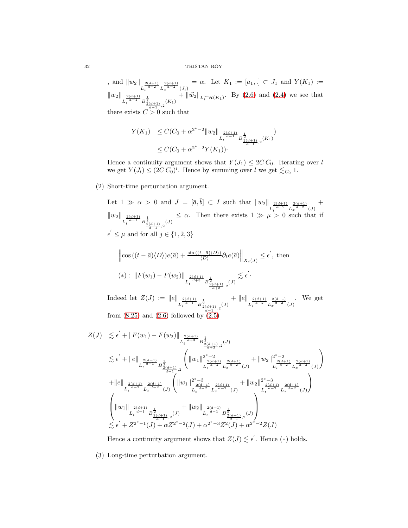, and  $||w_2||_{L_t^{\frac{2(d+1)}{d-2}}L_x^{\frac{2(d+1)}{d-2}}(J_{\bar{l}})} = \alpha$ . Let  $K_1 := [a_1, .] \subset J_1$  and  $Y(K_1) :=$  $\|w_2\|_{L_t^{\frac{2(d+1)}{d-1}}B_{\frac{2(d+1)}{d-1},2}(K_1)} + \|\vec{w_2}\|_{L_t^{\infty} \mathcal{H}(K_1)}$ . By [\(2.6\)](#page-7-2) and [\(2.4\)](#page-7-0) we see that

there exists  $C > 0$  such that

$$
Y(K_1) \leq C(C_0 + \alpha^{2^*-2} \|w_2\|_{L_t^{\frac{2(d+1)}{d-1}} B_{\frac{2(d+1)}{d-1},2}(K_1)}).
$$
  
 
$$
\leq C(C_0 + \alpha^{2^*-2} Y(K_1)).
$$

Hence a continuity argument shows that  $Y(J_1) \leq 2C C_0$ . Iterating over l we get  $Y(J_l) \leq (2C C_0)^l$ . Hence by summing over l we get  $\lesssim_{C_0} 1$ .

(2) Short-time perturbation argument.

Let  $1 \gg \alpha > 0$  and  $J = [\bar{a}, \bar{b}] \subset I$  such that  $||w_2|| \frac{2(d+1)}{L_t^{\frac{d}{d-2}} L_x^{\frac{2(d+1)}{d-2}} (J)$ +  $\|w_2\|_{L_t^{\frac{2(d+1)}{d-1}}B_{\frac{2(d+1)}{d-1},2}^{\frac{1}{2}}(J)}$  $\leq \alpha$ . Then there exists  $1 \gg \mu > 0$  such that if  $\epsilon' \leq \mu$  and for all  $j \in \{1, 2, 3\}$ 

$$
\left\| \cos \left( (t - \bar{a}) \langle D \rangle \right) e(\bar{a}) + \frac{\sin \left( (t - \bar{a}) \langle D \rangle \right)}{\langle D \rangle} \partial_t e(\bar{a}) \right\|_{X_j(J)} \le \epsilon', \text{ then}
$$
  

$$
(*): \left\| F(w_1) - F(w_2) \right\|_{L_t^{\frac{2(d+1)}{d+3}} B^{\frac{1}{2}}_{\frac{2(d+1)}{d+3},2}(J)} \lesssim \epsilon'.
$$

Indeed let  $Z(J) := ||e||$  $L_t^{\frac{2(d+1)}{d-1}} B_{\frac{2(d+1)}{d-1},2}^{\frac{1}{2}}(J)$  $+$  ||e||  $L_t^{\frac{2(d+1)}{d-2}} L_x^{\frac{2(d+1)}{d-2}}(J)$ . We get from  $(8.25)$  and  $(2.6)$  followed by  $(2.5)$ 

$$
Z(J) \lesssim \epsilon' + \|F(w_1) - F(w_2)\|_{L_t^{\frac{2(d+1)}{d+3}} B^{\frac{1}{2}}_{\frac{2(d+1)}{d+3},2}(J)}
$$
\n
$$
\lesssim \epsilon' + \|e\|_{L_t^{\frac{2(d+1)}{d-1}} B^{\frac{1}{2}}_{\frac{2(d+1)}{d-1},2}} \left( \|w_1\|_{L_t^{\frac{2(d+1)}{d-2}} L_x^{\frac{2(d+1)}{d-2}}(J)}^{2\frac{2(d+1)}{d-2}} + \|w_2\|_{L_t^{\frac{2(d+1)}{d-2}} L_x^{\frac{2(d+1)}{d-2}}(J)}^{2\frac{2(d+1)}{d-1}} \right)
$$
\n
$$
+ \|e\|_{L_t^{\frac{2(d+1)}{d-2}} L_x^{\frac{2(d+1)}{d-2}}(J)} \left( \|w_1\|_{L_t^{\frac{2(d+1)}{d-2}} L_x^{\frac{2(d+1)}{d-2}}(J)}^{2\frac{2(d+1)}{d-2}} + \|w_2\|_{L_t^{\frac{2(d+1)}{d-2}} L_x^{\frac{2(d+1)}{d-2}}(J)}^{2\frac{2(d+1)}{d-2}} \right)
$$
\n
$$
\left( \|w_1\|_{L_t^{\frac{2(d+1)}{d-1}} B^{\frac{1}{2}}_{\frac{2(d+1)}{d-1},2}(J)} + \|w_2\|_{L_t^{\frac{2(d+1)}{d-1}} B^{\frac{1}{2}}_{\frac{2(d+1)}{d-1},2}(J)} \right)
$$
\n
$$
\lesssim \epsilon' + Z^{2^*-1}(J) + \alpha Z^{2^*-2}(J) + \alpha^{2^*-3} Z^2(J) + \alpha^{2^*-2} Z(J)
$$

Hence a continuity argument shows that  $Z(J) \lesssim \epsilon'$ . Hence (\*) holds.

(3) Long-time perturbation argument.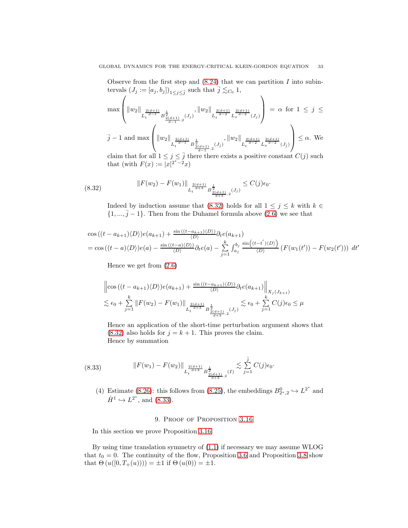Observe from the first step and  $(8.24)$  that we can partition I into subintervals  $(J_j := [a_j, b_j])_{1 \leq j \leq \overline{j}}$  such that  $\overline{j} \lesssim_{C_0} 1$ ,

$$
\max\left(\|w_2\|_{L_t^{\frac{2(d+1)}{d-1}}B_{\frac{2(d+1)}{d-1},2}^{\frac{1}{2}(J_j)}(J_j)},\|w_2\|_{L_t^{\frac{2(d+1)}{d-2}}L_x^{\frac{2(d+1)}{d-2}}(J_j)}\right)=\alpha \text{ for } 1\leq j\leq
$$
  

$$
\bar{j}-1 \text{ and } \max\left(\|w_2\|_{L_t^{\frac{2(d+1)}{d-1}}B_{\frac{2(d+1)}{d-1},2}^{\frac{1}{2}(J_j)},\|w_2\|_{L_t^{\frac{2(d+1)}{d-2}}L_x^{\frac{2(d+1)}{d-2}}(J_j)}\right)\leq \alpha. \text{ We}
$$

claim that for all  $1 \leq j \leq \overline{j}$  there there exists a positive constant  $C(j)$  such that (with  $F(x) := |x|^{2^*-2}x$ )

$$
(8.32) \t\t\t ||F(w_2) - F(w_1)||_{L_t^{\frac{2(d+1)}{d+3}} B^{\frac{1}{2}}_{\frac{2(d+1)}{d+3},2}(J_j)} \leq C(j)\epsilon_0.
$$

<span id="page-32-0"></span>Indeed by induction assume that [\(8.32\)](#page-32-0) holds for all  $1 \leq j \leq k$  with  $k \in$  $\{1, ..., j-1\}$ . Then from the Duhamel formula above [\(2.6\)](#page-7-2) we see that

$$
\cos\left((t-a_{k+1})\langle D\rangle\right)e(a_{k+1}) + \frac{\sin\left((t-a_{k+1})\langle D\rangle\right)}{\langle D\rangle}\partial_t e(a_{k+1})
$$
\n
$$
= \cos\left((t-a)\langle D\rangle\right)e(a) - \frac{\sin\left((t-a)\langle D\rangle\right)}{\langle D\rangle}\partial_t e(a) - \sum_{j=1}^k \int_{a_j}^{b_j} \frac{\sin\left((t-t')\langle D\rangle\right)}{\langle D\rangle}\left(F(w_1(t')) - F(w_2(t'))\right) dt'
$$

Hence we get from [\(2.6\)](#page-7-2)

$$
\left\| \cos \left( (t - a_{k+1}) \langle D \rangle \right) e(a_{k+1}) + \frac{\sin \left( (t - a_{k+1}) \langle D \rangle \right)}{\langle D \rangle} \partial_t e(a_{k+1}) \right\|_{X_j(J_{k+1})}
$$
  

$$
\lesssim \epsilon_0 + \sum_{j=1}^k \left\| F(w_2) - F(w_1) \right\|_{L_t^{\frac{2(d+1)}{d+3}} B_{\frac{2(d+1)}{d+3},2}^{\frac{1}{2}}(J_j)} \lesssim \epsilon_0 + \sum_{j=1}^k C(j) \epsilon_0 \le \mu
$$

Hence an application of the short-time perturbation argument shows that  $(8.32)$  also holds for  $j = k + 1$ . This proves the claim. Hence by summation

$$
(8.33) \t\t\t ||F(w_1) - F(w_2)||_{L_t^{\frac{2(d+1)}{d+3}} B^{\frac{1}{2}}_{\frac{2(d+1)}{d+3},2}(I)} \lesssim \sum_{j=1}^{\overline{j}} C(j)\epsilon_0.
$$

<span id="page-32-1"></span>(4) Estimate [\(8.26\)](#page-27-1): this follows from [\(8.25\)](#page-27-3), the embeddings  $B_{2^*,2}^0 \hookrightarrow L^{2^*}$  and  $\dot{H}^1 \hookrightarrow L^{2^*}$ , and [\(8.33\)](#page-32-1).

# 9. PROOF OF PROPOSITION [3.16](#page-14-2)

In this section we prove Proposition [3.16.](#page-14-2)

By using time translation symmetry of [\(1.1\)](#page-0-0) if necessary we may assume WLOG that  $t_0 = 0$ . The continuity of the flow, Proposition [3.6](#page-11-0) and Proposition [3.8](#page-12-3) show that  $\Theta(u([0, T_+(u)))) = \pm 1$  if  $\Theta(u(0)) = \pm 1$ .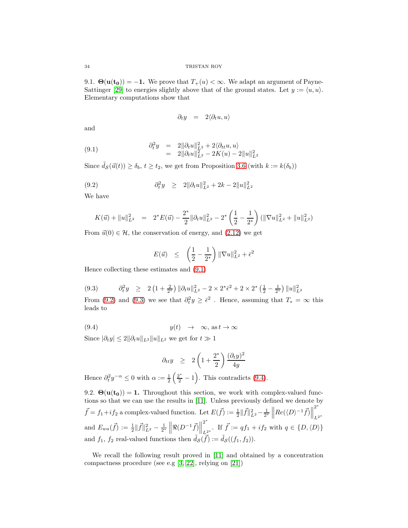9.1.  $\Theta(\mathbf{u}(\mathbf{t_0})) = -1$ . We prove that  $T_+(u) < \infty$ . We adapt an argument of Payne-Sattinger [\[29\]](#page-52-0) to energies slightly above that of the ground states. Let  $y := \langle u, u \rangle$ . Elementary computations show that

<span id="page-33-0"></span>
$$
\partial_t y = 2 \langle \partial_t u, u \rangle
$$

and

(9.1) 
$$
\begin{array}{rcl} \partial_t^2 y & = & 2 \|\partial_t u\|_{L^2}^2 + 2 \langle \partial_{tt} u, u \rangle \\ & = & 2 \|\partial_t u\|_{L^2}^2 - 2K(u) - 2\|u\|_{L^2}^2 \end{array}
$$

Since  $\tilde{d}_{\mathcal{S}}(\vec{u}(t)) \geq \delta_b, t \geq t_2$ , we get from Proposition [3.6](#page-11-0) (with  $k := k(\delta_b)$ )

(9.2) 
$$
\partial_t^2 y \geq 2 \|\partial_t u\|_{L^2}^2 + 2k - 2\|u\|_{L^2}^2
$$

We have

<span id="page-33-1"></span>
$$
K(\vec{u}) + ||u||_{L^2}^2 = 2^*E(\vec{u}) - \frac{2^*}{2} ||\partial_t u||_{L^2}^2 - 2^* \left(\frac{1}{2} - \frac{1}{2^*}\right) (||\nabla u||_{L^2}^2 + ||u||_{L^2}^2)
$$

From  $\vec{u}(0) \in \mathcal{H}$ , the conservation of energy, and  $(2.12)$  we get

$$
E(\vec{u}) \leq \left(\frac{1}{2} - \frac{1}{2^*}\right) \|\nabla u\|_{L^2}^2 + \bar{\epsilon}^2
$$

Hence collecting these estimates and [\(9.1\)](#page-33-0)

<span id="page-33-2"></span>
$$
(9.3) \qquad \partial_t^2 y \ge 2\left(1+\tfrac{2}{2^*}\right) \|\partial_t u\|_{L^2}^2 - 2 \times 2^* \bar{\epsilon}^2 + 2 \times 2^* \left(\tfrac{1}{2} - \tfrac{1}{2^*}\right) \|u\|_{L^2}^2
$$

From [\(9.2\)](#page-33-1) and [\(9.3\)](#page-33-2) we see that  $\partial_t^2 y \geq \bar{\epsilon}^2$ . Hence, assuming that  $T_* = \infty$  this leads to

$$
(9.4) \t y(t) \rightarrow \infty, \text{ as } t \rightarrow \infty
$$

Since  $|\partial_t y| \leq 2 ||\partial_t u||_{L^2} ||u||_{L^2}$  we get for  $t \gg 1$ 

<span id="page-33-3"></span>
$$
\partial_{tt}y \geq 2\left(1+\frac{2^*}{2}\right)\frac{(\partial_t y)^2}{4y}
$$

Hence  $\partial_t^2 y^{-\alpha} \leq 0$  with  $\alpha := \frac{1}{2}$  $\left(\frac{2^*}{2} - 1\right)$ . This contradicts [\(9.4\)](#page-33-3).

9.2.  $\Theta(\mathbf{u}(\mathbf{t_0})) = 1$ . Throughout this section, we work with complex-valued functions so that we can use the results in [\[11\]](#page-51-2). Unless previously defined we denote by  $\vec{f} = f_1 + if_2$  a complex-valued function. Let  $E(\vec{f}) := \frac{1}{2} ||\vec{f}||_{L^2}^2 - \frac{1}{2^*} \left||Re(\langle D \rangle^{-1} \vec{f})||\right||$ 2 ∗  $L^{2*}$ and  $E_{wa}(\vec{f}) := \frac{1}{2} ||\vec{f}||_{L^2}^2 - \frac{1}{2^*} ||\Re(D^{-1}\vec{f})||$ 2 ∗ L<sub>2</sub><sup>\*</sup>. If  $\vec{f} := qf_1 + if_2$  with  $q \in \{D, \langle D \rangle\}$ and  $f_1$ ,  $f_2$  real-valued functions then  $\tilde{d}_{\mathcal{S}}(\vec{f}) := \tilde{d}_{\mathcal{S}}((f_1, f_2)).$ 

We recall the following result proved in [\[11\]](#page-51-2) and obtained by a concentration compactness procedure (see e.g [\[3,](#page-51-14) [22\]](#page-51-15), relying on [\[21\]](#page-51-16))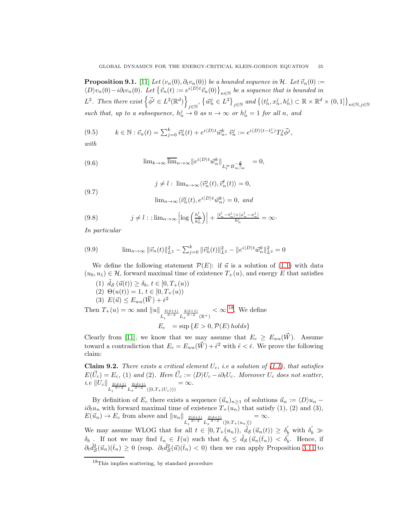**Proposition 9.1.** [\[11\]](#page-51-2) Let  $(v_n(0), \partial_t v_n(0))$  be a bounded sequence in H. Let  $\vec{v}_n(0) :=$  $\langle D \rangle v_n(0) - i \partial_t v_n(0)$ . Let  $\{\vec{v}_n(t) := e^{i \langle D \rangle t} \vec{v}_n(0)\}_{n \in \mathbb{N}}$  be a sequence that is bounded in  $L^2$ . Then there exist  $\left\{\vec{\phi}^j \in L^2(\mathbb{R}^d)\right\}$  $\left\{ \vec{w}_n^j \in L^2 \right\}_{j \in \mathbb{N}}$  and  $\left\{ (t_n^j, x_n^j, h_n^j) \subset \mathbb{R} \times \mathbb{R}^d \times (0, 1] \right\}_{n \in \mathbb{N}, j \in \mathbb{N}}$ such that, up to a subsequence,  $h_n^j \to 0$  as  $n \to \infty$  or  $h_n^j = 1$  for all n, and

<span id="page-34-3"></span>(9.5) 
$$
k \in \mathbb{N} : \vec{v}_n(t) = \sum_{j=0}^k \vec{v}_n^j(t) + e^{i\langle D \rangle t} \vec{w}_n^k, \ \vec{v}_n^j := e^{i\langle D \rangle (t - t_n^j)} T_n^j \vec{\phi}^j,
$$

with

<span id="page-34-2"></span>(9.6) 
$$
\lim_{k \to \infty} \overline{\lim}_{n \to \infty} ||e^{i\langle D \rangle t} \vec{w}_n^k||_{L_t^{\infty} B_{\infty, \infty}^{-\frac{d}{2}}} = 0,
$$

(9.7) 
$$
j \neq l : \lim_{n \to \infty} \langle \vec{v}_n^j(t), \vec{v}_n^l(t) \rangle = 0,
$$

$$
\lim_{n \to \infty} \langle \vec{v}_n^j(t), e^{i \langle D \rangle t} \vec{w}_n^k \rangle = 0, \text{ and}
$$

<span id="page-34-4"></span>
$$
(9.8) \t j \neq l : ; \lim_{n \to \infty} \left| \log \left( \frac{h_n^l}{h_n^j} \right) \right| + \frac{|t_n^l - t_n^j| + |x_n^l - x_n^j|}{h_n^l} = \infty \cdot
$$

In particular

<span id="page-34-0"></span>(9.9) 
$$
\lim_{n \to \infty} \|\vec{v}_n(t)\|_{L^2}^2 - \sum_{j=0}^k \|\vec{v}_n^j(t)\|_{L^2}^2 - \|e^{i\langle D\rangle t}\vec{w}_n^k\|_{L^2}^2 = 0
$$

We define the following statement  $\mathcal{P}(E)$ : if  $\vec{u}$  is a solution of [\(1.1\)](#page-0-0) with data  $(u_0, u_1) \in \mathcal{H}$ , forward maximal time of existence  $T_+(u)$ , and energy E that satisfies

(1) 
$$
\tilde{d}_{\mathcal{S}}(\vec{u}(t)) \ge \delta_b, t \in [0, T_+(u))
$$
  
\n(2)  $\Theta(u(t)) = 1, t \in [0, T_+(u))$   
\n(3)  $E(\vec{u}) \le E_{wa}(\vec{W}) + \bar{\epsilon}^2$   
\nThen  $T_+(u) = \infty$  and  $||u||_{L_t^{\frac{2(d+1)}{d-2}} L_x^{\frac{2(d+1)}{d-2}}(\mathbb{R}^+)} < \infty$ <sup>18</sup>. We define  
\n $E_c = \sup \{ E > 0, \mathcal{P}(E) \text{ holds} \}$ 

Clearly from [\[11\]](#page-51-2), we know that we may assume that  $E_c \ge E_{wa}(\vec{W})$ . Assume toward a contradiction that  $E_c = E_{wa}(\vec{W}) + \tilde{\epsilon}^2$  with  $\tilde{\epsilon} < \bar{\epsilon}$ . We prove the following claim:

<span id="page-34-5"></span>Claim 9.2. There exists a critical element  $U_c$ , i.e a solution of [\(1.1\)](#page-0-0), that satisfies  $E(\vec{U}_c) = E_c$ , (1) and (2). Here  $\vec{U}_c := \langle D \rangle U_c - i \partial_t U_c$ . Moreover  $U_c$  does not scatter, *i.e*  $||U_c||$   $\frac{2(d+1)}{L_t^{\frac{d-2}{d-2}}} L_x^{\frac{2(d+1)}{d-2}} (0,T_+(U_c)))$  $=\infty$ .

By definition of  $E_c$  there exists a sequence  $(\vec{u}_n)_{n\geq 1}$  of solutions  $\vec{u}_n := \langle D \rangle u_n$  $i\partial_t u_n$  with forward maximal time of existence  $T_+(u_n)$  that satisfy (1), (2) and (3),  $E(\vec{u}_n) \to E_c$  from above and  $||u_n||_{L_t^{\frac{2(d+1)}{d-2}} L_x^{\frac{2(d+1)}{d-2}}([0,T+(u_n)])}$  $=\infty$ .

We may assume WLOG that for all  $t \in [0, T_{+}(u_n)), \tilde{ds}(\vec{u}_n(t)) \geq \delta_0'$  with  $\delta_0' \gg$  $\delta_b$  If not we may find  $\bar{t}_{n_\infty} \in I(u)$  such that  $\delta_b \leq \tilde{d}_{\mathcal{S}}(\vec{u}_n(\bar{t}_n)) < \delta'_b$ . Hence, if  $\partial_t \tilde{d}_{\mathcal{S}}^2$  $\mathcal{L}_{\mathcal{S}}^{2}(\vec{u}_{n})(\bar{t}_{n}) \geq 0$  (resp.  $\partial_{t}\tilde{d}_{\mathcal{S}}^{2}$  $\frac{1}{\mathcal{S}}(\vec{u})(\bar{t}_n) < 0$  then we can apply Proposition [3.11](#page-13-0) to

<span id="page-34-1"></span><sup>18</sup>This implies scattering, by standard procedure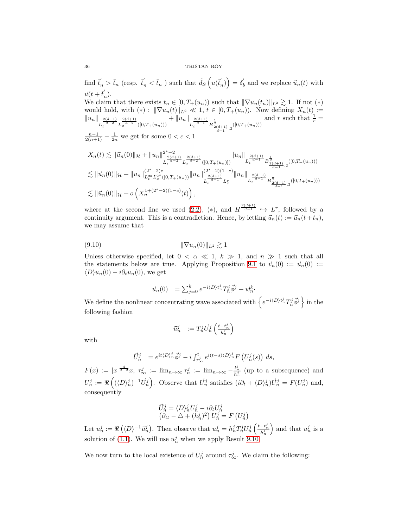find  $\vec{t}_n > \bar{t}_n$  (resp.  $\vec{t}_n < \bar{t}_n$ ) such that  $\tilde{d}_{\mathcal{S}}\left(u(\vec{t}_n)\right) = \delta'_b$  and we replace  $\vec{u}_n(t)$  with  $\vec{u}(t+\vec{t}_n).$ 

We claim that there exists  $t_n \in [0, T_+(u_n))$  such that  $\|\nabla u_n(t_n)\|_{L^2} \gtrsim 1$ . If not  $(*)$ would hold, with  $(*)$ :  $\|\nabla u_n(t)\|_{L^2} \ll 1$ ,  $t \in [0, T_+(u_n))$ . Now defining  $X_n(t)$  :=  $||u_n||_{L_t^{\frac{2(d+1)}{d-2}}L_x^{\frac{2(d+1)}{d-2}}([0,T+(u_n)))}$  $+ \|u_n\|_{L_t^{\frac{2(d+1)}{d-1}}} B^{\frac{1}{2}}_{\frac{2(d+1)}{d-1},2}([0,T+(u_n)))$ and r such that  $\frac{1}{r}$  =

 $\frac{n-1}{2(n+1)} - \frac{1}{2n}$  we get for some  $0 < c < 1$ 

$$
X_n(t) \lesssim \|\vec{u}_n(0)\|_{\mathcal{H}} + \|u_n\|_{L_t^{\frac{2(d+1)}{d-2}} L_x^{\frac{2(d+1)}{d-2}}([0,T_+(u_n)])}^{\frac{2(d+1)}{d-1}} \|u_n\|_{L_t^{\frac{2(d+1)}{d-1}} B_{\frac{2(d+1)}{d-1},2}^{\frac{1}{d}}([0,T_+(u_n)))}
$$
  
\n
$$
\lesssim \|\vec{u}_n(0)\|_{\mathcal{H}} + \|u_n\|_{L_t^{\infty} L_x^{2^*}([0,T_+(u_n))}^{\frac{2(d+1)}{d-2}} \|u_n\|_{L_t^{\frac{2(d+1)}{d-1}} L_x^{\frac{2(d+1)}{d}} B_{\frac{2(d+1)}{d-1},2}^{\frac{1}{d-1}}([0,T_+(u_n)))}
$$
  
\n
$$
\lesssim \|\vec{u}_n(0)\|_{\mathcal{H}} + o\left(X_n^{1+(2^*-2)(1-c)}(t)\right),
$$

where at the second line we used  $(2.2)$ ,  $(*)$ , and  $H^{\frac{2(d+1)}{d-1}} \hookrightarrow L^r$ , followed by a continuity argument. This is a contradiction. Hence, by letting  $\vec{u}_n(t) := \vec{u}_n(t+t_n)$ , we may assume that

$$
(\mathbf{9.10}) \qquad \qquad \|\nabla u_n(0)\|_{L^2} \gtrsim 1
$$

Unless otherwise specified, let  $0 < \alpha \ll 1, k \gg 1$ , and  $n \gg 1$  such that all the statements below are true. Applying Proposition [9.1](#page-34-0) to  $\vec{v}_n(0) := \vec{u}_n(0) :=$  $\langle D \rangle u_n(0) - i \partial_t u_n(0)$ , we get

<span id="page-35-0"></span>
$$
\vec{u}_n(0) = \sum_{j=0}^k e^{-i \langle D \rangle t_n^j} T_n^j \vec{\phi}^j + \vec{w}_n^k.
$$

We define the nonlinear concentrating wave associated with  $\left\{e^{-i\langle D)t_n^j}T_n^j\vec{\phi}^j\right\}$  in the following fashion

$$
\vec{u}^j_n \quad \text{:= } T^j_n \vec{U}^j_n \left( \tfrac{t - t^j_n}{h^j_n} \right)
$$

with

$$
\vec{U}_n^j = e^{it \langle D \rangle_n^j} \vec{\phi}^j - i \int_{\tau_{\infty}^j}^t e^{i(t-s) \langle D \rangle_n^j} F\left(U_n^j(s)\right) ds,
$$

 $F(x) := |x|^{\frac{4}{d-2}}x, \tau_{\infty}^j := \lim_{n \to \infty} \tau_n^j := \lim_{n \to \infty} -\frac{t_n^j}{h_n^j}$  (up to a subsequence) and  $U_n^j := \Re\left((\langle D \rangle_n^j)^{-1} \vec{U}_n^j\right)$ . Observe that  $\vec{U}_n^j$  satisfies  $(i\partial_t + \langle D \rangle_n^j)\vec{U}_n^j = F(U_n^j)$  and, consequently

$$
\begin{array}{l} \vec{U}^j_n = \langle D \rangle^j_n U^j_n - i \partial_t U^j_n \\ \big( \partial_{tt} - \triangle + (h^j_n)^2 \big) \, U^j_n = F \left( U^j_n \right) \end{array}
$$

Let  $u_n^j := \Re(\langle D \rangle^{-1} \vec{u}_n^j)$ . Then observe that  $u_n^j = h_n^j T_n^j U_n^j \left( \frac{t - t_n^j}{h_n^j} \right)$ ) and that  $u_n^j$  is a solution of [\(1.1\)](#page-0-0). We will use  $u_n^j$  when we apply Result [9.10.](#page-42-0)

We now turn to the local existence of  $U_n^j$  around  $\tau_\infty^j$ . We claim the following: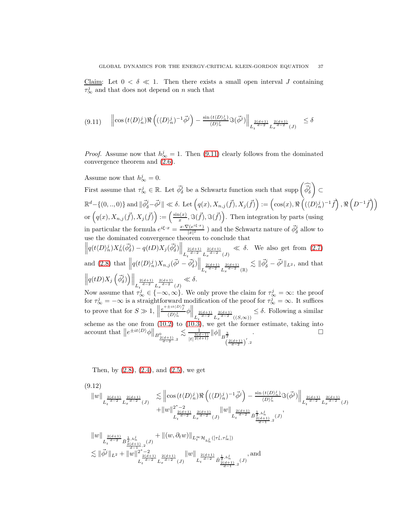Claim: Let  $0 < \delta \ll 1$ . Then there exists a small open interval J containing  $\tau_{\infty}^{j}$  and that does not depend on n such that

<span id="page-36-0"></span>
$$
(9.11) \qquad \left\| \cos\left(t \langle D \rangle_n^j\right) \Re \left( (\langle D \rangle_n^j)^{-1} \vec{\phi}^j \right) - \frac{\sin\left(t \langle D \rangle_n^j\right)}{\langle D \rangle_n^j} \Im(\vec{\phi}^j) \right\|_{L_t^{\frac{2(d+1)}{d-2}} L_x^{\frac{2(d+1)}{d-2}}(J)} \le \delta
$$

*Proof.* Assume now that  $h_{\infty}^j = 1$ . Then [\(9.11\)](#page-36-0) clearly follows from the dominated convergence theorem and [\(2.6\)](#page-7-2).

Assume now that  $h_{\infty}^j = 0$ . First assume that  $\tau_{\infty}^{j} \in \mathbb{R}$ . Let  $\vec{\phi}_{\delta}^{j}$  be a Schwartz function such that supp  $\left(\widehat{\vec{\phi}_{\delta}}^{j}$  $\overline{\phantom{0}}$ ⊂  $\mathbb{R}^d - \{(0,..,0)\}$  and  $\|\vec{\phi}^j_{\delta} - \vec{\phi}^j\| \ll \delta$ . Let  $\left(q(x), X_{n,j}(\vec{f}), X_j(\vec{f})\right) := \left(\cos(x), \Re\left(\overline{(\langle D \rangle^j_n)^{-1}} \vec{f}\right), \Re\left(D^{-1} \vec{f}\right)\right)$ or  $(q(x), X_{n,j}(\vec{f}), X_j(\vec{f})) := \left(\frac{\sin(x)}{x}\right)$  $(\frac{f(x)}{x}, \Im(\vec{f}), \Im(\vec{f}))$ . Then integration by parts (using in particular the formula  $e^{i\xi \cdot x} = \frac{x \cdot \nabla(e^{i\xi \cdot x})}{|x|^2}$  $\frac{\vec{a}^{\prime}(e^{i\xi \cdot x})}{|x|^2}$  ) and the Schwartz nature of  $\vec{\phi}_{\delta}^j$  allow to use the dominated convergence theorem to conclude that  $\left\|q(t\langle D\rangle_{n}^{j})X_{n}^{j}(\vec{\phi}_{\delta}^{j})-q(tD)X_{j}(\vec{\phi}_{\delta}^{j})\right\|_{L_{t}^{\frac{2(d+1)}{d-2}}L_{x}^{\frac{2(d+1)}{d-2}}(J)}$  $\ll \delta$ . We also get from [\(2.7\)](#page-7-3) and [\(2.8\)](#page-8-1) that  $\left\| q(t \langle D \rangle_n^j) X_{n,j} (\vec{\phi}^j - \vec{\phi}^j_{\delta}) \right\|_{L_t^{\frac{2(d+1)}{d-2}} L_x^{\frac{2(d+1)}{d-2}}(\mathbb{R})}$  $\lesssim \|\vec{\phi}_{\delta}^j - \vec{\phi}^j\|_{L^2}$ , and that  $\left\|q(tD)X_j\left(\vec{\phi}_\delta^j\right)\right\|_{L_t^{\frac{2(d+1)}{d-2}}L_x^{\frac{2(d+1)}{d-2}}(J)}$ ≪ δ. Now assume that  $\tau_{\infty}^{j} \in \{-\infty, \infty\}$ . We only prove the claim for  $\tau_{\infty}^{j} = \infty$ : the proof for  $\tau_{\infty}^{j} = -\infty$  is a straightforward modification of the proof for  $\tau_{\infty}^{j} = \infty$ . It suffices to prove that for  $S \gg 1$ ,  $\left\| \frac{e^{+\pm it \langle D \rangle_j^n}}{\langle D \rangle_n^j} \right\|$  $\frac{\pm it(D)^{\frac{n}{j}}}{\langle D \rangle_n^j}$  $\phi \Big\|_{L_t^{\frac{2(d+1)}{d-2}} L_x^{\frac{2(d+1)}{d-2}}(\{S,\infty)\}}$  $\leq \delta$ . Following a similar scheme as the one from [\(10.2\)](#page-49-0) to [\(10.3\)](#page-49-1), we get the former estimate, taking into account that  $||e^{\pm it\langle D \rangle}\phi||_{R^0} \le \frac{1}{\sqrt{3(d-1)}} ||\phi||_{R^2}$ . account that  $||e^{\pm it\langle D\rangle}\phi||_{B^0_{\frac{2(d+1)}{d-2},2}}$  $\lesssim$  $\frac{\frac{1}{3(d-1)}}{|t|^{\frac{3(d-1)}{2(d+1)}}} ||\phi||_{B^{\frac{3}{2}}}$   $\left(\frac{2(d+1)}{d-2}\right)'$ , 2

Then, by [\(2.8\)](#page-8-1), [\(2.4\)](#page-7-0), and [\(2.5\)](#page-7-1), we get

<span id="page-36-1"></span>
$$
(9.12)
$$
\n
$$
||w||_{L_t^{\frac{2(d+1)}{d-2}} L_x^{\frac{2(d+1)}{d-2}}(J)} \lesssim ||\cos(t\langle D \rangle_n^j) \Re \left( (\langle D \rangle_n^j)^{-1} \vec{\phi}^j \right) - \frac{\sin(t\langle D \rangle_n^j)}{\langle D \rangle_n^j} \Im(\vec{\phi}^j) ||_{L_t^{\frac{2(d+1)}{d-2}} L_x^{\frac{2(d+1)}{d-2}}(J)}
$$
\n
$$
+ ||w||_{L_t^{\frac{2(d+1)}{d-2}} L_x^{\frac{2(d+1)}{d-2}}(J)} \ ||w||_{L_t^{\frac{2(d+1)}{d-2}} B_{\frac{1}{2}, h_n^j}^{\frac{1}{2}, h_n^j}, (J)},
$$
\n
$$
||w||_{L_t^{\frac{2(d+1)}{d-2}} B_{\frac{1}{2}, h_n^j}^{\frac{1}{2}, h_n^j}, (J)} + ||(w, \partial_t w)||_{L_t^{\infty} \mathcal{H}_{h_n^j}([{\tau_n^j}, {\tau_\infty^j}])}
$$
\n
$$
\lesssim ||\vec{\phi}^j||_{L^2} + ||w||_{L_t^{\frac{2(d+1)}{d-2}} L_x^{\frac{2(d+1)}{d-2}}(J)} \ ||w||_{L_t^{\frac{2(d+1)}{d-2}} B_{\frac{1}{2}, h_n^j}^{\frac{1}{2}, h_n^j}, (J)}
$$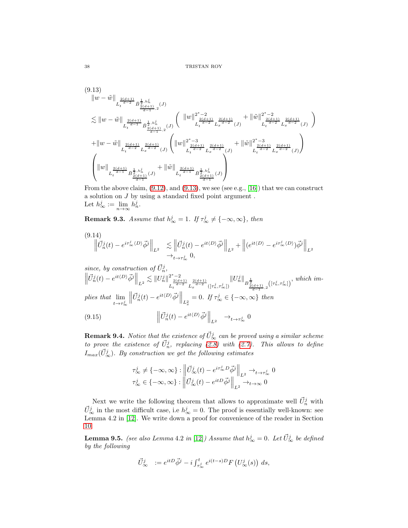<span id="page-37-0"></span>
$$
(9.13)
$$
\n
$$
||w - \tilde{w}||_{L_t^{\frac{2(d+1)}{d-2}} \bar{B}_{\frac{2(d+1)}{d-1},2}^{\frac{1}{2},h_n^j}(J)}
$$
\n
$$
\lesssim ||w - \tilde{w}||_{L_t^{\frac{2(d+1)}{d-1}} \bar{B}_{\frac{2(d+1)}{d-1},2}^{\frac{1}{2},h_n^j}(J)} \left( ||w||_{L_t^{\frac{2(d+1)}{d-2}} L_x^{\frac{2(d+1)}{d-2}} L_x^{\frac{2(d+1)}{d-2}}(J) + ||\tilde{w}||_{L_t^{\frac{2(d+1)}{d-2}} L_x^{\frac{2(d+1)}{d-2}}(J) \right)
$$
\n
$$
+ ||w - \tilde{w}||_{L_t^{\frac{2(d+1)}{d-2}} L_x^{\frac{2(d+1)}{d-2}}(J)} \left( ||w||_{L_t^{\frac{2(d+1)}{d-2}} L_x^{\frac{2(d+1)}{d-2}}(J) + ||\tilde{w}||_{L_t^{\frac{2(d+1)}{d-2}} L_x^{\frac{2(d+1)}{d-2}}(J) \right)
$$
\n
$$
\left( ||w||_{L_t^{\frac{2(d+1)}{d-1}} \bar{B}_{\frac{2(d+1)}{d-1}}^{\frac{1}{2},h_n^j}(J)} + ||\tilde{w}||_{L_t^{\frac{2(d+1)}{d-1}} \bar{B}_{\frac{2(d+1)}{d-1}}^{\frac{1}{2},h_n^j}(J) \right)
$$

From the above claim,  $(9.12)$ , and  $(9.13)$ , we see (see e.g., [\[16\]](#page-51-0)) that we can construct a solution on J by using a standard fixed point argument . Let  $h^j_{\infty} := \lim_{n \to \infty} h^j_n$ .

**Remark 9.3.** Assume that  $h^j_{\infty} = 1$ . If  $\tau^j_{\infty} \neq \{-\infty, \infty\}$ , then

<span id="page-37-2"></span>
$$
(9.14)
$$
  

$$
\left\|\vec{U}_n^j(t) - e^{i\tau_\infty^j \langle D \rangle} \vec{\phi}^j \right\|_{L^2} \leq \left\|\vec{U}_n^j(t) - e^{it\langle D \rangle} \vec{\phi}^j \right\|_{L^2} + \left\|(e^{it\langle D \rangle} - e^{i\tau_\infty^j \langle D \rangle}) \vec{\phi}^j \right\|_{L^2}
$$
  

$$
\rightarrow_{t \rightarrow \tau_\infty^j} 0,
$$

since, by construction of  $\vec{U}_n^j$ ,<br>  $\left\|\vec{U}_n^j(t) - e^{it\langle D \rangle}\vec{\phi}^j \right\|_{L^2} \lesssim \|U_n^j\|_{I^{\frac{2(d-1)}{d-1}}}^{2^*-2}$  $L_t^{\frac{2(d+1)}{d-2}} L_x^{\frac{2(d+1)}{d-2}}([\tau_n^j, \tau_\infty^j])$  $||U_n^j||_{B_{\frac{2(d+1)}{d-1},2}^{\frac{1}{2}}([{\tau}_n^j,{\tau}_\infty^j])}$ , which implies that lim  $t\rightarrow \tau_\infty^j$  $\|\vec{H}i(t)\|_{\mathcal{L}}$  $\left\|\vec{U}_n^j(t) - e^{it\langle D \rangle} \vec{\phi}^j \right\|_{L_x^2} = 0.$  If  $\tau_\infty^j \in \{-\infty, \infty\}$  then (9.15)  $\left\|\vec{U}^j_n(t)-e^{it\langle D\rangle}\vec{\phi}^j\right\|_{L^2}\quad\to_{t\to\tau^j_\infty} 0$ 

**Remark 9.4.** Notice that the existence of  $\vec{U}^j_{\infty}$  can be proved using a similar scheme to prove the existence of  $\vec{U}_n^j$ , replacing [\(2.8\)](#page-8-1) with [\(2.7\)](#page-7-3). This allows to define  $I_{max}(\vec{U}_{\infty}^j)$ . By construction we get the following estimates

<span id="page-37-1"></span>
$$
\begin{array}{l} \tau^j_\infty \neq \{-\infty,\infty\}: \left\|\vec{U}^j_\infty(t) - e^{i\tau^j_\infty D}\vec{\phi}^j\right\|_{L^2} \to_{t \to \tau^j_\infty} 0 \\ \tau^j_\infty \in \{-\infty,\infty\}: \left\|\vec{U}^j_\infty(t) - e^{itD}\vec{\phi}^j\right\|_{L^2} \to_{t \to \infty} 0 \end{array}
$$

Next we write the following theorem that allows to approximate well  $\vec{U}_n^j$  with  $\vec{U}^j_{\infty}$  in the most difficult case, i.e  $h^j_{\infty} = 0$ . The proof is essentially well-known: see Lemma 4.2 in [\[12\]](#page-51-17). We write down a proof for convenience of the reader in Section [10.](#page-48-0)

**Lemma 9.5.** (see also Lemma 4.2 in [\[12\]](#page-51-17)) Assume that  $h^j_\infty = 0$ . Let  $\vec{U}^j_\infty$  be defined by the following

$$
\vec{U}^j_{\infty} := e^{itD} \vec{\phi}^j - i \int_{\tau_{\infty}^j}^t e^{i(t-s)D} F\left(U^j_{\infty}(s)\right) ds,
$$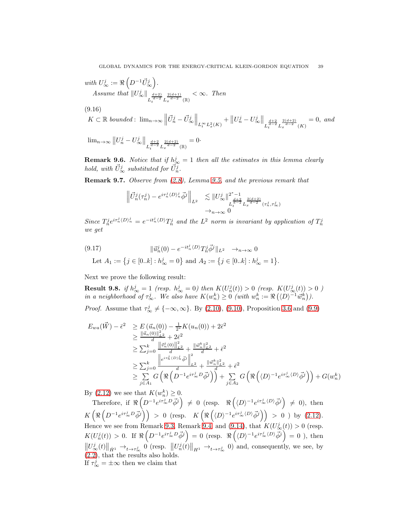with  $U^j_\infty:=\Re\left(D^{-1}\vec{U}^j_\infty\right)$  . *Assume that*  $||U^j_{\infty}||_{L_t^{\frac{d+2}{d-2}} L_x^{\frac{2(d+1)}{d-2}}(\mathbb{R})}$  $< \infty$ . Then

(9.16)

$$
K \subset \mathbb{R} \text{ bounded: } \lim_{n \to \infty} \left\| \vec{U}_n^j - \vec{U}_{\infty}^j \right\|_{L_t^{\infty} L_x^2(K)} + \left\| U_n^j - U_{\infty}^j \right\|_{L_t^{\frac{d+2}{d-2}} L_x^{\frac{2(d+2)}{d-2}}(K)} = 0, \text{ and}
$$

<span id="page-38-0"></span> $\lim_{n\to\infty} ||U_n^j - U_{\circ}^j$  $\int_{\infty}^{j} \left\| \frac{d+2}{d-2} \frac{2(d+2)}{L_x^{d-2}} \right\|_{L^2}$  $= 0$ 

**Remark 9.6.** Notice that if  $h^j_{\infty} = 1$  then all the estimates in this lemma clearly hold, with  $\vec{U}^j_{\infty}$  substituted for  $\vec{U}^j_n$ .

Remark 9.7. Observe from [\(2.8\)](#page-8-1), Lemma [9.5,](#page-38-0) and the previous remark that

$$
\left\| \vec{U}_n^j(\tau_n^j) - e^{i\tau_n^j \langle D \rangle_n^j} \vec{\phi}^j \right\|_{L^2} \leq \| U_\infty^j \|_{L_t^{\frac{d+2}{d-2}} L_x^{\frac{2(d+2)}{d-2}}(\tau_n^j, \tau_\infty^j)} \overrightarrow{\phi_{n \to \infty}} \right\|_{L_t^{\frac{2(d+2)}{d-2}}(\tau_n^j, \tau_\infty^j)}
$$

Since  $T_n^j e^{i\tau_n^j \langle D \rangle_n^j} = e^{-it_n^j \langle D \rangle} T_n^j$  and the  $L^2$  norm is invariant by application of  $T_n^j$ we get

(9.17) 
$$
\|\vec{u}_n^j(0) - e^{-it_n^j \langle D \rangle} T_n^j \vec{\phi}^j \|_{L^2} \to_{n \to \infty} 0
$$

<span id="page-38-1"></span>Let  $A_1 := \{ j \in [0..k] : h^j_{\infty} = 0 \}$  and  $A_2 := \{ j \in [0..k] : h^j_{\infty} = 1 \}.$ 

Next we prove the following result:

<span id="page-38-2"></span>**Result 9.8.** if  $h^j_\infty = 1$  (resp.  $h^j_\infty = 0$ ) then  $K(U^j_n(t)) > 0$  (resp.  $K(U^j_\infty(t)) > 0$ ) in a neighborhood of  $\tau_{\infty}^j$ . We also have  $K(w_n^k) \geq 0$  (with  $w_n^k := \Re(\langle D \rangle^{-1} \vec{w}_n^k)$ ).

*Proof.* Assume that  $\tau_{\infty}^{j} \neq \{-\infty, \infty\}$ . By [\(2.10\)](#page-9-1), [\(9.10\)](#page-35-0), Proposition [3.6](#page-11-0) and [\(9.9\)](#page-34-0)

$$
E_{wa}(\vec{W}) - \bar{\epsilon}^{2} \geq E(\vec{u}_{n}(0)) - \frac{1}{2^{*}} K(u_{n}(0)) + 2\bar{\epsilon}^{2}
$$
  
\n
$$
\geq \frac{\|\vec{u}_{n}(0)\|_{L^{2}}^{2}}{d} + 2\bar{\epsilon}^{2}
$$
  
\n
$$
\geq \sum_{j=0}^{k} \frac{\|\vec{v}_{n}^{j}(0)\|_{L^{2}}^{2}}{d} + \frac{\|\vec{w}_{n}^{k}\|_{L^{2}}^{2}}{d} + \bar{\epsilon}^{2}
$$
  
\n
$$
\geq \sum_{j=0}^{k} \frac{\|e^{i\tau_{n}^{j}(D)_{n}^{j}}\vec{\phi}^{j}\|_{L^{2}}^{2}}{d} + \frac{\|\vec{w}_{n}^{k}\|_{L^{2}}^{2}}{d} + \bar{\epsilon}^{2}
$$
  
\n
$$
\geq \sum_{j\in A_{1}}^{k} G\left(\Re\left(D^{-1}e^{i\tau_{\infty}^{j}D}\vec{\phi}^{j}\right)\right) + \sum_{j\in A_{2}}^{k} G\left(\Re\left(\langle D\rangle^{-1}e^{i\tau_{\infty}^{j}(D)}\vec{\phi}^{j}\right)\right) + G(w_{n}^{k})
$$

By [\(2.12\)](#page-9-2) we see that  $K(w_n^k) \geq 0$ .

Therefore, if  $\Re\left(D^{-1}e^{i\tau_{\infty}^{j}D}\vec{\phi}^{j}\right) \neq 0$  (resp.  $\Re\left(\langle D\rangle^{-1}e^{i\tau_{\infty}^{j}\langle D\rangle}\vec{\phi}^{j}\right) \neq 0$ ), then  $K\left(\Re\left(D^{-1}e^{i\tau_{\infty}^j}D\vec{\phi}^j\right)\right) > 0$  (resp.  $K\left(\Re\left(\langle D \rangle^{-1}e^{i\tau_{\infty}^j\langle D \rangle}\vec{\phi}^j\right)\right) > 0$ ) by [\(2.12\)](#page-9-2). Hence we see from Remark [9.3,](#page-37-1) Remark [9.4,](#page-38-0) and [\(9.14\)](#page-37-2), that  $K(U^j_\infty(t)) > 0$  (resp.  $K(U_n^j(t)) > 0$ . If  $\Re\left(D^{-1}e^{i\tau_{\infty}^jD}\vec{\phi}^j\right) = 0$  (resp.  $\Re\left(\langle D \rangle^{-1}e^{i\tau_{\infty}^j\langle D \rangle}\vec{\phi}^j\right) = 0$ ), then  $\left\| U_{\infty}^j(t) \right\|_{\dot{H}^1} \to_{t \to \tau_{\infty}^j} 0$  (resp.  $\left\| U_n^j(t) \right\|_{H^1} \to_{t \to \tau_{\infty}^j} 0$ ) and, consequently, we see, by [\(2.2\)](#page-6-0), that the results also holds. If  $\tau_{\infty}^{j} = \pm \infty$  then we claim that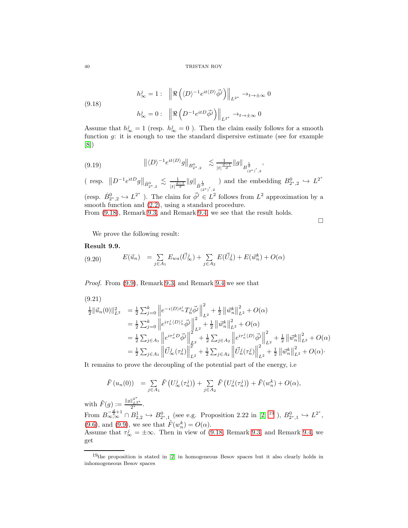<span id="page-39-0"></span>(9.18)  

$$
h_{\infty}^{j} = 1: \left\| \Re \left( \langle D \rangle^{-1} e^{it \langle D \rangle} \vec{\phi}^{j} \right) \right\|_{L^{2^{*}}} \to_{t \to \pm \infty} 0
$$

$$
h_{\infty}^{j} = 0: \left\| \Re \left( D^{-1} e^{it D} \vec{\phi}^{j} \right) \right\|_{L^{2^{*}}} \to_{t \to \pm \infty} 0
$$

Assume that  $h^j_\infty = 1$  (resp.  $h^j_\infty = 0$ ). Then the claim easily follows for a smooth function  $g$ : it is enough to use the standard dispersive estimate (see for example [\[8\]](#page-51-11))

<span id="page-39-2"></span>
$$
(9.19) \t\t ||\langle D \rangle^{-1} e^{it\langle D \rangle} g||_{B^0_{2^*,2}} \t \lesssim \frac{1}{|t|^{\frac{d-1}{d}}} ||g||_{B^{\frac{1}{d}}_{(2^*)',2}},
$$

(resp.  $||D^{-1}e^{itD}g||_{\dot{B}^0_{2^*,2}} \lesssim \frac{1}{|t|^{\frac{d}{2}}}$  $\frac{1}{|t|^{\frac{d-1}{d}}}\|g\|_{\dot{B}^{\frac{1}{d}}_{(2^*)',2}}$ ) and the embedding  $B_{2^*,2}^0 \hookrightarrow L^{2^*}$ 

(resp.  $\dot{B}_{2^*,2}^0 \hookrightarrow L^{2^*}$ ). The claim for  $\vec{\phi}^j \in L^2$  follows from  $L^2$  approximation by a smooth function and [\(2.2\)](#page-6-0), using a standard procedure.

From [\(9.18\)](#page-39-0), Remark [9.3,](#page-37-1) and Remark [9.4,](#page-38-0) we see that the result holds.

 $\Box$ 

We prove the following result:

# Result 9.9.

<span id="page-39-3"></span>(9.20) 
$$
E(\vec{u}_n) = \sum_{j \in A_1} E_{wa}(\vec{U}_{\infty}^j) + \sum_{j \in A_2} E(\vec{U}_n^j) + E(\vec{w}_n^k) + O(\alpha)
$$

Proof. From [\(9.9\)](#page-34-0), Remark [9.3,](#page-37-1) and Remark [9.4](#page-38-0) we see that

$$
(9.21)
$$
\n
$$
\begin{aligned}\n&\frac{1}{2} \|\vec{u}_n(0)\|_{L^2}^2 &= \frac{1}{2} \sum_{j=0}^k \left\| e^{-i\langle D\rangle t_n^j} T_n^j \vec{\phi}^j \right\|_{L^2}^2 + \frac{1}{2} \left\| \vec{w}_n^k \right\|_{L^2}^2 + O(\alpha) \\
&= \frac{1}{2} \sum_{j=0}^k \left\| e^{i\tau_n^j \langle D\rangle_n^j} \vec{\phi}^j \right\|_{L^2}^2 + \frac{1}{2} \left\| \vec{w}_n^k \right\|_{L^2}^2 + O(\alpha) \\
&= \frac{1}{2} \sum_{j \in A_1} \left\| e^{i\tau_n^j D} \vec{\phi}^j \right\|_{L^2}^2 + \frac{1}{2} \sum_{j \in A_2} \left\| e^{i\tau_n^j \langle D\rangle} \vec{\phi}^j \right\|_{L^2}^2 + \frac{1}{2} \left\| \vec{w}_n^k \right\|_{L^2}^2 + O(\alpha) \\
&= \frac{1}{2} \sum_{j \in A_1} \left\| \vec{U}_\infty^j(\tau_n^j) \right\|_{L^2}^2 + \frac{1}{2} \sum_{j \in A_2} \left\| \vec{U}_n^j(\tau_n^j) \right\|_{L^2}^2 + \frac{1}{2} \left\| \vec{w}_n^k \right\|_{L^2}^2 + O(\alpha).\n\end{aligned}
$$

It remains to prove the decoupling of the potential part of the energy, i.e

$$
\tilde{F}(u_n(0)) = \sum_{j \in A_1} \tilde{F}(U^j_{\infty}(\tau_n^j)) + \sum_{j \in A_2} \tilde{F}(U^j_n(\tau_n^j)) + \tilde{F}(w_n^k) + O(\alpha),
$$

with  $\tilde{F}(g) := \frac{\|g\|_{L^{2^*}}^{2^*}}{2^*}.$ 

From  $B^{-\frac{d}{2}+1}_{\infty,\infty} \cap B^1_{2,2} \hookrightarrow B^0_{2^*,1}$  (see e.g. Proposition 2.22 in [\[2\]](#page-51-18) <sup>[19](#page-39-1)</sup> ),  $B^0_{2^*,1} \hookrightarrow L^{2^*}$ , [\(9.6\)](#page-34-2), and [\(9.9\)](#page-34-0), we see that  $\tilde{F}(w_n^k) = O(\alpha)$ . k

Assume that  $\tau_{\infty}^{j} = \pm \infty$ . Then in view of [\(9.18,](#page-39-0) Remark [9.3,](#page-37-1) and Remark [9.4,](#page-38-0) we get

<span id="page-39-1"></span> $19$ <sup>the</sup> proposition is stated in [\[2\]](#page-51-18) in homogeneous Besov spaces but it also clearly holds in inhomogeneous Besov spaces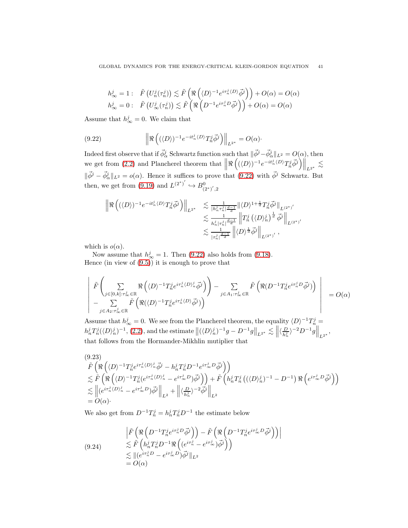$$
\begin{array}{ll} h^j_\infty=1: & \tilde{F}\left(U^j_n(\tau^j_n)\right)\lesssim \tilde{F}\left(\Re\left(\langle D\rangle^{-1}e^{i\tau^j_n\langle D\rangle}\vec{\phi}^j\right)\right)+O(\alpha)=O(\alpha)\\ h^j_\infty=0: & \tilde{F}\left(U^j_\infty(\tau^j_n)\right)\lesssim \tilde{F}\left(\Re\left(D^{-1}e^{i\tau^j_nD}\vec{\phi}^j\right)\right)+O(\alpha)=O(\alpha) \end{array}
$$

Assume that  $h_{\infty}^j = 0$ . We claim that

<span id="page-40-0"></span>(9.22) 
$$
\left\| \Re \left( (\langle D \rangle)^{-1} e^{-it_n^j \langle D \rangle} T_n^j \vec{\phi}^j \right) \right\|_{L^{2^*}} = O(\alpha).
$$

Indeed first observe that if  $\vec{\phi}_{\alpha}^j$  Schwartz function such that  $\|\vec{\phi}^j - \vec{\phi}_{\alpha}^j\|_{L^2} = O(\alpha)$ , then we get from [\(2.2\)](#page-6-0) and Plancherel theorem that  $\left\| \Re \left( (\langle D \rangle)^{-1} e^{-it_n^j \langle D \rangle} T_n^j \vec{\phi}^j \right) \right\|_{L^{2^*}} \lesssim$  $\|\vec{\phi}^j - \vec{\phi}^j_\alpha\|_{L^2} = o(\alpha)$ . Hence it suffices to prove that [\(9.22\)](#page-40-0) with  $\vec{\phi}^j$  Schwartz. But then, we get from [\(9.19\)](#page-39-2) and  $L^{(2^*)'} \hookrightarrow B^0_{(2^*)',2}$ 

$$
\begin{split} \left\| \Re \left( (\langle D \rangle)^{-1} e^{-it_n^j \langle D \rangle} T_n^j \vec{\phi}^j \right) \right\|_{L^{2^*}} &\lesssim \tfrac{1}{|h_n^j \tau_n^j| \frac{d-1}{d}} \| \langle D \rangle^{1+\frac{1}{d}} T_n^j \vec{\phi}^j \|_{L^{(2^*)'}} \\ &\lesssim \tfrac{1}{h_n^j |\tau_n^j| \frac{d-1}{d}} \left\| T_n^j \left( \langle D \rangle_n^j \right)^{\frac{1}{d}} \vec{\phi}^j \right\|_{L^{(2^*)'}} \\ &\lesssim \tfrac{1}{|\tau_n^j| \frac{d-1}{d}} \left\| \langle D \rangle^{\frac{1}{d}} \vec{\phi}^j \right\|_{L^{(2^*)'}}, \end{split}
$$

which is  $o(\alpha)$ .

Now assume that  $h_{\infty}^{j} = 1$ . Then [\(9.22\)](#page-40-0) also holds from [\(9.18\)](#page-39-0). Hence (in view of  $(9.5)$ ) it is enough to prove that

$$
\left| \begin{array}{l} \tilde{F}\left(\displaystyle\sum_{j\in[0,k]:\tau_{\infty}^{j}\in\mathbb{R}}\Re\left(\langle D\rangle^{-1}T_{n}^{j}e^{i\tau_{n}^{j}\langle D\rangle_{n}^{j}}\vec{\phi}^{j}\right)\right)-\displaystyle\sum_{j\in A_{1}:\tau_{\infty}^{j}\in\mathbb{R}}\tilde{F}\left(\Re(D^{-1}T_{n}^{j}e^{i\tau_{n}^{j}D}\vec{\phi}^{j})\right)\\ -\displaystyle\sum_{j\in A_{2}:\tau_{\infty}^{j}\in\mathbb{R}}\tilde{F}\left(\Re(\langle D\rangle^{-1}T_{n}^{j}e^{i\tau_{n}^{j}\langle D\rangle}\vec{\phi}^{j})\right) \end{array} \right|=O(\alpha)
$$

Assume that  $h^j_\infty = 0$ . We see from the Plancherel theorem, the equality  $\langle D \rangle^{-1} T^j_{n=0}$  $h_n^j T_n^j (\langle D \rangle_n^j)^{-1}, (2.2)$  $h_n^j T_n^j (\langle D \rangle_n^j)^{-1}, (2.2)$ , and the estimate  $\left\| (\langle D \rangle_n^j)^{-1} g - D^{-1} g \right\|_{L^{2^*}} \lesssim \left\| \langle \frac{D}{h_n^j} \right\|_{L^2}$  $\frac{D}{h_n^j}\rangle^{-2}D^{-1}g\Big\|_{L^{2^*}},$ that follows from the Hormander-Mikhlin mutiplier that

<span id="page-40-1"></span>
$$
(9.23)
$$
\n
$$
\tilde{F}\left(\Re\left(\langle D\rangle^{-1}T_{n}^{j}e^{i\tau_{n}^{j}\langle D\rangle_{n}^{j}}\vec{\phi}^{j}-h_{n}^{j}T_{n}^{j}D^{-1}e^{i\tau_{\infty}^{j}D}\vec{\phi}^{j}\right)\right)
$$
\n
$$
\lesssim \tilde{F}\left(\Re\left(\langle D\rangle^{-1}T_{n}^{j}(e^{i\tau_{n}^{j}\langle D\rangle_{n}^{j}}-e^{i\tau_{\infty}^{j}D})\vec{\phi}^{j}\right)\right)+\tilde{F}\left(h_{n}^{j}T_{n}^{j}\left(\langle\langle D\rangle_{n}^{j}\rangle^{-1}-D^{-1}\right)\Re\left(e^{i\tau_{\infty}^{j}D}\vec{\phi}^{j}\right)\right)
$$
\n
$$
\lesssim \left\|(e^{i\tau_{n}^{j}\langle D\rangle_{n}^{j}}-e^{i\tau_{\infty}^{j}D})\vec{\phi}^{j}\right\|_{L^{2}}+\left\|\langle\frac{D}{h_{n}^{j}}\rangle^{-2}\vec{\phi}^{j}\right\|_{L^{2}}
$$
\n
$$
=O(\alpha)\cdot
$$

We also get from  $D^{-1}T_n^j = h_n^j T_n^j D^{-1}$  the estimate below

<span id="page-40-2"></span>
$$
\begin{aligned}\n\left| \tilde{F} \left( \Re \left( D^{-1} T_n^j e^{i \tau_n^j D} \vec{\phi}^j \right) \right) - \tilde{F} \left( \Re \left( D^{-1} T_n^j e^{i \tau_\infty^j D} \vec{\phi}^j \right) \right) \right| \\
&\lesssim \tilde{F} \left( h_n^j T_n^j D^{-1} \Re \left( (e^{i \tau_n^j} - e^{i \tau_\infty^j D}) \vec{\phi}^j \right) \right) \\
&\lesssim ||(e^{i \tau_n^j D} - e^{i \tau_\infty^j D}) \vec{\phi}^j ||_{L^2} \\
&= O(\alpha)\n\end{aligned}
$$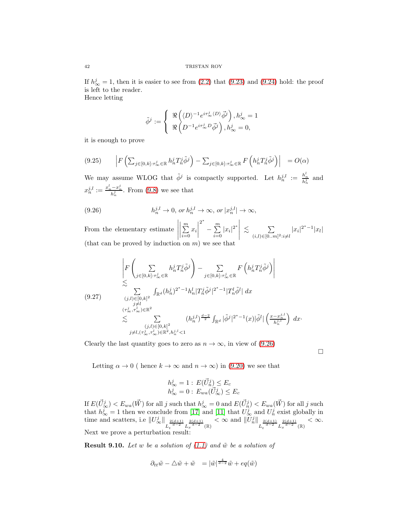If  $h_{\infty}^{j} = 1$ , then it is easier to see from [\(2.2\)](#page-6-0) that [\(9.23\)](#page-40-1) and [\(9.24\)](#page-40-2) hold: the proof is left to the reader.

Hence letting

$$
\tilde{\phi}^j:=\left\{\begin{array}{l}\Re\left(\langle D\rangle^{-1}e^{i\tau_{\infty}^j\langle D\rangle}\vec{\phi}^j\right),h^j_{\infty}=1\\ \Re\left(D^{-1}e^{i\tau_{\infty}^jD}\vec{\phi}^j\right),h^j_{\infty}=0,\end{array}\right.
$$

it is enough to prove

$$
(9.25) \qquad \left| F\left(\sum_{j\in[0,k]:\tau_{\infty}^{j}\in\mathbb{R}} h_n^j T_n^j \tilde{\phi}^j\right) - \sum_{j\in[0,k]:\tau_{\infty}^{j}\in\mathbb{R}} F\left(h_n^j T_n^j \tilde{\phi}^j\right) \right| = O(\alpha)
$$

We may assume WLOG that  $\tilde{\phi}^j$  is compactly supported. Let  $h_n^{j,l} := \frac{h_n^l}{h_n^j}$  and  $x_n^{j,l} := \frac{x_n^l - x_n^j}{h_n^j}$ . From [\(9.8\)](#page-34-4) we see that

<span id="page-41-0"></span>(9.26) 
$$
h_n^{j,l} \to 0, \text{ or } h_n^{j,l} \to \infty, \text{ or } |x_n^{j,l}| \to \infty,
$$

From the elementary estimate  $\sum_{i=1}^{m}$  $\sum_{i=0} x_i$  2 ∗  $-\sum^m$  $\sum_{i=0}^{m} |x_i|^{2^*}$  $\lesssim \qquad \sum$  $(i, l) \in [0..m]$ <sup>2</sup>:*i*≠*l*  $|x_i|^{2^*-1}|x_l|$ (that can be proved by induction on  $m$ ) we see that

$$
\begin{split} \left|F\left(\sum_{j\in[0,k]:\tau_{\infty}^{j}\in\mathbb{R}}h_{n}^{j}T_{n}^{j}\tilde{\phi}^{j}\right)-\sum_{j\in[0,k]:\tau_{\infty}^{j}\in\mathbb{R}}F\left(h_{n}^{j}T_{n}^{j}\tilde{\phi}^{j}\right)\right|\\ &\lesssim\\(9.27) \qquad \sum_{\substack{(j,l)\in[0,k]^{2}\\(j\neq l)}}\int_{\mathbb{R}^{d}}(h_{n}^{j})^{2^{*}-1}h_{n}^{l}|T_{n}^{j}\tilde{\phi}^{j}|^{2^{*}-1}|T_{n}^{l}\tilde{\phi}^{l}|\ dx\\ &\lesssim\sum_{\substack{(j,l)\in[0,k]^{2}\\(j,l)\in[0,k]^{2}\\j\neq l,(\tau_{\infty}^{j},\tau_{\infty}^{l})\in\mathbb{R}^{2},h_{n}^{j,l}\leq1}(h_{n}^{j,l})^{\frac{d-2}{2}}\int_{\mathbb{R}^{d}}|\tilde{\phi}^{j}|^{2^{*}-1}(x)|\tilde{\phi}^{l}|\left(\frac{x-x_{n}^{j,l}}{h_{n}^{j,l}}\right)\ dx\cdot\end{split}
$$

Clearly the last quantity goes to zero as  $n \to \infty$ , in view of [\(9.26\)](#page-41-0)

 $\Box$ 

Letting  $\alpha \to 0$  ( hence  $k \to \infty$  and  $n \to \infty$ ) in [\(9.20\)](#page-39-3) we see that

$$
h_{\infty}^{j} = 1 : E(\vec{U}_{n}^{j}) \le E_{c}
$$
  

$$
h_{\infty}^{j} = 0 : E_{wa}(\vec{U}_{\infty}^{j}) \le E_{c}
$$

If  $E(\vec{U}_{\infty}^j) < E_{wa}(\vec{W})$  for all j such that  $h_{\infty}^j = 0$  and  $E(\vec{U}_{\infty}^j) < E_{wa}(\vec{W})$  for all j such that  $h^j_{\infty} = 1$  then we conclude from [\[17\]](#page-51-1) and [\[11\]](#page-51-2) that  $U^j_{\infty}$  and  $U^j_n$  exist globally in time and scatters, i.e  $||U^j_{\infty}||_{L_t^{\frac{2(d+1)}{d-2}} L_x^{\frac{2(d+1)}{d-2}}(\mathbb{R})}$  $< \infty$  and  $||U_n^j||_{L_t^{\frac{2(d+1)}{d-2}} L_x^{\frac{2(d+1)}{d-2}}(\mathbb{R})}$  $< \infty$ . Next we prove a perturbation result:

**Result 9.10.** Let w be a solution of  $(1.1)$  and  $\tilde{w}$  be a solution of

$$
\partial_{tt}\tilde{w} - \triangle \tilde{w} + \tilde{w} = |\tilde{w}|^{\frac{4}{d-2}}\tilde{w} + eq(\tilde{w})
$$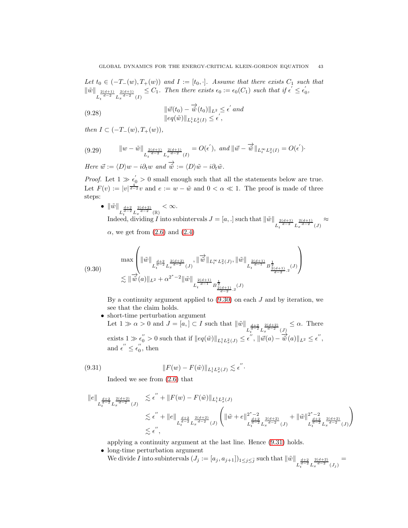Let  $t_0 \in (-T_-(w), T_+(w))$  and  $I := [t_0, \cdot]$ . Assume that there exists  $C_1$  such that  $\|\tilde{w}\|$  $L_t^{\frac{2(d+1)}{d-2}} L_x^{\frac{2(d+1)}{d-2}}(I)$  $\leq C_1$ . Then there exists  $\epsilon_0 := \epsilon_0(C_1)$  such that if  $\epsilon' \leq \epsilon'_0$ ,

<span id="page-42-3"></span>(9.28) 
$$
\|\vec{w}(t_0) - \vec{\hat{w}}(t_0)\|_{L^2} \le \epsilon' \text{ and}
$$

$$
\|eq(\tilde{w})\|_{L^1_t L^2_x(I)} \le \epsilon',
$$

then  $I \subset (-T_-(w), T_+(w)),$ 

<span id="page-42-0"></span>
$$
(9.29) \t\t ||w - \tilde{w}||_{L_t^{\frac{2(d+1)}{d-2}} L_x^{\frac{2(d+1)}{d-2}}(I)} = O(\epsilon'), \text{ and } ||\vec{w} - \overrightarrow{\hat{w}}||_{L_t^{\infty} L_x^2(I)} = O(\epsilon').
$$

Here  $\vec{w} := \langle D \rangle w - i \partial_t w$  and  $\overrightarrow{\hat{w}} := \langle D \rangle \tilde{w} - i \partial_t \tilde{w}$ .

*Proof.* Let  $1 \gg \epsilon'_0 > 0$  small enough such that all the statements below are true. Let  $F(v) := |v|^{\frac{4}{d-2}}v$  and  $e := w - \tilde{w}$  and  $0 < \alpha \ll 1$ . The proof is made of three steps:

\n- \n
$$
\|\tilde{w}\|_{L_t^{\frac{d+2}{d-2}} L_x^{\frac{2(d+2)}{d-2}}(\mathbb{R})} < \infty.
$$
\n Indeed, dividing  $I$  into subintervals  $J = [a, .]$  such that  $\|\tilde{w}\|_{L_t^{\frac{2(d+1)}{d-2}} L_x^{\frac{2(d+1)}{d-2}}(J)} \approx \alpha$ , we get from (2.6) and (2.4)\n
\n

$$
(9.30) \quad \max\left(\|\tilde{w}\|_{L_t^{\frac{d+2}{d-2}}L_x^{\frac{2(d+2)}{d-2}}(J)},\|\overrightarrow{\tilde{w}}\|_{L_t^\infty L_x^2(J)},\|\tilde{w}\|_{L_t^{\frac{2(d+1)}{d-1}}B_{\frac{2(d+1)}{d-2},2}^{\frac{1}{d-1}}(J)}\right)
$$
\n
$$
\lesssim \|\overrightarrow{\tilde{w}}(a)\|_{L^2} + \alpha^{2^*-2} \|\tilde{w}\|_{L_t^{\frac{2(d+1)}{d-1}}B_{\frac{2(d+1)}{d-2},2}^{\frac{1}{d-1}}(J)}
$$

<span id="page-42-1"></span>By a continuity argument applied to  $(9.30)$  on each  $J$  and by iteration, we see that the claim holds.

• short-time perturbation argument Let  $1 \gg \alpha > 0$  and  $J = [a,] \subset I$  such that  $\|\tilde{w}\|$  $L_t^{\frac{d+2}{d-2}} L_x^{\frac{2(d+2)}{d-2}}(J)$  $\leq \alpha$ . There exists  $1 \gg \epsilon_0'' > 0$  such that if  $||eq(\tilde{w})||_{L_t^1 L_x^2(J)} \leq \epsilon''$ ,  $||\vec{w}(a) - \vec{w}(a)||_{L^2} \leq \epsilon''$ , and  $\epsilon^{''} \leq \epsilon_0^{''}$ , then

(9.31) 
$$
||F(w) - F(\tilde{w})||_{L_t^1 L_x^2(J)} \lesssim \epsilon''.
$$

<span id="page-42-2"></span>Indeed we see from [\(2.6\)](#page-7-2) that

$$
\begin{array}{lll} \displaystyle \|e\|_{L_{t}^{\frac{d+2}{d-2}}L_{x}^{\frac{2(d+2)}{d-2}}(J)} & \lesssim \epsilon^{''}+\|F(w)-F(\tilde w)\|_{L_{t}^{1}L_{x}^{2}(J)}\\ & \displaystyle \lesssim \epsilon^{''}+\|e\|_{L_{t}^{\frac{d+2}{d-2}}L_{x}^{\frac{2(d+2)}{d-2}}(J)}\left(\|\tilde w+e\|_{L_{t}^{\frac{d+2}{d-2}}L_{x}^{\frac{2(d+2)}{d-2}}(J)}^{2^{*}-2}+\|\tilde w\|_{L_{t}^{\frac{d+2}{d-2}}L_{x}^{\frac{2(d+2)}{d-2}}(J)}^{2^{*}-2}\right)\\ & \lesssim \epsilon^{''}, \end{array}
$$

applying a continuity argument at the last line. Hence [\(9.31\)](#page-42-2) holds.

- long-time perturbation argument
	- We divide I into subintervals  $(J_j := [a_j, a_{j+1}])_{1 \leq j \leq \bar{j}}$  such that  $\|\tilde{w}\|$  $L_t^{\frac{d+2}{d-2}} L_x^{\frac{2(d+2)}{d-2}}(J_j)$ =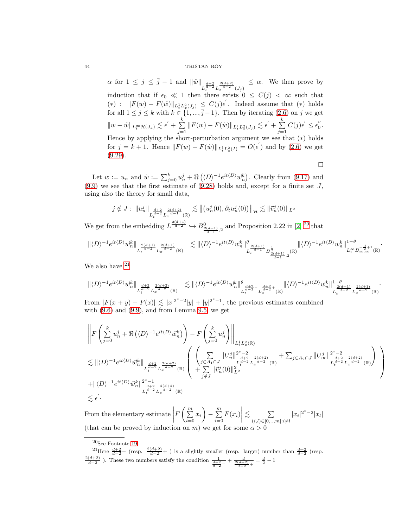$\alpha$  for  $1 \leq j \leq \overline{j} - 1$  and  $\|\tilde{w}\|$  $L_t^{\frac{d+2}{d-2}} L_x^{\frac{2(d+2)}{d-2}} (J_{\bar{j}})$  $\leq \alpha$ . We then prove by induction that if  $\epsilon_0 \ll 1$  then there exists  $0 \leq C(j) < \infty$  such that  $(*)$ :  $||F(w) - F(\tilde{w})||_{L_t^1 L_x^2(J_j)} \leq C(j)\epsilon'$ . Indeed assume that  $(*)$  holds for all  $1 \leq j \leq k$  with  $k \in \{1, ..., \bar{j} - 1\}$ . Then by iterating  $(2.6)$  on j we get  $||w - \tilde{w}||_{L_t^{\infty} \mathcal{H}(J_k)} \lesssim \epsilon' + \sum_{i=1}^k$  $\sum_{j=1}^k ||F(w) - F(\tilde{w})||_{L^1_t L^2_x(J_j)} \lesssim \epsilon^{'} + \sum_{j=1}^k$  $j=1$  $C(j)\epsilon' \leq \epsilon_0''$ . Hence by applying the short-perturbation argument we see that  $(*)$  holds for  $j = k + 1$ . Hence  $||F(w) - F(\tilde{w})||_{L_t^1 L_x^2(I)} = O(\epsilon')$  and by [\(2.6\)](#page-7-2) we get  $(9.29)$ .

Let  $w := u_n$  and  $\tilde{w} := \sum_{j=0}^k u_n^j + \Re(\langle D \rangle^{-1} e^{it \langle D \rangle} \vec{w}_n^k)$ . Clearly from [\(9.17\)](#page-38-1) and [\(9.9\)](#page-34-0) we see that the first estimate of [\(9.28\)](#page-42-3) holds and, except for a finite set  $J$ , using also the theory for small data,

$$
j \notin J: \|u_n^j\|_{L_t^{\frac{d+2}{d-2}} L_x^{\frac{2(d+2)}{d-1}}(\mathbb{R})} \lesssim \| (u_n^j(0), \partial_t u_n^j(0)) \|_{\mathcal{H}} \lesssim \| \vec{v}_n^j(0) \|_{L^2}
$$

We get from the embedding  $L^{\frac{2(d+1)}{d-2}} \hookrightarrow B^0_{\frac{2(d+1)}{d-1},2}$  and Proposition 2.22 in [\[2\]](#page-51-18) <sup>[20](#page-43-0)</sup> that

$$
\| \langle D \rangle^{-1} e^{it \langle D \rangle} \vec w_n^k \|_{L_t^{\frac{2(d+1)}{d-2}} L_x^{\frac{2(d+1)}{d-2}}(\mathbb R)} \quad \lesssim \| \langle D \rangle^{-1} e^{it \langle D \rangle} \vec w_n^k \|^{\theta}_{L_t^{\frac{2(d+1)}{d-1}} B^{\frac{1}{2}}_{\frac{2(d+1)}{d-1},2}(\mathbb R)} \|\langle D \rangle^{-1} e^{it \langle D \rangle} w_n^k \|_{L_t^\infty B^{-\frac{d}{2}+1}_{\infty,\infty}(\mathbb R)}^{1-\theta}.
$$

 $\Box$ 

We also have  $21$ 

$$
\| \langle D \rangle^{-1} e^{it \langle D \rangle} \vec{w}_n^k \|_{L_t^{\frac{d+2}{d-2}} L_x^{\frac{2(d+2)}{d-2}}(\mathbb{R})} \quad \lesssim \| \langle D \rangle^{-1} e^{it \langle D \rangle} \vec{w}_n^k \|_{L_t^{\frac{d+2}{d-2}} - L_x^{\frac{d+2}{d-2}+}(\mathbb{R})}^\theta \| \langle D \rangle^{-1} e^{it \langle D \rangle} \vec{w}_n^k \|_{L_t^{\frac{2(d+1)}{d-2}} L_x^{\frac{2(d+1)}{d-2}}(\mathbb{R})}^{1 - \theta}.
$$

From  $|F(x + y) - F(x)| \le |x|^{2^*-2}|y| + |y|^{2^*-1}$ , the previous estimates combined with  $(9.6)$  and  $(9.9)$ , and from Lemma [9.5,](#page-38-0) we get

$$
\begin{split} &\left\|F\left(\sum\limits_{j=0}^k u_n^j+\Re\left(\langle D\rangle^{-1}e^{it\langle D\rangle}\vec{w}_n^k\right)\right)-F\left(\sum\limits_{j=0}^k u_n^j\right)\right\|_{L^1_tL^2_x(\mathbb{R})}\\ &\lesssim \|\langle D\rangle^{-1}e^{it\langle D\rangle}\vec{w}_n^k\|_{L^{\frac{d+2}{d-2}}_tL^{\frac{2(d+2)}{d-2}}_x(\mathbb{R})}\left(\begin{array}{c} \left(\sum\limits_{j\in A_1\cap J} \|U^j_n\|^{2^*-2}_{\frac{d+2}{d-2}}\sum\limits_{\frac{2(d+2)}{d-2}} +\sum\limits_{j\in A_2\cap J}\|U^j_\infty\|^{2^*-2}_{\frac{d+2}{d-2}}\frac{2(d+2)}{L^{\frac{d+2}{d-2}}_tL^{\frac{2(d+2)}{d-2}}_x(\mathbb{R})} \right) \end{array}\right)\\ &+\|\langle D\rangle^{-1}e^{it\langle D\rangle}\vec{w}_n^k\|_{L^{\frac{d+2}{d-2}}_tL^{\frac{2(d+2)}{d-2}}_x(\mathbb{R})} \left(\begin{array}{c} \left(\sum\limits_{j\in A_1\cap J} \|U^j_n\|^{2^*-2}_{\frac{d+2}{d-2}}\sum\limits_{\frac{2(d+2)}{d-2}} +\sum\limits_{j\in A_2\cap J}\|U^j_\infty\|^{2^*-2}_{\frac{d+2}{d-2}}L^{\frac{2(d+2)}{d-2}}_x(\mathbb{R}) \end{array}\right)\right)\\ &\lesssim \epsilon'. \end{split}
$$

From the elementary estimate  $F\left(\frac{m}{\sum}\right)$  $\sum_{i=0} x_i$  $\overline{\phantom{0}}$  $-\sum^m$  $\sum_{i=0} F(x_i)$  $\begin{array}{|c|c|} \hline \multicolumn{1}{|c|}{3} & \multicolumn{1}{|c|}{4} \multicolumn{1}{|c|}{5} \multicolumn{1}{|c|}{6} \multicolumn{1}{|c|}{6} \multicolumn{1}{|c|}{6} \multicolumn{1}{|c|}{6} \multicolumn{1}{|c|}{6} \multicolumn{1}{|c|}{6} \multicolumn{1}{|c|}{6} \multicolumn{1}{|c|}{6} \multicolumn{1}{|c|}{6} \multicolumn{1}{|c|}{6} \multicolumn{1}{|c|}{6} \multicolumn{1}{|c|}{6} \multicolumn{1}{|c|$  $\lesssim \qquad \sum$  $(i,l)\in[0,..,m]:i\neq l$  $|x_i|^{2^*-2}|x_l|$ (that can be proved by induction on m) we get for some  $\alpha >$ 

<span id="page-43-0"></span> $^{20}\rm{See}$  Footnote [19](#page-39-1)

<span id="page-43-1"></span><sup>&</sup>lt;sup>21</sup>Here  $\frac{d+2}{d-2}$  (resp.  $\frac{2(d+2)}{d-2}$ ) is a slightly smaller (resp. larger) number than  $\frac{d+2}{d-2}$  (resp.  $\frac{2(d+2)}{d-2}$ ). These two numbers satisfy the condition  $\frac{1}{\frac{d+2}{d-2}-} + \frac{d}{\frac{2(d+2)}{d-2}+} = \frac{d}{2}-1$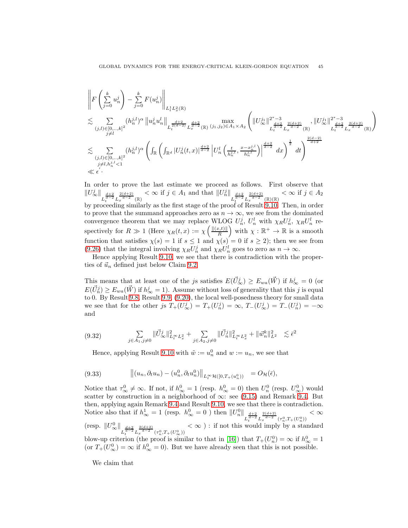$$
\begin{split} &\left\|F\left(\sum\limits_{j=0}^{k}u_{n}^{j}\right)-\sum\limits_{j=0}^{k}F(u_{n}^{j})\right\|_{L_{t}^{1}L_{x}^{2}(\mathbb{R})}\\ &\lesssim \sum\limits_{\substack{(j,l)\in[0,\ldots,k]^{2}}} (h_{n}^{j,l})^{\alpha}\left\|u_{n}^{j}u_{n}^{l}\right\|_{L_{t}^{\frac{d+2}{2}(d-2)}L_{x}^{\frac{d+2}{d-2}}(\mathbb{R})}\max\limits_{\substack{j,d\geq 0\\j\neq l}}\left(\|U_{\infty}^{j_{1}}\|^{2^{*}-3}\right)_{L_{t}^{\frac{d+2}{d-2}}L_{x}^{\frac{2(d+2)}{d-2}}(\mathbb{R})},\|U_{\infty}^{j_{1}}\|^{2^{*}-3}\right)_{L_{t}^{\frac{d+2}{d-2}}L_{x}^{\frac{2(d+2)}{d-2}}(\mathbb{R})}\end{split}
$$

In order to prove the last estimate we proceed as follows. First observe that  $||U^j_{\infty}||_{L^{\frac{d+2}{d-2}}_tL_x^{\frac{2(d+2)}{d-2}}(\mathbb{R})}$  $< \infty$  if  $j \in A_1$  and that  $||U_n^j||$  $L_t^{\frac{d+2}{d-2}} L_x^{\frac{2(d+2)}{d-2}}(\mathbb{R})(\mathbb{R})$  $< \infty$  if  $j \in A_2$ by proceeding similarly as the first stage of the proof of Result [9.10.](#page-42-0) Then, in order to prove that the summand approaches zero as  $n \to \infty$ , we see from the dominated convergence theorem that we may replace WLOG  $U_n^j$ ,  $U_n^l$  with  $\chi_R U_n^j$ ,  $\chi_R U_n^l$  respectively for  $R \gg 1$  (Here  $\chi_R(t,x) := \chi\left(\frac{\|f(x,t)\|}{R}\right)$ ) with  $\chi : \mathbb{R}^+ \to \mathbb{R}$  is a smooth function that satisfies  $\chi(s) = 1$  if  $s \leq 1$  and  $\chi(s) = 0$  if  $s \geq 2$ ); then we see from [\(9.26\)](#page-41-0) that the integral involving  $\chi_R U_n^j$  and  $\chi_R U_n^l$  goes to zero as  $n \to \infty$ .

Hence applying Result [9.10,](#page-42-0) we see that there is contradiction with the properties of  $\vec{u}_n$  defined just below Claim [9.2.](#page-34-5)

This means that at least one of the js satisfies  $E(\vec{U}_{\infty}^j) \ge E_{wa}(\vec{W})$  if  $h_{\infty}^j = 0$  (or  $E(\vec{U}_n^j) \ge E_{wa}(\vec{W})$  if  $h^j_{\infty} = 1$ ). Assume without loss of generality that this j is equal to 0. By Result [9.8,](#page-38-2) Result [9.9, \(9.20\)](#page-39-3), the local well-posedness theory for small data we see that for the other js  $T_+(U^j_\infty) = T_+(U^j_n) = \infty$ ,  $T_-(U^j_\infty) = T_-(U^j_n) = -\infty$ and

$$
(9.32) \qquad \qquad \sum_{j \in A_1, j \neq 0} \|\vec{U}_{\infty}^j\|_{L_t^{\infty} L_x^2}^2 + \sum_{j \in A_2, j \neq 0} \|\vec{U}_n^j\|_{L_t^{\infty} L_x^2}^2 + \|\vec{w}_n^k\|_{L^2}^2 \lesssim \bar{\epsilon}^2
$$

<span id="page-44-1"></span><span id="page-44-0"></span>Hence, applying Result [9.10](#page-42-0) with  $\tilde{w} := u_n^0$  and  $w := u_n$ , we see that

$$
(9.33) \t\t ||(u_n, \partial_t u_n) - (u_n^0, \partial_t u_n^0)||_{L_t^{\infty} \mathcal{H}([0, T_+(u_n^0))} = O_{\mathcal{H}}(\bar{\epsilon}),
$$

Notice that  $\tau_{\infty}^0 \neq \infty$ . If not, if  $h_{\infty}^0 = 1$  (resp.  $h_{\infty}^0 = 0$ ) then  $U_n^0$  (resp.  $U_{\infty}^0$ ) would scatter by construction in a neighborhood of  $\infty$ : see [\(9.15\)](#page-37-1) and Remark [9.4.](#page-38-0) But then, applying again Remark [9.4](#page-38-0) and Result [9.10,](#page-42-0) we see that there is contradiction. Notice also that if  $h_{\infty}^1 = 1$  (resp.  $h_{\infty}^0 = 0$ ) then  $||U_n^0||_{L_t^{\frac{d+2}{d-2}} L_x^{\frac{2(d+2)}{d-2}}(\tau_n^0, T_+(U_n^0))}$  $< \infty$ (resp.  $||U^0_{\infty}||_{L_t^{\frac{d+2}{d-2}} L_x^{\frac{2(d+2)}{d-2}}(\tau_n^0, T_+(U^0_{\infty}))}$  $<\infty$ ): if not this would imply by a standard blow-up criterion (the proof is similar to that in [\[16\]](#page-51-0)) that  $T_+(U_n^0) = \infty$  if  $h_{\infty}^0 = 1$ (or  $T_+(U^0_{\infty}) = \infty$  if  $h^0_{\infty} = 0$ ). But we have already seen that this is not possible.

We claim that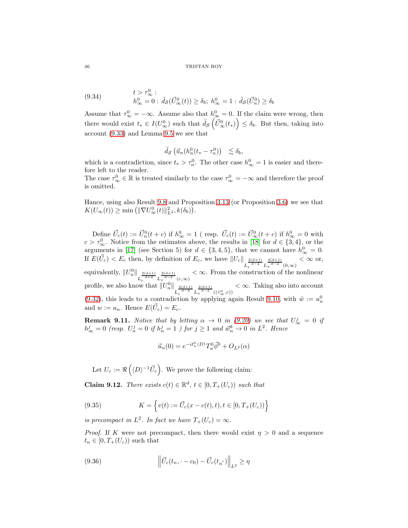(9.34) 
$$
t > \tau_{\infty}^{0}
$$

$$
h_{\infty}^{0} = 0 : \tilde{d}_{\mathcal{S}}(\vec{U}_{\infty}^{0}(t)) \geq \delta_{b}; h_{\infty}^{0} = 1 : \tilde{d}_{\mathcal{S}}(\vec{U}_{n}^{0}) \geq \delta_{b}
$$

Assume that  $\tau_{\infty}^0 = -\infty$ . Assume also that  $h_{\infty}^0 = 0$ . If the claim were wrong, then there would exist  $t_* \in I(U^0_\infty)$  such that  $\tilde{d}_{\mathcal{S}}\left(\tilde{U}^0_\infty(t_*)\right) \leq \delta_b$ . But then, taking into account [\(9.33\)](#page-44-0) and Lemma [9.5](#page-38-0) we see that

$$
\tilde{d}_{\mathcal{S}}\left(\vec{u}_n(h_n^0(t_*-\tau_n^0))\right) \leq \delta_b,
$$

which is a contradiction, since  $t_* > \tau_n^0$ . The other case  $h_{\infty}^0 = 1$  is easier and therefore left to the reader.

The case  $\tau_{\infty}^0 \in \mathbb{R}$  is treated similarly to the case  $\tau_{\infty}^0 = -\infty$  and therefore the proof is omitted.

Hance, using also Result [9.8](#page-38-2) and Proposition [3.13](#page-14-0) (or Proposition [3.6\)](#page-11-0) we see that  $K(U_\infty(t)) \ge \min\left(\|\nabla U^0_\infty(t)\|_{L^2}^2, k(\delta_b)\right).$ 

Define  $\vec{U}_c(t) := \vec{U}_n^0(t + c)$  if  $h^0_{\infty} = 1$  (resp.  $\vec{U}_c(t) := \vec{U}_{\infty}^0(t + c)$  if  $h^0_{\infty} = 0$  with  $c > \tau_{\infty}^0$ . Notice from the estimates above, the results in [\[18\]](#page-51-3) for  $d \in \{3, 4\}$ , or the arguments in [\[17\]](#page-51-1) (see Section 5) for  $d \in \{3, 4, 5\}$ , that we cannot have  $h_{\infty}^0 = 0$ . If  $E(\vec{U}_c) < E_c$  then, by definition of  $E_c$ , we have  $||U_c|| \frac{2(d+1)}{L_t^{\frac{d}{d-2}} L_x^{\frac{2(d+1)}{d-2}} (0,\infty)}$  $< \infty$  or, equivalently,  $||U_n^0||$  $L_t^{\frac{2(d+1)}{d+2}} L_x^{\frac{2(d+1)}{d-2}}(c,\infty)$  $< \infty$ . From the construction of the nonlinear profile, we also know that  $||U_n^0||$  $L_t^{\frac{2(d+1)}{d-2}} L_x^{\frac{2(d+1)}{d-2}}((\tau_\infty^0, c))$  $< \infty$ . Taking also into account [\(9.32\)](#page-44-1), this leads to a contradiction by applying again Result [9.10,](#page-42-0) with  $\tilde{w} := u_n^0$ and  $w := u_n$ . Hence  $E(\vec{U}_c) = E_c$ .

**Remark 9.11.** Notice that by letting  $\alpha \to 0$  in [\(9.20\)](#page-39-3) we see that  $U^j_{\infty} = 0$  if  $h_{\infty}^{j} = 0$  (resp.  $U_{n}^{j} = 0$  if  $h_{n}^{j} = 1$ ) for  $j \ge 1$  and  $\vec{w}_{n}^{k} \to 0$  in  $L^{2}$ . Hence

$$
\vec{u}_n(0) = e^{-it_n^0 \langle D \rangle} T_n^0 \vec{\phi}^0 + O_{L^2}(\alpha)
$$

Let  $U_c := \Re\left(\langle D \rangle^{-1} \vec{U}_c\right)$ . We prove the following claim:

**Claim 9.12.** There exists  $c(t) \in \mathbb{R}^d$ ,  $t \in [0, T_+(U_c))$  such that

<span id="page-45-1"></span>(9.35) 
$$
K = \left\{ v(t) := \vec{U}_c(x - c(t), t), t \in [0, T_+(U_c)) \right\}
$$

is precompact in  $L^2$ . In fact we have  $T_+(U_c) = \infty$ .

*Proof.* If K were not precompact, then there would exist  $\eta > 0$  and a sequence  $t_n \in [0, T_+(U_c))$  such that

<span id="page-45-0"></span>(9.36) 
$$
\left\| \vec{U}_c(t_n, -c_0) - \vec{U}_c(t_{n'}) \right\|_{L^2} \ge \eta
$$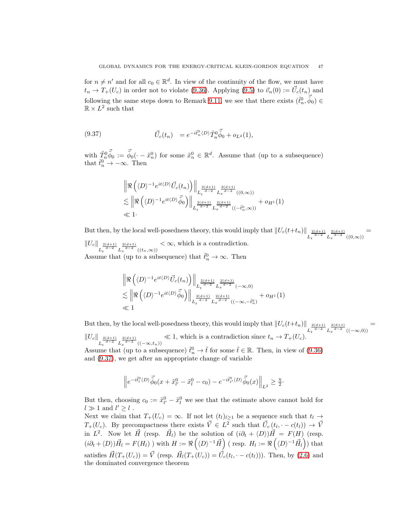for  $n \neq n'$  and for all  $c_0 \in \mathbb{R}^d$ . In view of the continuity of the flow, we must have  $t_n \to T_+(U_c)$  in order not to violate [\(9.36\)](#page-45-0). Applying [\(9.5\)](#page-34-3) to  $\vec{v}_n(0) := \vec{U}_c(t_n)$  and following the same steps down to Remark [9.11,](#page-45-1) we see that there exists  $(\tilde{t}_n^0, \vec{\tilde{\phi}}_0) \in$  $\mathbb{R} \times L^2$  such that

(9.37) 
$$
\vec{U}_c(t_n) = e^{-i\tilde{t}_n^0 \langle D \rangle} \tilde{T}_n^0 \vec{\tilde{\phi}}_0 + o_{L^2}(1),
$$

with  $\tilde{T}_n^0 \vec{\tilde{\phi}}_0 := \vec{\tilde{\phi}}_0(\cdot - \tilde{x}_n^0)$  for some  $\tilde{x}_n^0 \in \mathbb{R}^d$ . Assume that (up to a subsequence) that  $\tilde{t}_n^0 \to -\infty$ . Then

<span id="page-46-0"></span>
$$
\begin{aligned}&\left\|\Re\left(\langle D\rangle^{-1}e^{it\langle D\rangle}\vec{U}_c(t_n)\right)\right\|_{L^{\frac{2(d+1)}{d-2}}_tL^{\frac{2(d+1)}{d-2}}_x((0,\infty))}\\&\lesssim \left\|\Re\left(\langle D\rangle^{-1}e^{it\langle D\rangle}\vec{\tilde{\phi}}_0\right)\right\|_{L^{\frac{2(d+1)}{d-2}}_tL^{\frac{2(d+1)}{d-2}}_x((- \tilde{t}^0_n,\infty))}+o_{H^1}(1)\\&\ll 1\cdot\end{aligned}
$$

But then, by the local well-posedness theory, this would imply that  $||U_c(t+t_n)||_{L_t^{\frac{2(d+1)}{d-2}}L_x^{\frac{2(d+1)}{d-2}}((0,\infty))}$ =  $||U_c||_{L_t^{\frac{2(d+1)}{d-2}} L_x^{\frac{2(d+1)}{d-2}}((t_n,\infty))}$  $<\infty$ , which is a contradiction. Assume that (up to a subsequence) that  $\tilde{t}_n^0 \to \infty$ . Then

$$
\begin{aligned} &\left\|\Re\left(\langle D\rangle^{-1}e^{it\langle D\rangle}\vec{U}_c(t_n)\right)\right\|_{L_t^{\frac{2(d+1)}{d-2}}L_x^{\frac{2(d+1)}{d-2}}(-\infty,0)}\\ &\lesssim \left\|\Re\left(\langle D\rangle^{-1}e^{it\langle D\rangle}\vec{\widetilde\phi}_0\right)\right\|_{L_t^{\frac{2(d+1)}{d-2}}L_x^{\frac{2(d+1)}{d-2}}((- \infty, -\tilde t_n^0)}+o_{H^1}(1)\\ &\ll 1 \end{aligned}
$$

But then, by the local well-posedness theory, this would imply that  $||U_c(t+t_n)||_{L_t^{\frac{2(d+1)}{d-2}}L_x^{\frac{2(d+1)}{d-2}}((-\infty,0))}$ =  $||U_c||_{L_t^{\frac{2(d+1)}{d-2}} L_x^{\frac{2(d+1)}{d-2}} ((-\infty, t_n))}$  $\ll 1$ , which is a contradiction since  $t_n \to T_+(U_c)$ . Assume that (up to a subsequence)  $\tilde{t}_n^0 \to \tilde{t}$  for some  $\tilde{t} \in \mathbb{R}$ . Then, in view of [\(9.36\)](#page-45-0) and [\(9.37\)](#page-46-0), we get after an appropriate change of variable

$$
\left\|e^{-i\tilde{t}_l^0\langle D\rangle}\vec{\tilde{\phi}}_0(x+\tilde{x}_{l'}^0-\tilde{x}_l^0-c_0)-e^{-i\tilde{t}_{l'}^0\langle D\rangle}\vec{\tilde{\phi}}_0(x)\right\|_{L^2}\geq \frac{\eta}{2}.
$$

But then, choosing  $c_0 := \tilde{x}_{l'}^0 - \tilde{x}_l^0$  we see that the estimate above cannot hold for  $l \gg 1$  and  $l' \geq l$ .

Next we claim that  $T_+(U_c) = \infty$ . If not let  $(t_l)_{l\geq 1}$  be a sequence such that  $t_l \to$  $T_+(U_c)$ . By precompactness there exists  $\vec{V} \in L^2$  such that  $\vec{U}_c(t_l, \cdot -c(t_l)) \to \vec{V}$ in  $L^2$ . Now let  $\vec{H}$  (resp.  $\vec{H}_l$ ) be the solution of  $(i\partial_t + \langle D \rangle)\vec{H} = F(H)$  (resp.  $(i\partial_t + \langle D \rangle) \vec{H}_l = F(H_l)$  ) with  $H := \Re \left( \langle D \rangle^{-1} \vec{H} \right)$  (resp.  $H_l := \Re \left( \langle D \rangle^{-1} \vec{H}_l \right)$ ) that satisfies  $\vec{H}(T_+(U_c)) = \vec{V}$  (resp.  $\vec{H}_l(T_+(U_c)) = \vec{U}_c(t_l, \cdot - c(t_l))$ ). Then, by [\(2.6\)](#page-7-2) and the dominated convergence theorem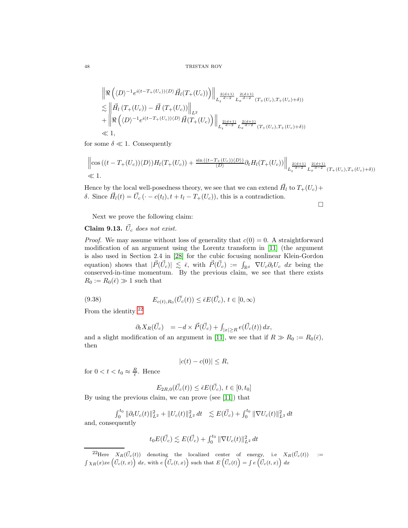$$
\begin{split} &\left\| \Re \left( \langle D \rangle^{-1} e^{i(t - T_+(U_c)) \langle D \rangle} \vec{H}_l(T_+(U_c)) \right) \right\|_{L_t^{\frac{2(d+1)}{d-2}} L_x^{\frac{2(d+1)}{d-2}}(T_+(U_c), T_+(U_c) + \delta))} \\ &\lesssim \left\| \vec{H}_l \left( T_+(U_c) \right) - \vec{H} \left( T_+(U_c) \right) \right\|_{L^2} \\ &+ \left\| \Re \left( \langle D \rangle^{-1} e^{i(t - T_+(U_c)) \langle D \rangle} \vec{H}(T_+(U_c) \right) \right\|_{L_t^{\frac{2(d+1)}{d-2}} L_x^{\frac{2(d+1)}{d-2}}(T_+(U_c), T_+(U_c) + \delta))} \\ &\ll 1, \end{split}
$$

for some  $\delta \ll 1$ . Consequently

$$
\left\| \cos\left((t-T_+(U_c))\langle D\rangle\right) H_l(T_+(U_c)) + \frac{\sin\left((t-T_+(U_c))\langle D\rangle\right)}{\langle D\rangle} \partial_t H_l(T_+(U_c)) \right\|_{L_t^{\frac{2(d+1)}{d-2}} L_x^{\frac{2(d+1)}{d-2}}(T_+(U_c),T_+(U_c)+\delta))} \le 1.
$$

Hence by the local well-posedness theory, we see that we can extend  $\vec{H}_l$  to  $T_+(U_c)$  + δ. Since  $\vec{H}_l(t) = \vec{U}_c(\cdot - c(t_l), t + t_l - T_+(U_c))$ , this is a contradiction.

 $\Box$ 

Next we prove the following claim:

# Claim 9.13.  $\vec{U}_c$  does not exist.

*Proof.* We may assume without loss of generality that  $c(0) = 0$ . A straightforward modification of an argument using the Lorentz transform in [\[11\]](#page-51-2) (the argument is also used in Section 2.4 in [\[28\]](#page-52-6) for the cubic focusing nonlinear Klein-Gordon equation) shows that  $|\vec{P}(\vec{U}_c)| \leq \bar{\epsilon}$ , with  $\vec{P}(\vec{U}_c) := \int_{\mathbb{R}^d} \nabla U_c \partial_t U_c dx$  being the conserved-in-time momentum. By the previous claim, we see that there exists  $R_0 := R_0(\bar{\epsilon}) \gg 1$  such that

(9.38) 
$$
E_{c(t),R_0}(\vec{U}_c(t)) \leq \bar{\epsilon}E(\vec{U}_c), t \in [0,\infty)
$$

From the identity [22](#page-47-0)

$$
\partial_t X_R(\vec{U}_c) = -d \times \vec{P}(\vec{U}_c) + \int_{|x| \ge R} e(\vec{U}_c(t)) dx,
$$

and a slight modification of an argument in [\[11\]](#page-51-2), we see that if  $R \gg R_0 := R_0(\bar{\epsilon}),$ then

$$
|c(t) - c(0)| \le R,
$$

for  $0 < t < t_0 \approx \frac{R}{\bar{\epsilon}}$ . Hence

$$
E_{2R,0}(\vec{U}_c(t)) \le \bar{\epsilon}E(\vec{U}_c), t \in [0, t_0]
$$

By using the previous claim, we can prove (see [\[11\]](#page-51-2)) that

$$
\int_0^{t_0} \|\partial_t U_c(t)\|_{L^2}^2 + \|U_c(t)\|_{L^2}^2 dt \quad \lesssim E(\vec{U}_c) + \int_0^{t_0} \|\nabla U_c(t)\|_{L^2}^2 dt
$$
 and, consequently

$$
t_0 E(\vec{U}_c) \lesssim E(\vec{U}_c) + \int_0^{t_0} \|\nabla U_c(t)\|_{L^2}^2 dt
$$

<span id="page-47-0"></span><sup>&</sup>lt;sup>22</sup>Here  $X_R(\vec{U}_c(t))$  denoting the localized center of energy, i.e  $X_R(\vec{U}_c(t))$  :=  $\int \chi_R(x)xe\left(\vec{U}_c(t,x)\right) dx$ , with  $e\left(\vec{U}_c(t,x)\right)$  such that  $E\left(\vec{U}_c(t)\right) = \int e\left(\vec{U}_c(t,x)\right) dx$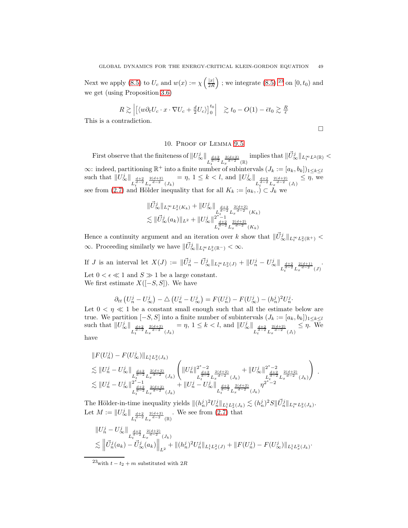Next we apply [\(8.5\)](#page-22-0) to  $U_c$  and  $w(x) := \chi \left( \frac{|x|}{2R} \right)$ ); we integrate  $(8.5)$  <sup>[23](#page-48-1)</sup> on  $[0, t_0)$  and we get (using Proposition [3.6\)](#page-11-0)

$$
R \gtrsim \left| \left[ \langle w \partial_t U_c \cdot x \cdot \nabla U_c + \frac{d}{2} U_c \rangle \right]_0^{t_0} \right| \ge t_0 - O(1) - \bar{\epsilon} t_0 \gtrsim \frac{R}{\bar{\epsilon}}
$$

<span id="page-48-0"></span>This is a contradiction.

 $\Box$ 

.

# 10. Proof of Lemma [9.5](#page-38-0)

First observe that the finiteness of  $||U^j_{\infty}||_{L_t^{\frac{d+2}{d-2}} L_x^{\frac{2(d+2)}{d-2}}(\mathbb{R})}$ implies that  $\|\vec{U}_{\infty}^{j}\|_{L^{\infty}_t L^2(\mathbb{R})}$  <  $\infty$ : indeed, partitioning  $\mathbb{R}^+$  into a finite number of subintervals  $(J_k := [a_k, b_k])_{1 \leq k \leq l}$ such that  $||U^j_{\infty}||_{L_t^{\frac{d+2}{d-2}} L_x^{\frac{2(d+2)}{d-2}}(J_k)}$  $=\eta, 1 \leq k < l$ , and  $||U^j_{\infty}||_{L_t^{\frac{d+2}{d-2}} L_x^{\frac{2(d+2)}{d-2}}(J_l)}$  $\leq \eta$ , we see from [\(2.7\)](#page-7-3) and Hölder inequality that for all  $K_k := [a_k, .) \subset J_k$  we

$$
\|\vec{U}_{\infty}^{j}\|_{L_{t}^{\infty}L_{x}^{2}(K_{k})} + \|U_{\infty}^{j}\|_{L_{t}^{\frac{d+2}{d-2}}L_{x}^{\frac{2(d+2)}{d-2}}(K_{k})}
$$
  

$$
\lesssim \|\vec{U}_{\infty}^{j}(a_{k})\|_{L^{2}} + \|U_{\infty}^{j}\|_{L_{t}^{\frac{d+2}{d-2}}L_{x}^{\frac{2(d+2)}{d-2}}(K_{k})}
$$

Hence a continuity argument and an iteration over k show that  $\|\vec{U}_{\infty}^{j}\|_{L_t^{\infty}L_x^2(\mathbb{R}^+)}$  $\infty$ . Proceeding similarly we have  $\|\vec{U}_{\infty}^{j}\|_{L_t^{\infty}L_x^2(\mathbb{R}^-)} < \infty$ .

If *J* is an interval let  $X(J) := \|\vec{U}_n^j - \vec{U}_{\infty}^j\|_{L_t^{\infty} L_x^2(J)} + \|U_n^j - U_{\infty}^j\|_{L_t^{\frac{d+2}{d-2}} L_x^{\frac{2(d+1)}{d-2}}(J)}$ Let  $0 < \epsilon \ll 1$  and  $S \gg 1$  be a large constant. We first estimate  $X([-S, S])$ . We have

$$
\partial_{tt}\left(U_n^j-U_\infty^j\right)-\triangle\left(U_n^j-U_\infty^j\right)=F(U_n^j)-F(U_\infty^j)-(h_n^j)^2U_n^j.
$$

Let  $0 < \eta \ll 1$  be a constant small enough such that all the estimate below are true. We partition  $[-S, S]$  into a finite number of subintervals  $(J_k := [a_k, b_k])_{1 \leq k \leq l}$ such that  $||U^j_{\infty}||_{L_t^{\frac{d+2}{d-2}} L_x^{\frac{2(d+2)}{d-2}}(J_k)}$  $=\eta, 1 \leq k < l$ , and  $||U^j_{\infty}||_{L_t^{\frac{d+2}{d-2}} L_x^{\frac{2(d+2)}{d-2}}(J_l)}$  $\leq \eta$ . We

have

$$
\|F(U_n^j) - F(U_\infty^j)\|_{L_t^1 L_x^2(J_k)}\n\lesssim \|U_n^j - U_\infty^j\|_{L_t^{\frac{d+2}{d-2}} L_x^{\frac{2(d+2)}{d-2}}(J_k)}\n\lesssim \|U_n^j - U_\infty^j\|_{L_t^{\frac{d+2}{d-2}} L_x^{\frac{2(d+2)}{d-2}}(J_k)}^{\frac{d+2}{d-2}}\n\lesssim \|U_n^j - U_\infty^j\|_{L_t^{\frac{d+2}{d-2}} L_x^{\frac{2(d+2)}{d-2}}(J_k)}^{\frac{2(d+2)}{d-2}} + \|U_n^j - U_\infty^j\|_{L_t^{\frac{d+2}{d-2}} L_x^{\frac{2(d+2)}{d-2}}(J_k)}^{\frac{2(d+2)}{d-2}}\n\lesssim L_t^{\frac{d+2}{d-2}} L_x^{\frac{2(d+2)}{d-2}}(J_k)
$$

The Hölder-in-time inequality yields  $\|(h_n^j)^2 U_n^j\|_{L_t^1 L_x^2(J_k)} \lesssim (h_n^j)^2 S \|\vec{U}_n^j\|_{L_t^{\infty} L_x^2(J_k)}$ . Let  $M:=\|U^j_{\infty}\|_{L_t^{\frac{d+2}{d-2}}L_x^{\frac{2(d+2)}{d-2}}(\mathbb{R})}$ . We see from [\(2.7\)](#page-7-3) that

$$
\|U_n^j - U_\infty^j\|_{L_t^{\frac{d+2}{d-2}} L_x^{\frac{2(d+2)}{d-2}}(J_k)}\n\lesssim \left\|\vec{U}_n^j(a_k) - \vec{U}_\infty^j(a_k)\right\|_{L^2} + \|(h_n^j)^2 U_n^j\|_{L_t^1 L_x^2(J)} + \|F(U_n^j) - F(U_\infty^j)\|_{L_t^1 L_x^2(J_k)}.
$$

<span id="page-48-1"></span> $^{23}$  with  $t$   $t_{2}$   $+$   $m$  substituted with  $2R$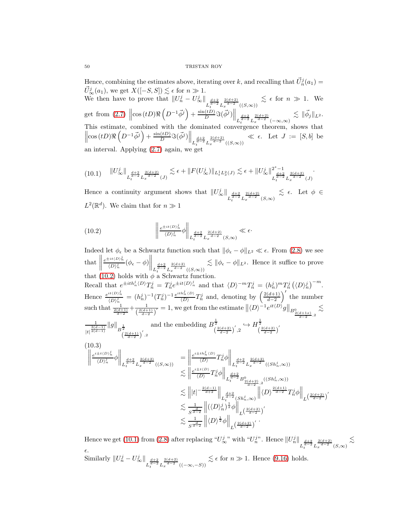Hence, combining the estimates above, iterating over k, and recalling that  $\vec{U}_n^j(a_1)$  = Thence, combining the estimates above, iterating over  $\kappa$ , and recalling that  $\hat{U}_{n}^{j}$ <br> $\hat{U}_{\infty}^{j}(a_{1})$ , we get  $X([-S, S]) \leq \epsilon$  for  $n \gg 1$ .

We then have to prove that  $||U_n^j - U_\infty^j||_{L_t^{\frac{d+2}{d-2}} L_x^{\frac{2(d+2)}{d-2}}((S,\infty))}$  $\lesssim \epsilon$  for  $n \gg 1$ . We get from [\(2.7\)](#page-7-3)  $\left\| \cos(tD)\Re\left(D^{-1}\vec{\phi}^j\right) + \frac{\sin(tD)}{D}\Im(\vec{\phi}^j)\right\|_{L_t^{\frac{d+2}{d-2}}L_x^{\frac{2(d+2)}{d-2}}(-\infty,\infty)}$  $\lesssim \|\vec{\phi}_j\|_{L^2}.$ This estimate, combined with the dominated convergence theorem, shows that  $\left\|\cos(tD)\Re\left(D^{-1}\vec{\phi}^j\right)+\frac{\sin(tD)}{D}\Im(\vec{\phi}^j)\right\|_{L_t^{\frac{d+2}{d-2}}L_x^{\frac{2(d+2)}{d-2}}((S,\infty))}$  $\ll \epsilon$ . Let  $J := [S, b]$  be an interval. Applying  $(2.7)$  again, we get

<span id="page-49-2"></span>
$$
(10.1) \quad \|U^j_{\infty}\|_{L_t^{\frac{d+2}{d-2}} L_x^{\frac{2(d+2)}{d-2}}(J)} \lesssim \epsilon + \|F(U^j_{\infty})\|_{L_t^1 L_x^2(J)} \lesssim \epsilon + \|U^j_{\infty}\|_{L_t^{\frac{d+2}{d-2}} L_x^{\frac{2(d+2)}{d-2}}(J)}^{2^*-1}.
$$

Hence a continuity argument shows that  $||U^j_{\infty}||_{L_t^{\frac{d+2}{d-2}} L_x^{\frac{2(d+2)}{d-2}}(S,\infty)}$  $\lesssim$   $\epsilon$ . Let  $\phi \in$  $L^2(\mathbb{R}^d)$ . We claim that for  $n \gg 1$ 

<span id="page-49-0"></span>(10.2) 
$$
\left\|\frac{e^{\pm it\langle D \rangle_n^j}}{\langle D \rangle_n^j} \phi \right\|_{L_t^{\frac{d+2}{d-2}} L_x^{\frac{2(d+2)}{d-2}}(S,\infty)} \ll \epsilon.
$$

Indeed let  $\phi_{\epsilon}$  be a Schwartz function such that  $\|\phi_{\epsilon} - \phi\|_{L^2} \ll \epsilon$ . From [\(2.8\)](#page-8-1) we see that  $e^{\pm it\langle D \rangle_n^j}$  $\frac{\partial}{\partial \phi}(\phi_{\epsilon}-\phi)$  $\Bigg\|_{L^{\frac{d+2}{d-2}}_t L^{\frac{2(d+2)}{d-2}}_x((S,\infty))}$  $\lesssim \|\phi_{\epsilon} - \phi\|_{L^2}$ . Hence it suffice to prove that [\(10.2\)](#page-49-0) holds with  $\phi$  a Schwartz function. Recall that  $e^{\pm ith_n^j\langle D\rangle}T_n^j = T_n^j e^{\pm it\langle D\rangle_n^j}$  and that  $\langle D\rangle^{-m}T_n^j = (h_n^j)^m T_n^j (\langle D\rangle_n^j)^{-m}$ . Hence  $\frac{e^{it\langle D \rangle_n^j}}{(\Delta)^j}$  $\frac{e^{it\langle D \rangle_m^j}}{\langle D \rangle_m^j} = (h_n^j)^{-1} (T_n^j)^{-1} \frac{e^{ith_n^j\langle D \rangle}}{\langle D \rangle}$  $\frac{h_n^j \langle D \rangle}{\langle D \rangle} T_n^j$  and, denoting by  $\left( \frac{2(d+1)}{d-2} \right)$  $d-2$ ′ the number such that  $\frac{1}{\frac{2(d+1)}{d-2}} + \frac{1}{\left(\frac{2(d+1)}{d-1}\right)}$  $\frac{1}{\left(\frac{2(d+1)}{d-2}\right)'}=1$ , we get from the estimate  $\left\|\langle D\rangle^{-1}e^{it\langle D\rangle}g\right\|_{B^0_{\frac{2(d+1)x}{d-2},2}}$  $\lesssim$ 1  $\frac{\frac{1}{3(d-1)}}{|t|^{\frac{3(d-1)}{2(d-1)}}}||g||_{B^{\frac{1}{2}}}$   $\left(\frac{2(d+1)}{d-2}\right)'$ , 2 and the embedding  $B^{\frac{1}{2}}_{\left(\frac{2(d+2)}{d-2}\right)'}, 2 \hookrightarrow H^{\frac{1}{2}}_{\left(\frac{2(d+2)}{d-2}\right)'}$ (10.3)  $\begin{tabular}{|c|c|c|c|} \hline \rule{0pt}{2ex} \rule{0pt}{2ex} \rule{0pt}{2ex} \rule{0pt}{2ex} \rule{0pt}{2ex} \rule{0pt}{2ex} \rule{0pt}{2ex} \rule{0pt}{2ex} \rule{0pt}{2ex} \rule{0pt}{2ex} \rule{0pt}{2ex} \rule{0pt}{2ex} \rule{0pt}{2ex} \rule{0pt}{2ex} \rule{0pt}{2ex} \rule{0pt}{2ex} \rule{0pt}{2ex} \rule{0pt}{2ex} \rule{0pt}{2ex} \rule{0pt}{2ex} \rule{0pt}{2ex} \rule{0pt}{2ex} \rule{$  $e^{i\pm t\langle D \rangle_n^j}$  $\frac{\Delta E(E)}{\langle D \rangle_n^j} \phi$  $\Bigg\|_{L_t^{\frac{d+2}{d-2}} L_x^{\frac{2(d+2)}{d-2}} ((S, \infty))}$ =  $e^{i\pm th_n^j\langle D\rangle}$  $\frac{\binom{n_n\langle D\rangle}{\langle D\rangle}}{\langle D\rangle}T_n^j\phi$  $\Bigg\|_{L_t^{\frac{d+2}{d-2}} L_x^{\frac{2(d+2)}{d-2}}((Sh^j_n, \infty))}$  $\lesssim \bigg\|\frac{e^{i\pm t\langle D\rangle}}{\langle D\rangle}$  $\frac{1}{\langle D \rangle} T_n^j \phi \bigg\|_{L_t^{\frac{d+2}{d-2}} B^0_{\frac{2(d+2)}{d-2},2}((Sh_n^j, \infty))}$  $\lesssim \left\| |t|^{-\frac{2(d-1)}{d+2}} \right\|_{L_t^{\frac{d+2}{d-2}}(Sh_n^j,\infty)}$  $\left\Vert \langle D\rangle^{\frac{2(d+1)}{d-2}} T^j_n \phi \right\Vert_{L^{\left(\frac{2(d+2)}{d-2}\right)}}'$  $\lesssim \frac{1}{s^{\frac{d}{d-2}}}$  $\left\| (\langle D \rangle^j_n)^{\frac{1}{2}} \phi \right\|_{L^{\left(\frac{2(d+2)}{d-2}\right)'}}$  $\lesssim \frac{1}{s^{\frac{d}{d-2}}}$  $\left\| \langle D \rangle^{\frac{1}{2}} \phi \right\|_{L^{\left(\frac{2(d+2)}{d-2}\right)'}}$ 

<span id="page-49-1"></span>Hence we get [\(10.1\)](#page-49-2) from [\(2.8\)](#page-8-1) after replacing " $U^j_{\infty}$ " with " $U^{j}_{n}$ ". Hence  $||U^j_{n}||_{L^{\frac{d+2}{d-2}}_t L^{\frac{2(d+2)}{d-2}}_x(S,\infty)}$  $\lesssim$ ǫ. Similarly  $||U_n^j - U_{\infty}^j||_{L_t^{\frac{d+2}{d-2}} L_x^{\frac{2(d+2)}{d-2}}((-\infty, -S))}$  $\lesssim \epsilon$  for  $n \gg 1$ . Hence [\(9.16\)](#page-38-0) holds.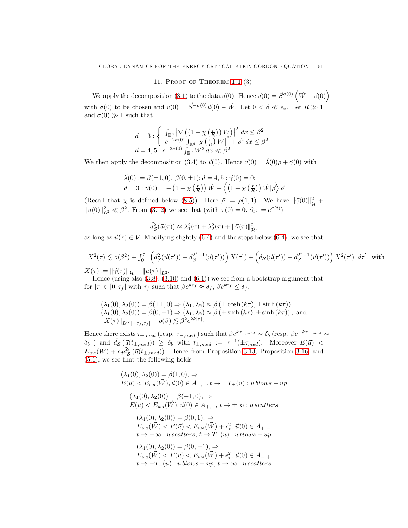## 11. Proof of Theorem [1.1](#page-2-1) (3).

<span id="page-50-0"></span>We apply the decomposition [\(3.1\)](#page-10-0) to the data  $\vec{u}(0)$ . Hence  $\vec{u}(0) = \vec{S}^{\sigma(0)}(\vec{W} + \vec{v}(0))$ with  $\sigma(0)$  to be chosen and  $\vec{v}(0) = \vec{S}^{-\sigma(0)}\vec{u}(0) - \vec{W}$ . Let  $0 < \beta \ll \epsilon_*$ . Let  $R \gg 1$ and  $\sigma(0) \gg 1$  such that

$$
\begin{array}{l} d = 3 : \left\{ \begin{array}{l} \int_{\mathbb{R}^d} \left| \nabla \left( \left( 1 - \chi \left( \frac{r}{R} \right) \right) W \right) \right|^2 \, dx \leq \beta^2 \\ e^{-2 \sigma(0)} \int_{\mathbb{R}^d} \left| \chi \left( \frac{r}{R} \right) W \right|^2 + \rho^2 \, dx \leq \beta^2 \end{array} \right. \\ d = 4, 5 : e^{-2 \sigma(0)} \int_{\mathbb{R}^d} W^2 \, dx \ll \beta^2 \end{array} \right.
$$

We then apply the decomposition [\(3.4\)](#page-10-4) to  $\vec{v}(0)$ . Hence  $\vec{v}(0) = \vec{\lambda}(0)\rho + \vec{\gamma}(0)$  with

$$
\vec{\lambda}(0) := \beta(\pm 1, 0), \ \beta(0, \pm 1); d = 4, 5: \vec{\gamma}(0) = 0; \nd = 3: \vec{\gamma}(0) = -\left(1 - \chi\left(\frac{r}{R}\right)\right)\vec{W} + \left\langle\left(1 - \chi\left(\frac{r}{R}\right)\right)\vec{W}|\vec{\rho}\right\rangle \vec{\rho}
$$

(Recall that  $\chi$  is defined below [\(8.5\)](#page-22-0)). Here  $\vec{\rho} := \rho(1,1)$ . We have  $\|\vec{\gamma}(0)\|_{\mathcal{H}}^2$  +  $||u(0)||_{L^2}^2 \ll \beta^2$ . From [\(3.12\)](#page-12-5) we see that (with  $\tau(0) = 0$ ,  $\partial_t \tau = e^{\sigma(t)}$ )

$$
\tilde{d}_{\mathcal{S}}^2(\vec{u}(\tau)) \approx \lambda_1^2(\tau) + \lambda_2^2(\tau) + ||\vec{\gamma}(\tau)||_{\mathcal{H}}^2,
$$

as long as  $\vec{u}(\tau) \in \mathcal{V}$ . Modifying slightly [\(6.4\)](#page-18-1) and the steps below (6.4), we see that

$$
X^2(\tau) \lesssim o(\beta^2) + \int_0^\tau \left( \tilde{d}_{\mathcal{S}}^2(\vec{u}(\tau')) + \tilde{d}_{\mathcal{S}}^{2^*-1}(\vec{u}(\tau')) \right) X(\tau') + \left( \tilde{d}_{\mathcal{S}}(\vec{u}(\tau')) + \tilde{d}_{\mathcal{S}}^{2^*-1}(\vec{u}(\tau')) \right) X^2(\tau') d\tau', \text{ with}
$$
  
 
$$
X(\tau) := \|\vec{v}(\tau)\|_{\infty} + \|\vec{v}(\tau)\|_{\infty}
$$

 $X(\tau) := ||\vec{\gamma}(\tau)||_{\dot{\mathcal{H}}} + ||u(\tau)||_{L^2}$ .

Hence (using also  $(3.8)$ ,  $(3.10)$  and  $(6.1)$ ) we see from a bootstrap argument that for  $|\tau| \in [0, \tau_f]$  with  $\tau_f$  such that  $\beta e^{k\tau_f} \approx \delta_f$ ,  $\beta e^{k\tau_f} \leq \delta_f$ ,

$$
(\lambda_1(0), \lambda_2(0)) = \beta(\pm 1, 0) \Rightarrow (\lambda_1, \lambda_2) \approx \beta(\pm \cosh(k\tau), \pm \sinh(k\tau)),
$$
  
\n
$$
(\lambda_1(0), \lambda_2(0)) = \beta(0, \pm 1) \Rightarrow (\lambda_1, \lambda_2) \approx \beta(\pm \sinh(k\tau), \pm \sinh(k\tau)),
$$
 and  
\n
$$
||X(\tau)||_{L^{\infty}[-\tau_f, \tau_f]} - o(\beta) \lesssim \beta^2 e^{2k|\tau|}.
$$

Hence there exists  $\tau_{+,med}$  (resp.  $\tau_{-,med}$ ) such that  $\beta e^{k\tau_{+,med}} \sim \delta_b$  (resp.  $\beta e^{-k\tau_{-,med}} \sim$  $\delta_b$ ) and  $\tilde{d}_{\mathcal{S}}(\vec{u}(t_{\pm,med})) \geq \delta_b$  with  $t_{\pm,med} := \tau^{-1}(\pm \tau_{med})$ . Moreover  $E(\vec{u})$  <  $E_{wa}(\vec{W}) + c_d \tilde{d}_{\mathcal{S}}^2(\vec{u}(t_{\pm,med}))$ . Hence from Proposition [3.13,](#page-14-0) Proposition [3.16,](#page-14-2) and  $\lim_{\omega \to 0}$  [\(5.1\)](#page-16-1), we see that the following holds

$$
(\lambda_1(0), \lambda_2(0)) = \beta(1, 0), \Rightarrow
$$
  
\n
$$
E(\vec{u}) < E_{wa}(\vec{W}), \vec{u}(0) \in A_{-,-}, t \to \pm T_{\pm}(u) : u \text{ blows} - up
$$
  
\n
$$
(\lambda_1(0), \lambda_2(0)) = \beta(-1, 0), \Rightarrow
$$
  
\n
$$
E(\vec{u}) < E_{wa}(\vec{W}), \vec{u}(0) \in A_{+,+}, t \to \pm \infty : u \text{ scatters}
$$
  
\n
$$
(\lambda_1(0), \lambda_2(0)) = \beta(0, 1), \Rightarrow
$$
  
\n
$$
E_{wa}(\vec{W}) < E(\vec{u}) < E_{wa}(\vec{W}) + \epsilon_*^2, \vec{u}(0) \in A_{+,-}
$$
  
\n
$$
t \to -\infty : u \text{ scatters}, t \to T_+(u) : u \text{ blows} - up
$$
  
\n
$$
(\lambda_1(0), \lambda_2(0)) = \beta(0, -1), \Rightarrow
$$
  
\n
$$
E_{wa}(\vec{W}) < E(\vec{u}) < E_{wa}(\vec{W}) + \epsilon_*^2, \vec{u}(0) \in A_{-,+}
$$
  
\n
$$
t \to -T_-(u) : u \text{ blows} - up, t \to \infty : u \text{ scatters}
$$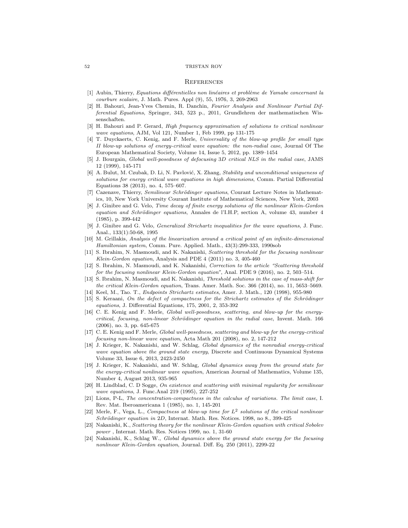#### **REFERENCES**

- <span id="page-51-8"></span>[1] Aubin, Thierry, Equations différentielles non linéaires et problème de Yamabe concernant la courbure scalaire, J. Math. Pures. Appl (9), 55, 1976, 3, 269-2963
- <span id="page-51-18"></span>[2] H. Bahouri, Jean-Yves Chemin, R. Danchin, Fourier Analysis and Nonlinear Partial Differential Equations, Springer, 343, 523 p., 2011, Grundlehren der mathematischen Wissenschaften.
- <span id="page-51-14"></span>[3] H. Bahouri and P. Gerard, High frequency approximation of solutions to critical nonlinear wave equations, AJM, Vol 121, Number 1, Feb 1999, pp 131-175
- [4] T. Duyckaerts, C. Kenig, and F. Merle, Universality of the blow-up profile for small type II blow-up solutions of energy-critical wave equation: the non-radial case, Journal Of The European Mathematical Society, Volume 14, Issue 5, 2012, pp. 1389–1454
- <span id="page-51-4"></span>[5] J. Bourgain, Global well-posedness of defocusing 3D critical NLS in the radial case, JAMS 12 (1999), 145-171
- <span id="page-51-9"></span>[6] A. Bulut, M. Czubak, D. Li, N. Pavlović, X. Zhang, Stability and unconditional uniqueness of solutions for energy critical wave equations in high dimensions, Comm. Partial Differential Equations 38 (2013), no. 4, 575–607.
- [7] Cazenave, Thierry, Semilinear Schrödinger equations, Courant Lecture Notes in Mathematics, 10, New York University Courant Institute of Mathematical Sciences, New York, 2003
- <span id="page-51-11"></span>[8] J. Ginibre and G. Velo, Time decay of finite energy solutions of the nonlinear Klein-Gordon equation and Schrödinger equations, Annales de l'I.H.P, section A, volume 43, number 4 (1985), p. 399-442
- [9] J. Ginibre and G. Velo, Generalized Strichartz inequalities for the wave equations, J. Func. Anal., 133(1):50-68, 1995
- [10] M. Grillakis, Analysis of the linearization around a critical point of an infinite-dimensional Hamiltonian system, Comm. Pure. Applied. Math., 43(3):299-333, 1990sob
- <span id="page-51-2"></span>[11] S. Ibrahim, N. Masmoudi, and K. Nakanishi, Scattering threshold for the focusing nonlinear Klein-Gordon equation, Analysis and PDE 4 (2011) no. 3, 405-460
- <span id="page-51-17"></span>[12] S. Ibrahim, N. Masmoudi, and K. Nakanishi, Correction to the article "Scattering threshold for the focusing nonlinear Klein-Gordon equation", Anal. PDE 9 (2016), no. 2, 503–514.
- <span id="page-51-5"></span>[13] S. Ibrahim, N. Masmoudi, and K. Nakanishi, Threshold solutions in the case of mass-shift for the critical Klein-Gordon equation, Trans. Amer. Math. Soc. 366 (2014), no. 11, 5653–5669.
- <span id="page-51-10"></span>[14] Keel, M., Tao. T., Endpoints Strichartz estimates, Amer. J. Math., 120 (1998), 955-980
- [15] S. Keraani, On the defect of compactness for the Strichartz estimates of the Schrödinger equations, J. Differential Equations, 175, 2001, 2, 353-392
- <span id="page-51-0"></span>[16] C. E. Kenig and F. Merle, Global well-posedness, scattering, and blow-up for the energy $critical, focusing, non-linear Schrödinger equation in the radial case, Invert. Math. 166$ (2006), no. 3, pp. 645-675
- <span id="page-51-1"></span>[17] C. E. Kenig and F. Merle, Global well-posedness, scattering and blow-up for the energy-critical focusing non-linear wave equation, Acta Math 201 (2008), no. 2, 147-212
- <span id="page-51-3"></span>[18] J. Krieger, K. Nakanishi, and W. Schlag, Global dynamics of the nonradial energy-critical wave equation above the ground state energy, Discrete and Continuous Dynamical Systems Volume 33, Issue 6, 2013, 2423-2450
- <span id="page-51-7"></span>[19] J. Krieger, K. Nakanishi, and W. Schlag, Global dynamics away from the ground state for the energy-critical nonlinear wave equation, American Journal of Mathematics, Volume 135, Number 4, August 2013, 935-965
- <span id="page-51-12"></span>[20] H. Lindblad, C. D Sogge, On existence and scattering with minimal regularity for semilinear wave equations, J. Func.Anal 219 (1995), 227-252
- <span id="page-51-16"></span>[21] Lions, P-L, The concentration-compactness in the calculus of variations. The limit case, I. Rev. Mat. Iberoamericana 1 (1985), no. 1, 145-201
- <span id="page-51-15"></span>[22] Merle, F., Vega, L., Compactness at blow-up time for  $L^2$  solutions of the critical nonlinear Schrödinger equation in 2D, Internat. Math. Res. Notices. 1998, no 8., 399-425
- <span id="page-51-13"></span>[23] Nakanishi, K., Scattering theory for the nonlinear Klein-Gordon equation with critical Sobolev power , Internat. Math. Res. Notices 1999, no. 1, 31-60
- <span id="page-51-6"></span>[24] Nakanishi, K., Schlag W., Global dynamics above the ground state energy for the focusing nonlinear Klein-Gordon equation, Journal. Diff. Eq. 250 (2011), 2299-22